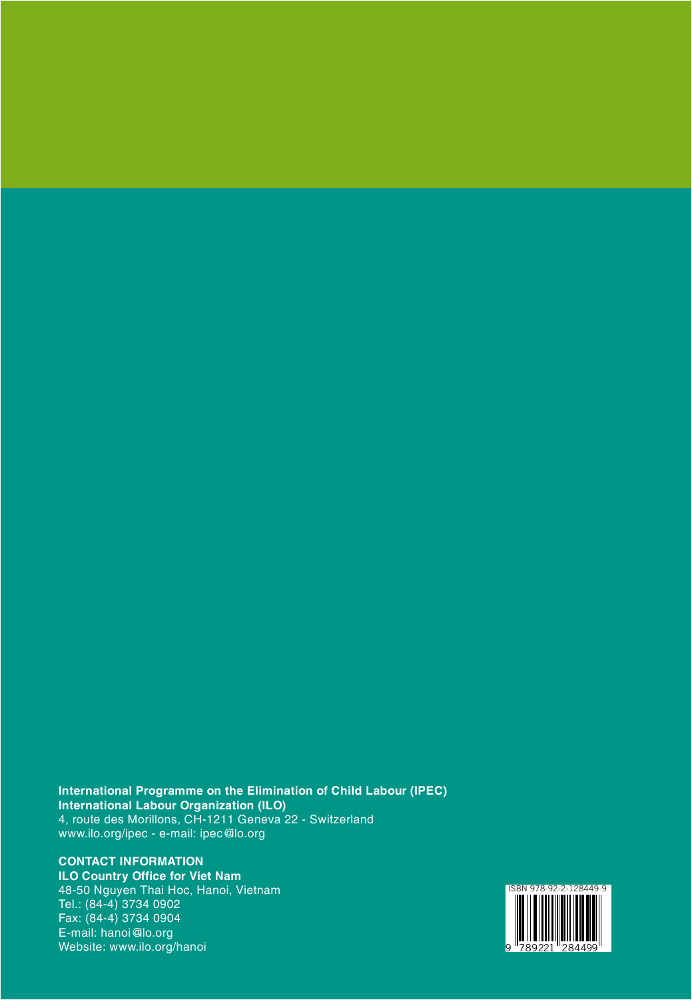**International Programme on the Elimination of Child Labour (IPEC) International Labour Organization (ILO)** 4, route des Morillons, CH-1211 Geneva 22 - Switzerland www.ilo.org/ipec - e-mail: ipec@ilo.org

**CONTACT INFORMATION ILO Country Office for Viet Nam** 48-50 Nguyen Thai Hoc, Hanoi, Vietnam Tel.: (84-4) 3734 0902 Fax: (84-4) 3734 0904 E-mail: hanoi@ilo.org Website: www.ilo.org/hanoi

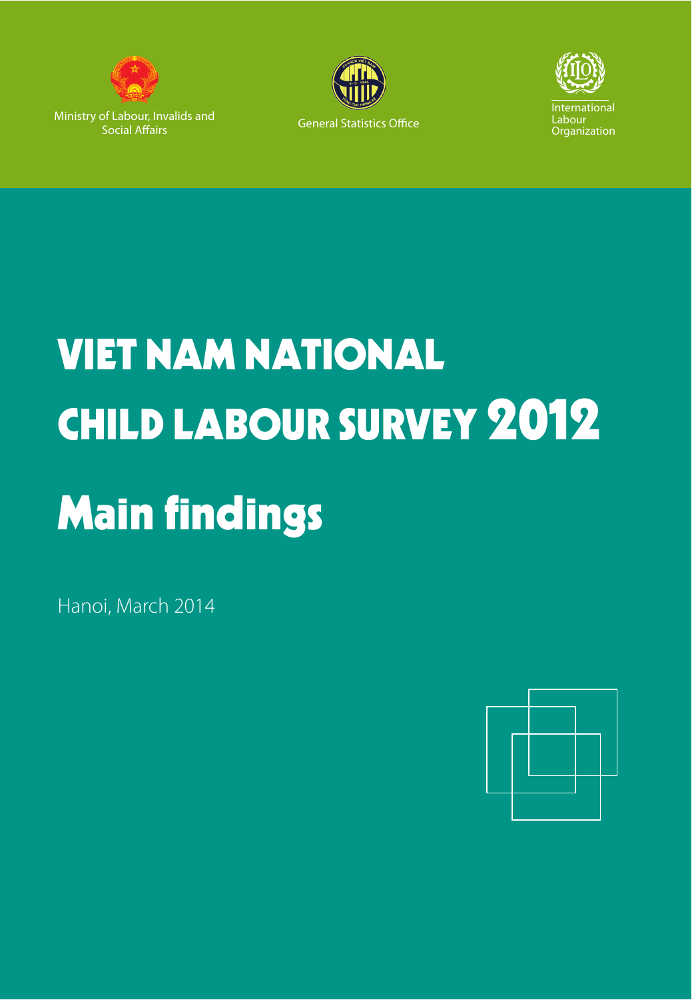

Ministry of Labour, Invalids and Social Affairs





# VIET NAM NATIONAL CHILD LABOUR SURVEY 2012 Main findings

Hanoi, March 2014

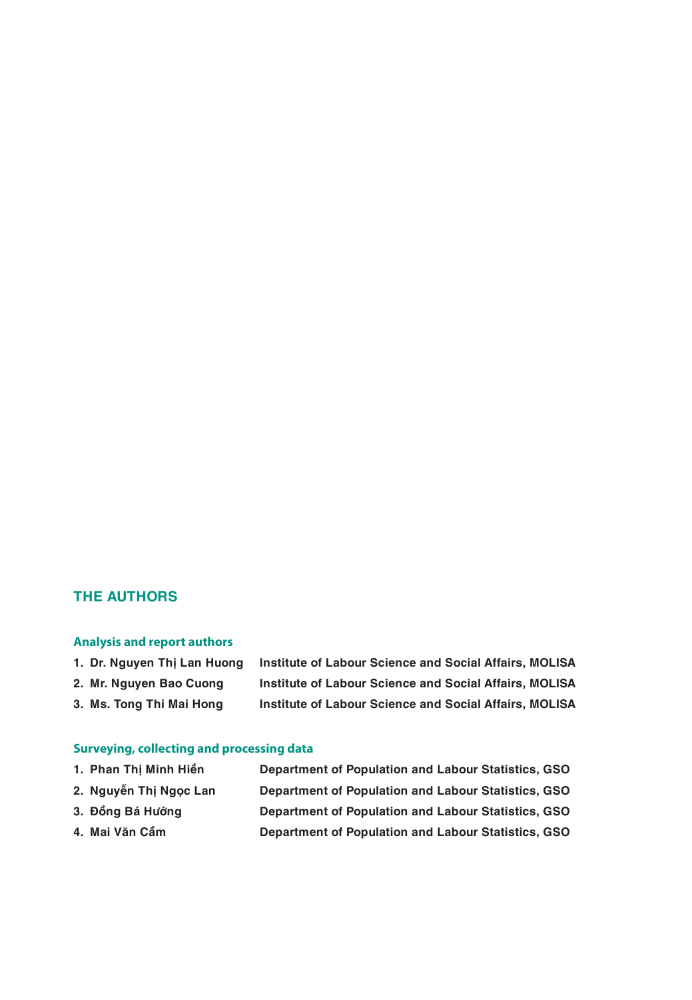### **THE AUTHORS**

#### **Analysis and report authors**

| 1. Dr. Nauven Thi Lan Huong | Institute of Labour Science and Social Affairs, MOLISA        |
|-----------------------------|---------------------------------------------------------------|
| 2. Mr. Nguyen Bao Cuong     | <b>Institute of Labour Science and Social Affairs, MOLISA</b> |

**3. Ms. Tong Thi Mai Hong Institute of Labour Science and Social Affairs, MOLISA**

#### **Surveying, collecting and processing data**

|  | 1. Phan Thị Minh Hiền | <b>Department of Population and Labour Statistics, GSO</b> |  |
|--|-----------------------|------------------------------------------------------------|--|
|--|-----------------------|------------------------------------------------------------|--|

- **2. Nguyễn Thị Ngọc Lan Department of Population and Labour Statistics, GSO**
- 
- **3. Đồng Bá Hướng Department of Population and Labour Statistics, GSO 4. Mai Văn Cầm Department of Population and Labour Statistics, GSO**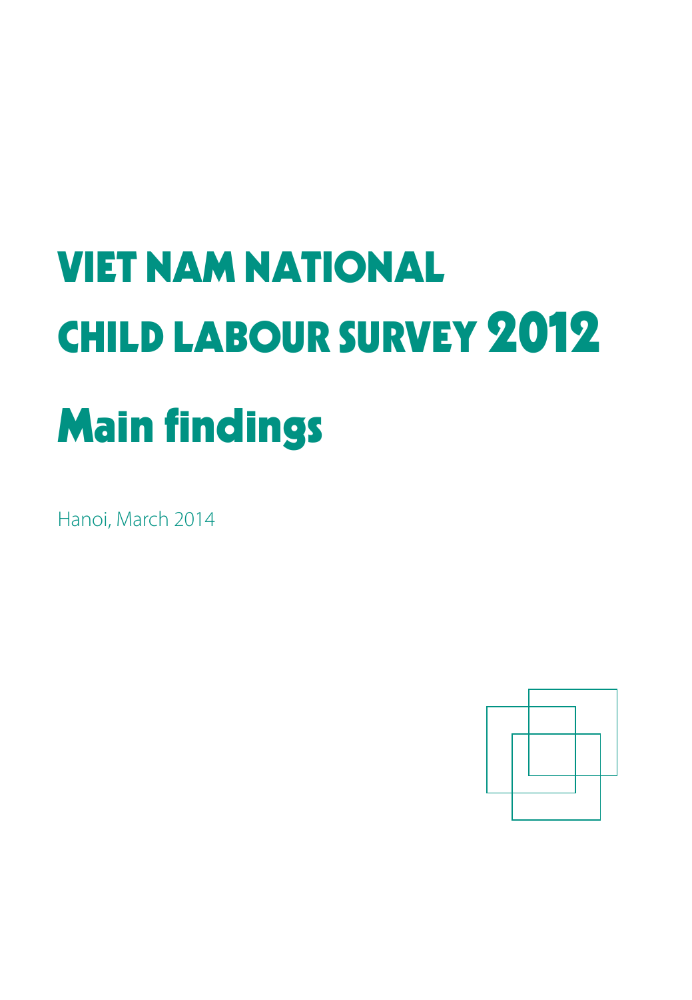# VIET NAM NATIONAL CHILD LABOUR SURVEY 2012 Main findings

Hanoi, March 2014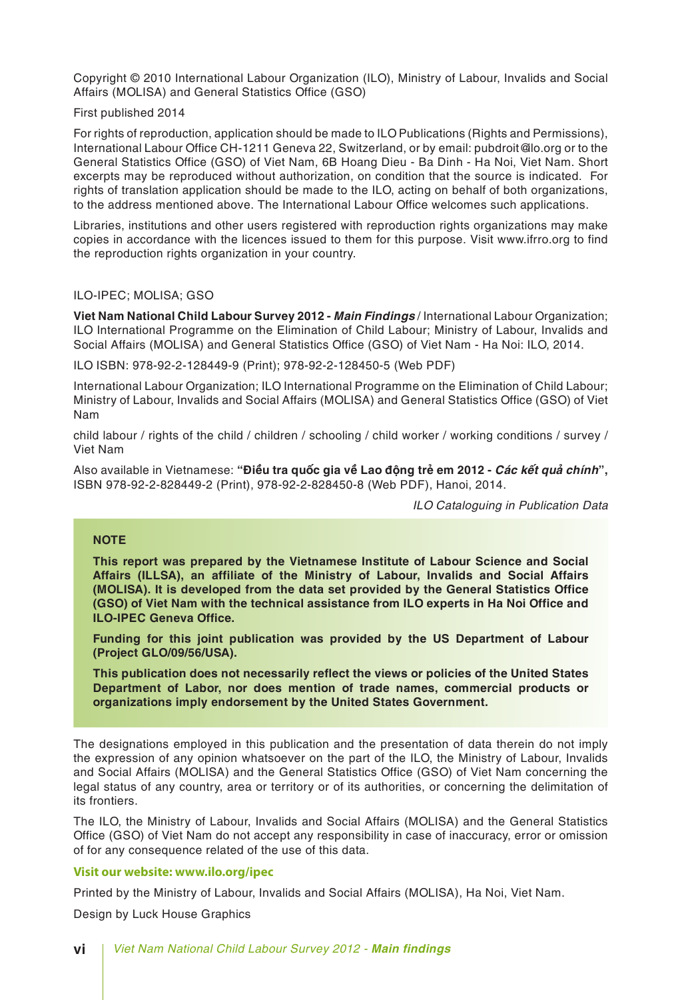Copyright © 2010 International Labour Organization (ILO), Ministry of Labour, Invalids and Social Affairs (MOLISA) and General Statistics Office (GSO)

First published 2014

For rights of reproduction, application should be made to ILO Publications (Rights and Permissions), International Labour Office CH-1211 Geneva 22, Switzerland, or by email: pubdroit@lo.org or to the General Statistics Office (GSO) of Viet Nam, 6B Hoang Dieu - Ba Dinh - Ha Noi, Viet Nam. Short excerpts may be reproduced without authorization, on condition that the source is indicated. For rights of translation application should be made to the ILO, acting on behalf of both organizations, to the address mentioned above. The International Labour Office welcomes such applications.

Libraries, institutions and other users registered with reproduction rights organizations may make copies in accordance with the licences issued to them for this purpose. Visit www.ifrro.org to find the reproduction rights organization in your country.

#### ILO-IPEC; MOLISA; GSO

**Viet Nam National Child Labour Survey 2012 -** *Main Findings* / International Labour Organization; ILO International Programme on the Elimination of Child Labour; Ministry of Labour, Invalids and Social Affairs (MOLISA) and General Statistics Office (GSO) of Viet Nam - Ha Noi: ILO, 2014.

ILO ISBN: 978-92-2-128449-9 (Print); 978-92-2-128450-5 (Web PDF)

International Labour Organization; ILO International Programme on the Elimination of Child Labour; Ministry of Labour, Invalids and Social Affairs (MOLISA) and General Statistics Office (GSO) of Viet Nam

child labour / rights of the child / children / schooling / child worker / working conditions / survey / Viet Nam

Also available in Vietnamese: **"Điều tra quốc gia về Lao động trẻ em 2012 -** *Các kết quả chính***",** ISBN 978-92-2-828449-2 (Print), 978-92-2-828450-8 (Web PDF), Hanoi, 2014.

*ILO Cataloguing in Publication Data*

#### **NOTE**

**This report was prepared by the Vietnamese Institute of Labour Science and Social Affairs (ILLSA), an affiliate of the Ministry of Labour, Invalids and Social Affairs (MOLISA). It is developed from the data set provided by the General Statistics Office (GSO) of Viet Nam with the technical assistance from ILO experts in Ha Noi Office and ILO-IPEC Geneva Office.**

**Funding for this joint publication was provided by the US Department of Labour (Project GLO/09/56/USA).**

**This publication does not necessarily reflect the views or policies of the United States Department of Labor, nor does mention of trade names, commercial products or organizations imply endorsement by the United States Government.**

The designations employed in this publication and the presentation of data therein do not imply the expression of any opinion whatsoever on the part of the ILO, the Ministry of Labour, Invalids and Social Affairs (MOLISA) and the General Statistics Office (GSO) of Viet Nam concerning the legal status of any country, area or territory or of its authorities, or concerning the delimitation of its frontiers.

The ILO, the Ministry of Labour, Invalids and Social Affairs (MOLISA) and the General Statistics Office (GSO) of Viet Nam do not accept any responsibility in case of inaccuracy, error or omission of for any consequence related of the use of this data.

#### **Visit our website: www.ilo.org/ipec**

Printed by the Ministry of Labour, Invalids and Social Affairs (MOLISA), Ha Noi, Viet Nam.

Design by Luck House Graphics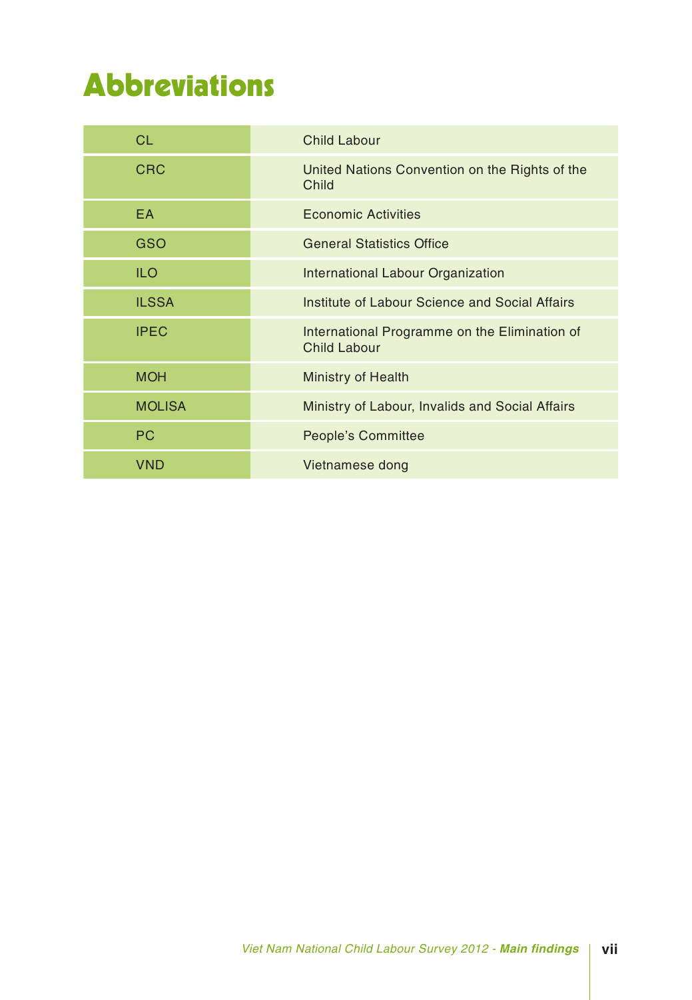# Abbreviations

| <b>CL</b>     | <b>Child Labour</b>                                                  |
|---------------|----------------------------------------------------------------------|
| <b>CRC</b>    | United Nations Convention on the Rights of the<br>Child              |
| <b>EA</b>     | <b>Economic Activities</b>                                           |
| <b>GSO</b>    | <b>General Statistics Office</b>                                     |
| <b>ILO</b>    | <b>International Labour Organization</b>                             |
| <b>ILSSA</b>  | Institute of Labour Science and Social Affairs                       |
| <b>IPEC</b>   | International Programme on the Elimination of<br><b>Child Labour</b> |
| <b>MOH</b>    | <b>Ministry of Health</b>                                            |
| <b>MOLISA</b> | Ministry of Labour, Invalids and Social Affairs                      |
| <b>PC</b>     | <b>People's Committee</b>                                            |
| <b>VND</b>    | Vietnamese dong                                                      |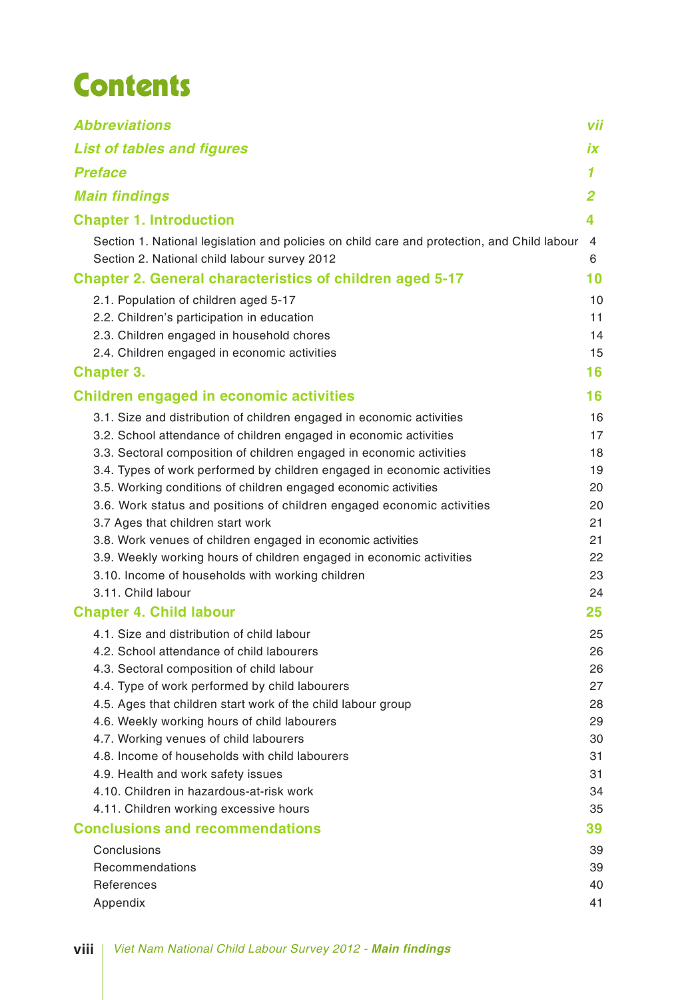# Contents

| <b>Abbreviations</b>                                                                                                                                                                                                                                                                                                                                                                                                                                                                                                                                                                                                                                                       | vii                                                      |
|----------------------------------------------------------------------------------------------------------------------------------------------------------------------------------------------------------------------------------------------------------------------------------------------------------------------------------------------------------------------------------------------------------------------------------------------------------------------------------------------------------------------------------------------------------------------------------------------------------------------------------------------------------------------------|----------------------------------------------------------|
| <b>List of tables and figures</b>                                                                                                                                                                                                                                                                                                                                                                                                                                                                                                                                                                                                                                          | İХ                                                       |
| <b>Preface</b>                                                                                                                                                                                                                                                                                                                                                                                                                                                                                                                                                                                                                                                             | 1                                                        |
| <b>Main findings</b>                                                                                                                                                                                                                                                                                                                                                                                                                                                                                                                                                                                                                                                       | $\overline{2}$                                           |
| <b>Chapter 1. Introduction</b>                                                                                                                                                                                                                                                                                                                                                                                                                                                                                                                                                                                                                                             | 4                                                        |
| Section 1. National legislation and policies on child care and protection, and Child labour<br>Section 2. National child labour survey 2012                                                                                                                                                                                                                                                                                                                                                                                                                                                                                                                                | 4<br>6                                                   |
| <b>Chapter 2. General characteristics of children aged 5-17</b>                                                                                                                                                                                                                                                                                                                                                                                                                                                                                                                                                                                                            | 10                                                       |
| 2.1. Population of children aged 5-17<br>2.2. Children's participation in education<br>2.3. Children engaged in household chores<br>2.4. Children engaged in economic activities                                                                                                                                                                                                                                                                                                                                                                                                                                                                                           | 10<br>11<br>14<br>15                                     |
| <b>Chapter 3.</b>                                                                                                                                                                                                                                                                                                                                                                                                                                                                                                                                                                                                                                                          | 16                                                       |
| <b>Children engaged in economic activities</b>                                                                                                                                                                                                                                                                                                                                                                                                                                                                                                                                                                                                                             | 16                                                       |
| 3.1. Size and distribution of children engaged in economic activities<br>3.2. School attendance of children engaged in economic activities<br>3.3. Sectoral composition of children engaged in economic activities<br>3.4. Types of work performed by children engaged in economic activities<br>3.5. Working conditions of children engaged economic activities<br>3.6. Work status and positions of children engaged economic activities<br>3.7 Ages that children start work<br>3.8. Work venues of children engaged in economic activities<br>3.9. Weekly working hours of children engaged in economic activities<br>3.10. Income of households with working children | 16<br>17<br>18<br>19<br>20<br>20<br>21<br>21<br>22<br>23 |
| 3.11. Child labour                                                                                                                                                                                                                                                                                                                                                                                                                                                                                                                                                                                                                                                         | 24                                                       |
| <b>Chapter 4. Child labour</b>                                                                                                                                                                                                                                                                                                                                                                                                                                                                                                                                                                                                                                             | 25                                                       |
| 4.1. Size and distribution of child labour<br>4.2. School attendance of child labourers<br>4.3. Sectoral composition of child labour<br>4.4. Type of work performed by child labourers<br>4.5. Ages that children start work of the child labour group<br>4.6. Weekly working hours of child labourers<br>4.7. Working venues of child labourers<br>4.8. Income of households with child labourers<br>4.9. Health and work safety issues                                                                                                                                                                                                                                   | 25<br>26<br>26<br>27<br>28<br>29<br>30<br>31<br>31       |
| 4.10. Children in hazardous-at-risk work                                                                                                                                                                                                                                                                                                                                                                                                                                                                                                                                                                                                                                   | 34                                                       |
| 4.11. Children working excessive hours                                                                                                                                                                                                                                                                                                                                                                                                                                                                                                                                                                                                                                     | 35                                                       |
| <b>Conclusions and recommendations</b>                                                                                                                                                                                                                                                                                                                                                                                                                                                                                                                                                                                                                                     | 39                                                       |
| Conclusions<br>Recommendations<br>References<br>Appendix                                                                                                                                                                                                                                                                                                                                                                                                                                                                                                                                                                                                                   | 39<br>39<br>40<br>41                                     |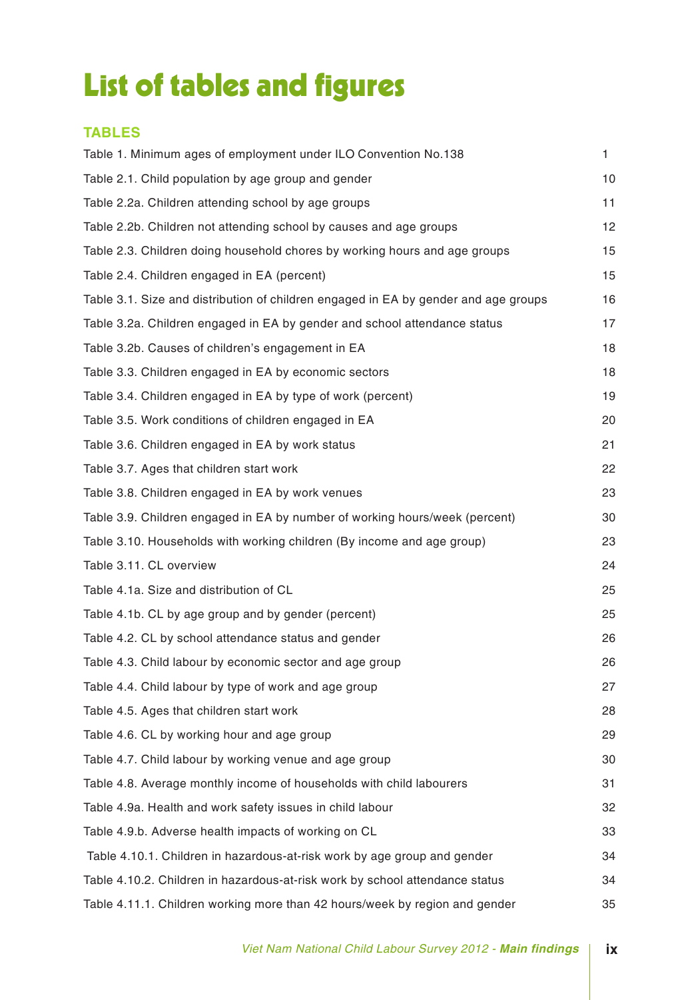# List of tables and figures

### **TABLES**

| Table 1. Minimum ages of employment under ILO Convention No.138                     | 1. |
|-------------------------------------------------------------------------------------|----|
| Table 2.1. Child population by age group and gender                                 | 10 |
| Table 2.2a. Children attending school by age groups                                 | 11 |
| Table 2.2b. Children not attending school by causes and age groups                  | 12 |
| Table 2.3. Children doing household chores by working hours and age groups          | 15 |
| Table 2.4. Children engaged in EA (percent)                                         | 15 |
| Table 3.1. Size and distribution of children engaged in EA by gender and age groups | 16 |
| Table 3.2a. Children engaged in EA by gender and school attendance status           | 17 |
| Table 3.2b. Causes of children's engagement in EA                                   | 18 |
| Table 3.3. Children engaged in EA by economic sectors                               | 18 |
| Table 3.4. Children engaged in EA by type of work (percent)                         | 19 |
| Table 3.5. Work conditions of children engaged in EA                                | 20 |
| Table 3.6. Children engaged in EA by work status                                    | 21 |
| Table 3.7. Ages that children start work                                            | 22 |
| Table 3.8. Children engaged in EA by work venues                                    | 23 |
| Table 3.9. Children engaged in EA by number of working hours/week (percent)         | 30 |
| Table 3.10. Households with working children (By income and age group)              | 23 |
| Table 3.11. CL overview                                                             | 24 |
| Table 4.1a. Size and distribution of CL                                             | 25 |
| Table 4.1b. CL by age group and by gender (percent)                                 | 25 |
| Table 4.2. CL by school attendance status and gender                                | 26 |
| Table 4.3. Child labour by economic sector and age group                            | 26 |
| Table 4.4. Child labour by type of work and age group                               | 27 |
| Table 4.5. Ages that children start work                                            | 28 |
| Table 4.6. CL by working hour and age group                                         | 29 |
| Table 4.7. Child labour by working venue and age group                              | 30 |
| Table 4.8. Average monthly income of households with child labourers                | 31 |
| Table 4.9a. Health and work safety issues in child labour                           | 32 |
| Table 4.9.b. Adverse health impacts of working on CL                                | 33 |
| Table 4.10.1. Children in hazardous-at-risk work by age group and gender            | 34 |
| Table 4.10.2. Children in hazardous-at-risk work by school attendance status        | 34 |
| Table 4.11.1. Children working more than 42 hours/week by region and gender         | 35 |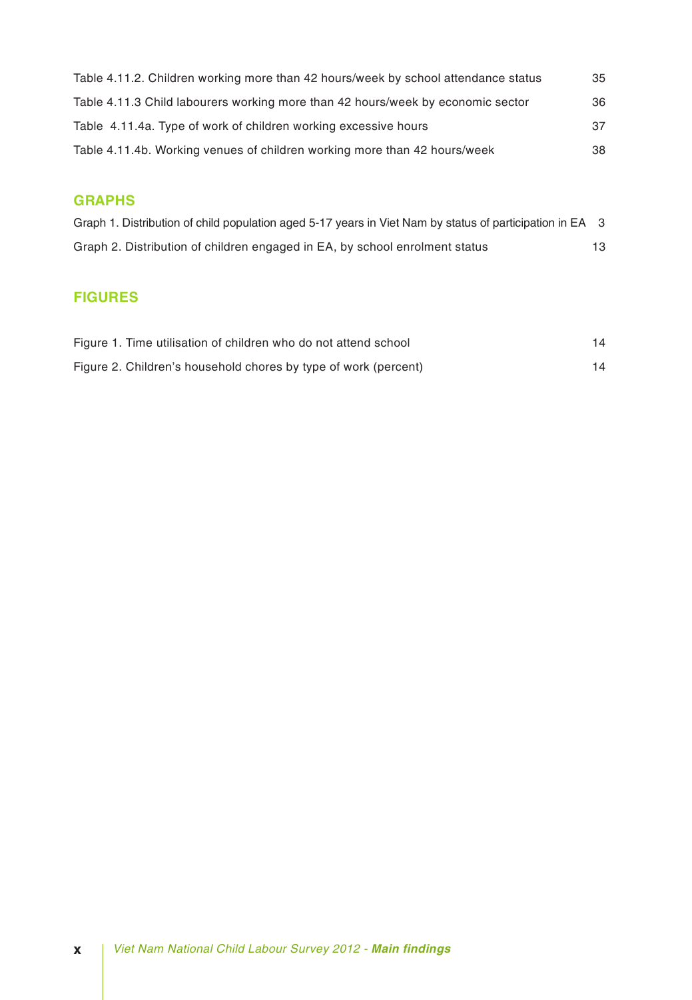| Table 4.11.2. Children working more than 42 hours/week by school attendance status | 35 |
|------------------------------------------------------------------------------------|----|
| Table 4.11.3 Child labourers working more than 42 hours/week by economic sector    | 36 |
| Table 4.11.4a. Type of work of children working excessive hours                    | 37 |
| Table 4.11.4b. Working venues of children working more than 42 hours/week          | 38 |

### **GRAPHS**

| Graph 1. Distribution of child population aged 5-17 years in Viet Nam by status of participation in EA 3 |    |
|----------------------------------------------------------------------------------------------------------|----|
| Graph 2. Distribution of children engaged in EA, by school enrolment status                              | 13 |

### **FIGURES**

| Figure 1. Time utilisation of children who do not attend school |  |
|-----------------------------------------------------------------|--|
| Figure 2. Children's household chores by type of work (percent) |  |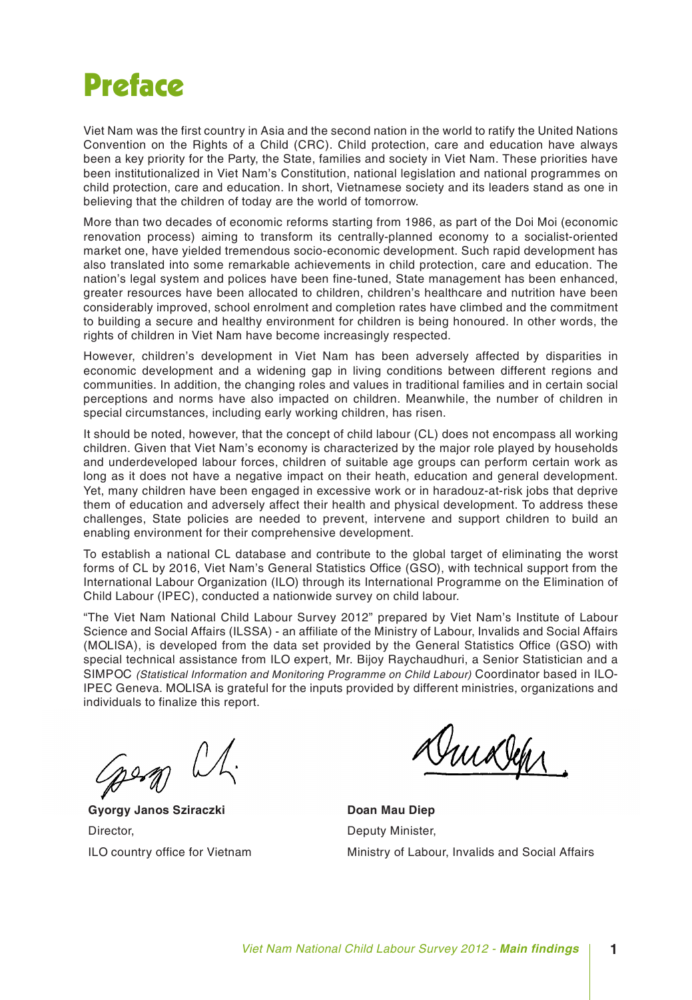## Preface

Viet Nam was the first country in Asia and the second nation in the world to ratify the United Nations Convention on the Rights of a Child (CRC). Child protection, care and education have always been a key priority for the Party, the State, families and society in Viet Nam. These priorities have been institutionalized in Viet Nam's Constitution, national legislation and national programmes on child protection, care and education. In short, Vietnamese society and its leaders stand as one in believing that the children of today are the world of tomorrow.

More than two decades of economic reforms starting from 1986, as part of the Doi Moi (economic renovation process) aiming to transform its centrally-planned economy to a socialist-oriented market one, have yielded tremendous socio-economic development. Such rapid development has also translated into some remarkable achievements in child protection, care and education. The nation's legal system and polices have been fine-tuned, State management has been enhanced, greater resources have been allocated to children, children's healthcare and nutrition have been considerably improved, school enrolment and completion rates have climbed and the commitment to building a secure and healthy environment for children is being honoured. In other words, the rights of children in Viet Nam have become increasingly respected.

However, children's development in Viet Nam has been adversely affected by disparities in economic development and a widening gap in living conditions between different regions and communities. In addition, the changing roles and values in traditional families and in certain social perceptions and norms have also impacted on children. Meanwhile, the number of children in special circumstances, including early working children, has risen.

It should be noted, however, that the concept of child labour (CL) does not encompass all working children. Given that Viet Nam's economy is characterized by the major role played by households and underdeveloped labour forces, children of suitable age groups can perform certain work as long as it does not have a negative impact on their heath, education and general development. Yet, many children have been engaged in excessive work or in haradouz-at-risk jobs that deprive them of education and adversely affect their health and physical development. To address these challenges, State policies are needed to prevent, intervene and support children to build an enabling environment for their comprehensive development.

To establish a national CL database and contribute to the global target of eliminating the worst forms of CL by 2016, Viet Nam's General Statistics Office (GSO), with technical support from the International Labour Organization (ILO) through its International Programme on the Elimination of Child Labour (IPEC), conducted a nationwide survey on child labour.

"The Viet Nam National Child Labour Survey 2012" prepared by Viet Nam's Institute of Labour Science and Social Affairs (ILSSA) - an affiliate of the Ministry of Labour, Invalids and Social Affairs (MOLISA), is developed from the data set provided by the General Statistics Office (GSO) with special technical assistance from ILO expert, Mr. Bijoy Raychaudhuri, a Senior Statistician and a SIMPOC *(Statistical Information and Monitoring Programme on Child Labour)* Coordinator based in ILO-IPEC Geneva. MOLISA is grateful for the inputs provided by different ministries, organizations and individuals to finalize this report.

geom L.

**Gyorgy Janos Sziraczki** Director, ILO country office for Vietnam

Duixlep

**Doan Mau Diep** Deputy Minister, Ministry of Labour, Invalids and Social Affairs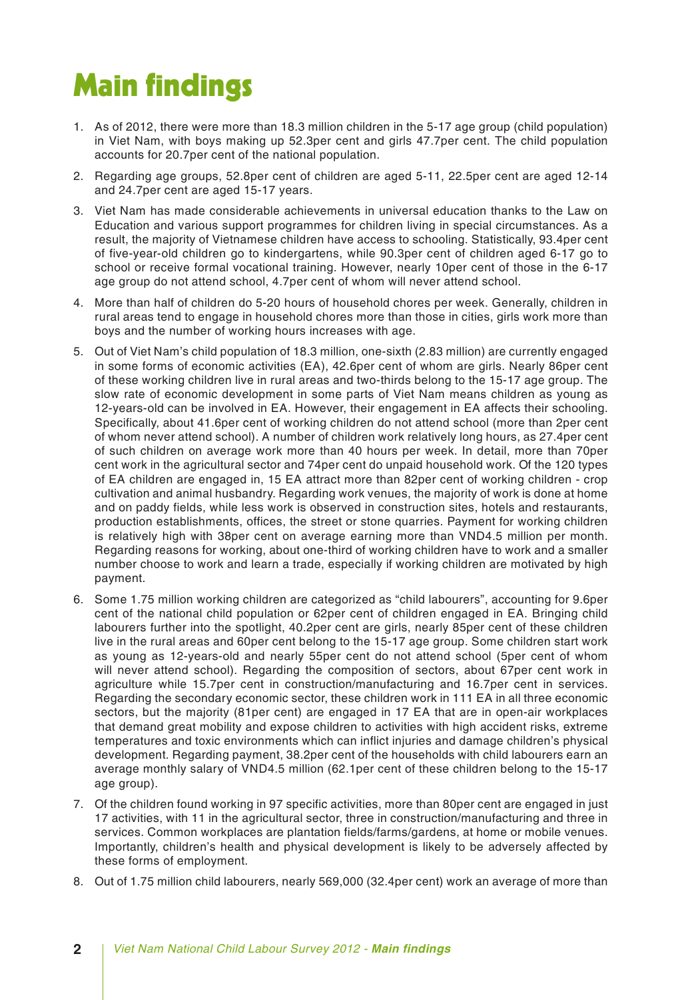# Main findings

- 1. As of 2012, there were more than 18.3 million children in the 5-17 age group (child population) in Viet Nam, with boys making up 52.3per cent and girls 47.7per cent. The child population accounts for 20.7per cent of the national population.
- 2. Regarding age groups, 52.8per cent of children are aged 5-11, 22.5per cent are aged 12-14 and 24.7per cent are aged 15-17 years.
- 3. Viet Nam has made considerable achievements in universal education thanks to the Law on Education and various support programmes for children living in special circumstances. As a result, the majority of Vietnamese children have access to schooling. Statistically, 93.4per cent of five-year-old children go to kindergartens, while 90.3per cent of children aged 6-17 go to school or receive formal vocational training. However, nearly 10per cent of those in the 6-17 age group do not attend school, 4.7per cent of whom will never attend school.
- 4. More than half of children do 5-20 hours of household chores per week. Generally, children in rural areas tend to engage in household chores more than those in cities, girls work more than boys and the number of working hours increases with age.
- 5. Out of Viet Nam's child population of 18.3 million, one-sixth (2.83 million) are currently engaged in some forms of economic activities (EA), 42.6per cent of whom are girls. Nearly 86per cent of these working children live in rural areas and two-thirds belong to the 15-17 age group. The slow rate of economic development in some parts of Viet Nam means children as young as 12-years-old can be involved in EA. However, their engagement in EA affects their schooling. Specifically, about 41.6per cent of working children do not attend school (more than 2per cent of whom never attend school). A number of children work relatively long hours, as 27.4per cent of such children on average work more than 40 hours per week. In detail, more than 70per cent work in the agricultural sector and 74per cent do unpaid household work. Of the 120 types of EA children are engaged in, 15 EA attract more than 82per cent of working children - crop cultivation and animal husbandry. Regarding work venues, the majority of work is done at home and on paddy fields, while less work is observed in construction sites, hotels and restaurants, production establishments, offices, the street or stone quarries. Payment for working children is relatively high with 38per cent on average earning more than VND4.5 million per month. Regarding reasons for working, about one-third of working children have to work and a smaller number choose to work and learn a trade, especially if working children are motivated by high payment.
- 6. Some 1.75 million working children are categorized as "child labourers", accounting for 9.6per cent of the national child population or 62per cent of children engaged in EA. Bringing child labourers further into the spotlight, 40.2per cent are girls, nearly 85per cent of these children live in the rural areas and 60per cent belong to the 15-17 age group. Some children start work as young as 12-years-old and nearly 55per cent do not attend school (5per cent of whom will never attend school). Regarding the composition of sectors, about 67per cent work in agriculture while 15.7per cent in construction/manufacturing and 16.7per cent in services. Regarding the secondary economic sector, these children work in 111 EA in all three economic sectors, but the majority (81per cent) are engaged in 17 EA that are in open-air workplaces that demand great mobility and expose children to activities with high accident risks, extreme temperatures and toxic environments which can inflict injuries and damage children's physical development. Regarding payment, 38.2per cent of the households with child labourers earn an average monthly salary of VND4.5 million (62.1per cent of these children belong to the 15-17 age group).
- 7. Of the children found working in 97 specific activities, more than 80per cent are engaged in just 17 activities, with 11 in the agricultural sector, three in construction/manufacturing and three in services. Common workplaces are plantation fields/farms/gardens, at home or mobile venues. Importantly, children's health and physical development is likely to be adversely affected by these forms of employment.
- 8. Out of 1.75 million child labourers, nearly 569,000 (32.4per cent) work an average of more than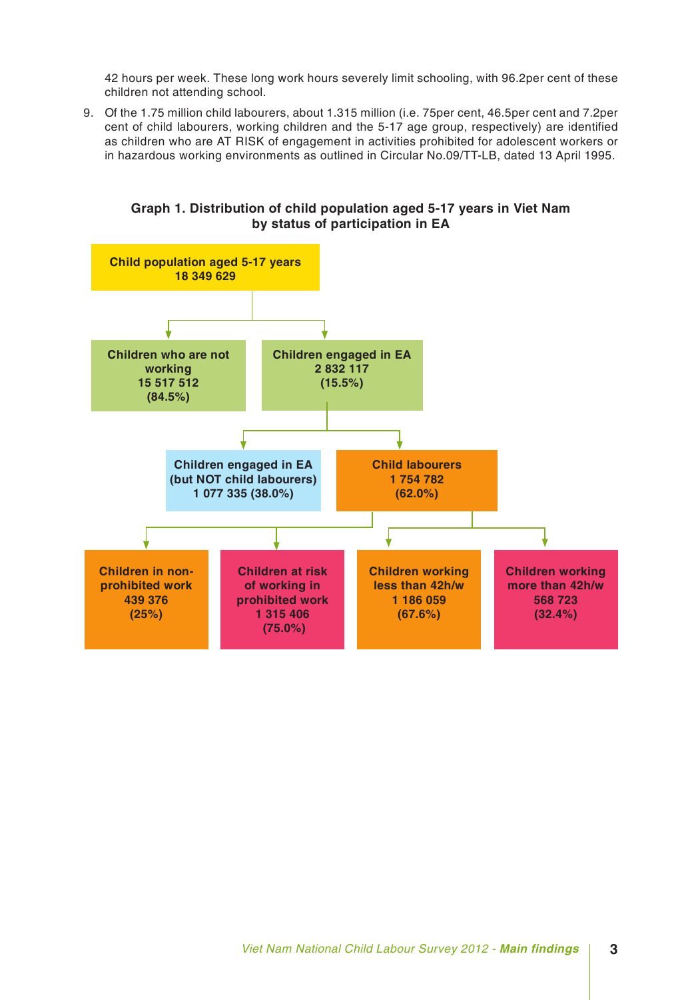42 hours per week. These long work hours severely limit schooling, with 96.2per cent of these children not attending school.

9. Of the 1.75 million child labourers, about 1.315 million (i.e. 75per cent, 46.5per cent and 7.2per cent of child labourers, working children and the 5-17 age group, respectively) are identified as children who are AT RISK of engagement in activities prohibited for adolescent workers or in hazardous working environments as outlined in Circular No.09/TT-LB, dated 13 April 1995.

**Graph 1. Distribution of child population aged 5-17 years in Viet Nam by status of participation in EA**

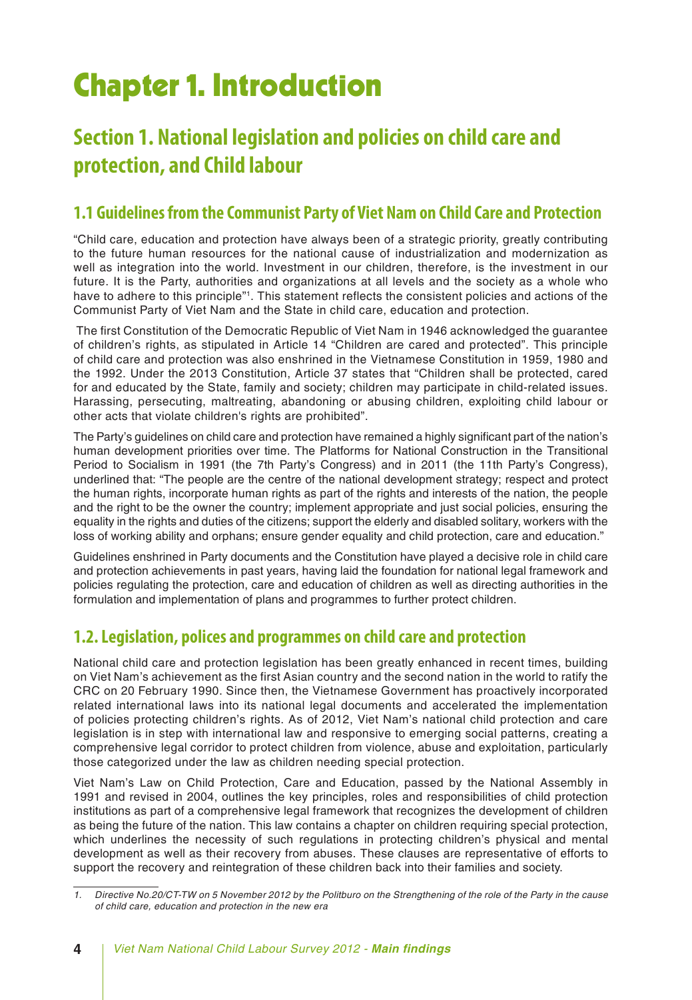# Chapter 1. Introduction

### **Section 1. National legislation and policies on child care and protection, and Child labour**

### **1.1 Guidelines from the Communist Party of Viet Nam on Child Care and Protection**

"Child care, education and protection have always been of a strategic priority, greatly contributing to the future human resources for the national cause of industrialization and modernization as well as integration into the world. Investment in our children, therefore, is the investment in our future. It is the Party, authorities and organizations at all levels and the society as a whole who have to adhere to this principle"<sup>1</sup>. This statement reflects the consistent policies and actions of the Communist Party of Viet Nam and the State in child care, education and protection.

 The first Constitution of the Democratic Republic of Viet Nam in 1946 acknowledged the guarantee of children's rights, as stipulated in Article 14 "Children are cared and protected". This principle of child care and protection was also enshrined in the Vietnamese Constitution in 1959, 1980 and the 1992. Under the 2013 Constitution, Article 37 states that "Children shall be protected, cared for and educated by the State, family and society; children may participate in child-related issues. Harassing, persecuting, maltreating, abandoning or abusing children, exploiting child labour or other acts that violate children's rights are prohibited".

The Party's guidelines on child care and protection have remained a highly significant part of the nation's human development priorities over time. The Platforms for National Construction in the Transitional Period to Socialism in 1991 (the 7th Party's Congress) and in 2011 (the 11th Party's Congress), underlined that: "The people are the centre of the national development strategy; respect and protect the human rights, incorporate human rights as part of the rights and interests of the nation, the people and the right to be the owner the country; implement appropriate and just social policies, ensuring the equality in the rights and duties of the citizens; support the elderly and disabled solitary, workers with the loss of working ability and orphans; ensure gender equality and child protection, care and education."

Guidelines enshrined in Party documents and the Constitution have played a decisive role in child care and protection achievements in past years, having laid the foundation for national legal framework and policies regulating the protection, care and education of children as well as directing authorities in the formulation and implementation of plans and programmes to further protect children.

### **1.2. Legislation, polices and programmes on child care and protection**

National child care and protection legislation has been greatly enhanced in recent times, building on Viet Nam's achievement as the first Asian country and the second nation in the world to ratify the CRC on 20 February 1990. Since then, the Vietnamese Government has proactively incorporated related international laws into its national legal documents and accelerated the implementation of policies protecting children's rights. As of 2012, Viet Nam's national child protection and care legislation is in step with international law and responsive to emerging social patterns, creating a comprehensive legal corridor to protect children from violence, abuse and exploitation, particularly those categorized under the law as children needing special protection.

Viet Nam's Law on Child Protection, Care and Education, passed by the National Assembly in 1991 and revised in 2004, outlines the key principles, roles and responsibilities of child protection institutions as part of a comprehensive legal framework that recognizes the development of children as being the future of the nation. This law contains a chapter on children requiring special protection, which underlines the necessity of such regulations in protecting children's physical and mental development as well as their recovery from abuses. These clauses are representative of efforts to support the recovery and reintegration of these children back into their families and society.

*<sup>1.</sup> Directive No.20/CT-TW on 5 November 2012 by the Politburo on the Strengthening of the role of the Party in the cause of child care, education and protection in the new era*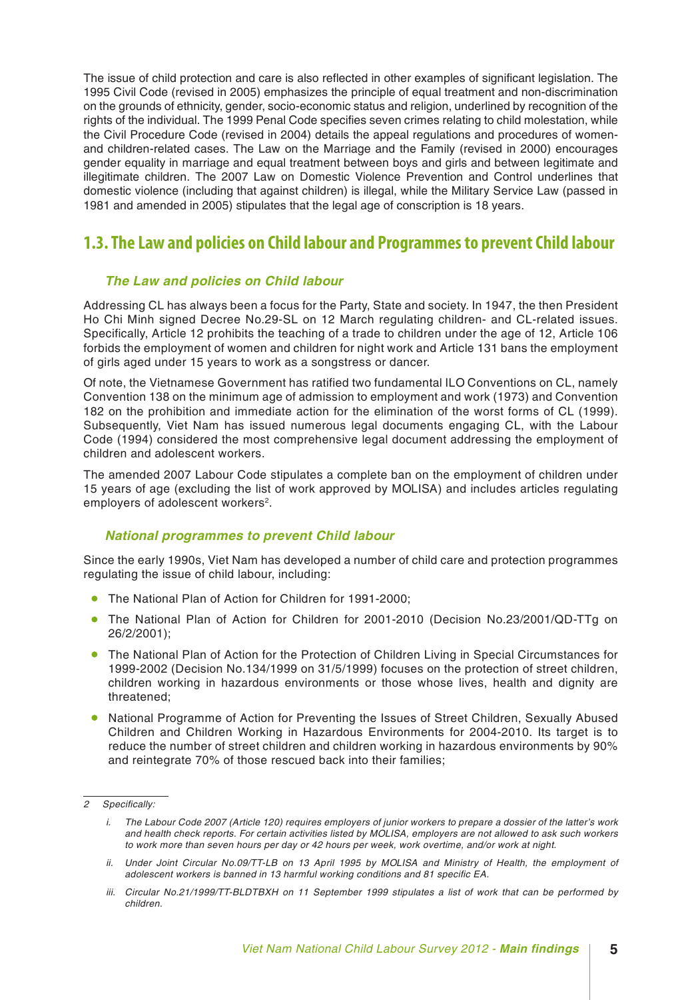The issue of child protection and care is also reflected in other examples of significant legislation. The 1995 Civil Code (revised in 2005) emphasizes the principle of equal treatment and non-discrimination on the grounds of ethnicity, gender, socio-economic status and religion, underlined by recognition of the rights of the individual. The 1999 Penal Code specifies seven crimes relating to child molestation, while the Civil Procedure Code (revised in 2004) details the appeal regulations and procedures of womenand children-related cases. The Law on the Marriage and the Family (revised in 2000) encourages gender equality in marriage and equal treatment between boys and girls and between legitimate and illegitimate children. The 2007 Law on Domestic Violence Prevention and Control underlines that domestic violence (including that against children) is illegal, while the Military Service Law (passed in 1981 and amended in 2005) stipulates that the legal age of conscription is 18 years.

### **1.3. The Law and policies on Child labour and Programmes to prevent Child labour**

#### *The Law and policies on Child labour*

Addressing CL has always been a focus for the Party, State and society. In 1947, the then President Ho Chi Minh signed Decree No.29-SL on 12 March regulating children- and CL-related issues. Specifically, Article 12 prohibits the teaching of a trade to children under the age of 12, Article 106 forbids the employment of women and children for night work and Article 131 bans the employment of girls aged under 15 years to work as a songstress or dancer.

Of note, the Vietnamese Government has ratified two fundamental ILO Conventions on CL, namely Convention 138 on the minimum age of admission to employment and work (1973) and Convention 182 on the prohibition and immediate action for the elimination of the worst forms of CL (1999). Subsequently, Viet Nam has issued numerous legal documents engaging CL, with the Labour Code (1994) considered the most comprehensive legal document addressing the employment of children and adolescent workers.

The amended 2007 Labour Code stipulates a complete ban on the employment of children under 15 years of age (excluding the list of work approved by MOLISA) and includes articles regulating employers of adolescent workers<sup>2</sup>.

### *National programmes to prevent Child labour*

Since the early 1990s, Viet Nam has developed a number of child care and protection programmes regulating the issue of child labour, including:

- The National Plan of Action for Children for 1991-2000;
- The National Plan of Action for Children for 2001-2010 (Decision No.23/2001/QD-TTg on 26/2/2001);
- The National Plan of Action for the Protection of Children Living in Special Circumstances for 1999-2002 (Decision No.134/1999 on 31/5/1999) focuses on the protection of street children, children working in hazardous environments or those whose lives, health and dignity are threatened;
- National Programme of Action for Preventing the Issues of Street Children, Sexually Abused Children and Children Working in Hazardous Environments for 2004-2010. Its target is to reduce the number of street children and children working in hazardous environments by 90% and reintegrate 70% of those rescued back into their families;

*<sup>2</sup> Specifically:*

*i. The Labour Code 2007 (Article 120) requires employers of junior workers to prepare a dossier of the latter's work and health check reports. For certain activities listed by MOLISA, employers are not allowed to ask such workers to work more than seven hours per day or 42 hours per week, work overtime, and/or work at night.*

*ii.* Under Joint Circular No.09/TT-LB on 13 April 1995 by MOLISA and Ministry of Health, the employment of *adolescent workers is banned in 13 harmful working conditions and 81 specific EA.* 

*iii. Circular No.21/1999/TT-BLDTBXH on 11 September 1999 stipulates a list of work that can be performed by children.*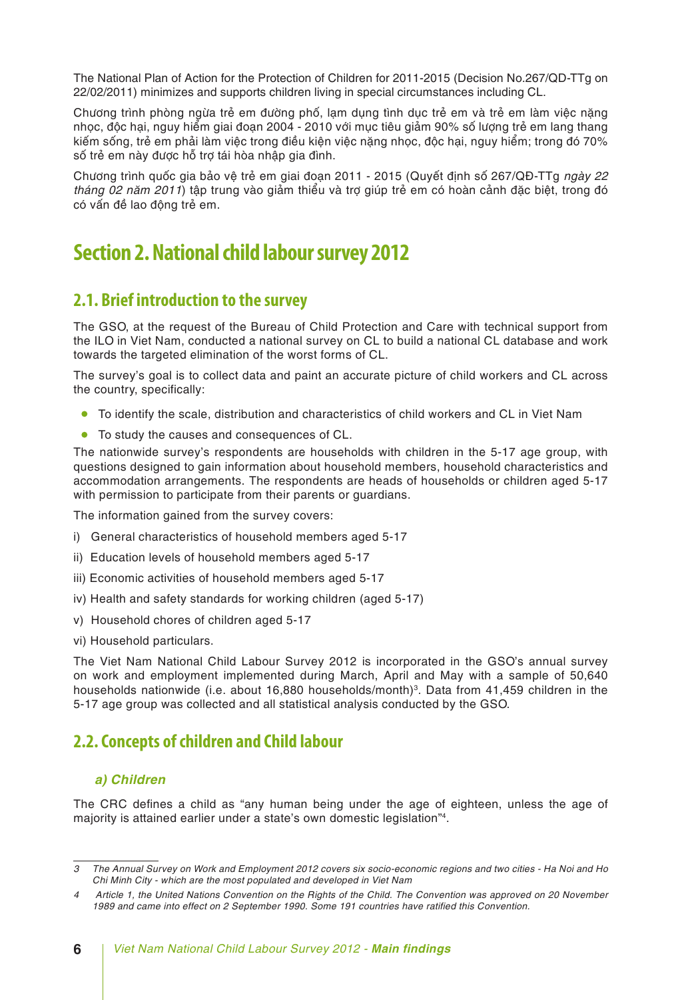The National Plan of Action for the Protection of Children for 2011-2015 (Decision No.267/QD-TTg on 22/02/2011) minimizes and supports children living in special circumstances including CL.

Chương trình phòng ngừa trẻ em đường phố, lạm dụng tình dục trẻ em và trẻ em làm việc nặng nhọc, độc hại, nguy hiểm giai đoạn 2004 - 2010 với mục tiêu giảm 90% số lượng trẻ em lang thang kiếm sống, trẻ em phải làm việc trong điều kiện việc nặng nhọc, độc hại, nguy hiểm; trong đó 70% số trẻ em này được hỗ trợ tái hòa nhập gia đình.

Chương trình quốc gia bảo vệ trẻ em giai đoạn 2011 - 2015 (Quyết định số 267/QĐ-TTg *ngày 22 tháng 02 năm 2011*) tập trung vào giảm thiểu và trợ giúp trẻ em có hoàn cảnh đặc biệt, trong đó có vấn đề lao động trẻ em.

### **Section 2. National child labour survey 2012**

### **2.1. Brief introduction to the survey**

The GSO, at the request of the Bureau of Child Protection and Care with technical support from the ILO in Viet Nam, conducted a national survey on CL to build a national CL database and work towards the targeted elimination of the worst forms of CL.

The survey's goal is to collect data and paint an accurate picture of child workers and CL across the country, specifically:

- To identify the scale, distribution and characteristics of child workers and CL in Viet Nam
- To study the causes and consequences of CL.

The nationwide survey's respondents are households with children in the 5-17 age group, with questions designed to gain information about household members, household characteristics and accommodation arrangements. The respondents are heads of households or children aged 5-17 with permission to participate from their parents or guardians.

The information gained from the survey covers:

- i) General characteristics of household members aged 5-17
- ii) Education levels of household members aged 5-17
- iii) Economic activities of household members aged 5-17
- iv) Health and safety standards for working children (aged 5-17)
- v) Household chores of children aged 5-17
- vi) Household particulars.

The Viet Nam National Child Labour Survey 2012 is incorporated in the GSO's annual survey on work and employment implemented during March, April and May with a sample of 50,640 households nationwide (i.e. about 16,880 households/month)<sup>3</sup>. Data from 41,459 children in the 5-17 age group was collected and all statistical analysis conducted by the GSO.

### **2.2. Concepts of children and Child labour**

#### *a) Children*

The CRC defines a child as "any human being under the age of eighteen, unless the age of majority is attained earlier under a state's own domestic legislation"4.

*<sup>3</sup> The Annual Survey on Work and Employment 2012 covers six socio-economic regions and two cities - Ha Noi and Ho Chi Minh City - which are the most populated and developed in Viet Nam*

*<sup>4</sup> Article 1, the United Nations Convention on the Rights of the Child. The Convention was approved on 20 November 1989 and came into effect on 2 September 1990. Some 191 countries have ratified this Convention.*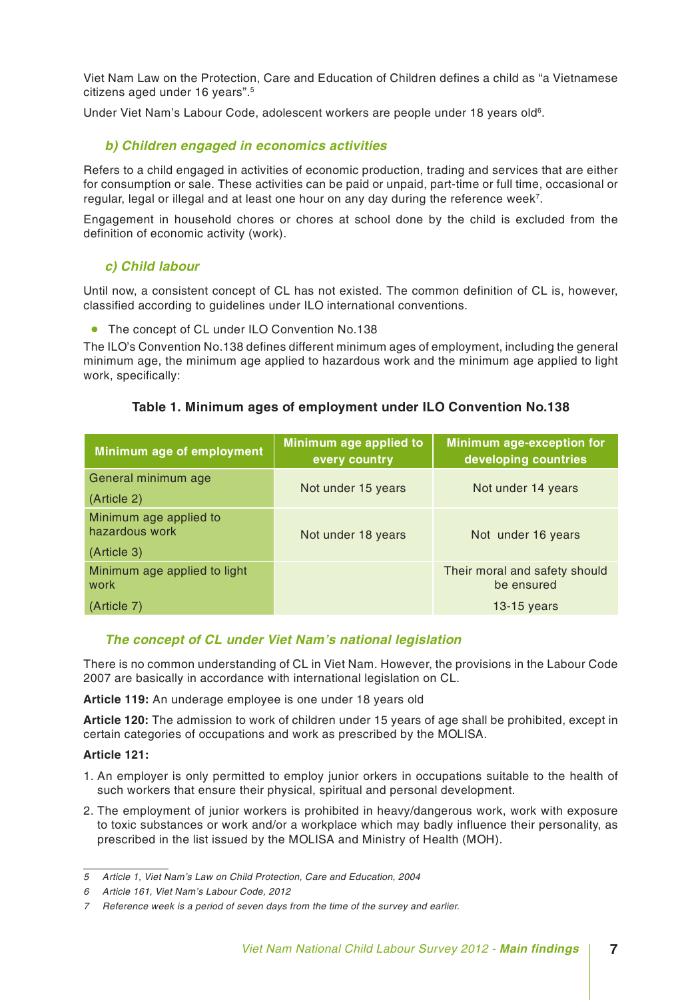Viet Nam Law on the Protection, Care and Education of Children defines a child as "a Vietnamese citizens aged under 16 years".5

Under Viet Nam's Labour Code, adolescent workers are people under 18 years old<sup>6</sup>.

#### *b) Children engaged in economics activities*

Refers to a child engaged in activities of economic production, trading and services that are either for consumption or sale. These activities can be paid or unpaid, part-time or full time, occasional or regular, legal or illegal and at least one hour on any day during the reference week<sup>7</sup>.

Engagement in household chores or chores at school done by the child is excluded from the definition of economic activity (work).

### *c) Child labour*

Until now, a consistent concept of CL has not existed. The common definition of CL is, however, classified according to guidelines under ILO international conventions.

• The concept of CL under ILO Convention No.138

The ILO's Convention No.138 defines different minimum ages of employment, including the general minimum age, the minimum age applied to hazardous work and the minimum age applied to light work, specifically:

### **Table 1. Minimum ages of employment under ILO Convention No.138**

| Minimum age of employment                | Minimum age applied to<br>every country | Minimum age-exception for<br>developing countries |  |  |
|------------------------------------------|-----------------------------------------|---------------------------------------------------|--|--|
| General minimum age                      | Not under 15 years                      | Not under 14 years                                |  |  |
| (Article 2)                              |                                         |                                                   |  |  |
| Minimum age applied to<br>hazardous work | Not under 18 years                      | Not under 16 years                                |  |  |
| (Article 3)                              |                                         |                                                   |  |  |
| Minimum age applied to light<br>work     |                                         | Their moral and safety should<br>be ensured       |  |  |
| (Article 7)                              |                                         | 13-15 years                                       |  |  |

### *The concept of CL under Viet Nam's national legislation*

There is no common understanding of CL in Viet Nam. However, the provisions in the Labour Code 2007 are basically in accordance with international legislation on CL.

**Article 119:** An underage employee is one under 18 years old

**Article 120:** The admission to work of children under 15 years of age shall be prohibited, except in certain categories of occupations and work as prescribed by the MOLISA.

#### **Article 121:**

- 1. An employer is only permitted to employ junior orkers in occupations suitable to the health of such workers that ensure their physical, spiritual and personal development.
- 2. The employment of junior workers is prohibited in heavy/dangerous work, work with exposure to toxic substances or work and/or a workplace which may badly influence their personality, as prescribed in the list issued by the MOLISA and Ministry of Health (MOH).

*<sup>5</sup> Article 1, Viet Nam's Law on Child Protection, Care and Education, 2004*

*<sup>6</sup> Article 161, Viet Nam's Labour Code, 2012*

*<sup>7</sup> Reference week is a period of seven days from the time of the survey and earlier.*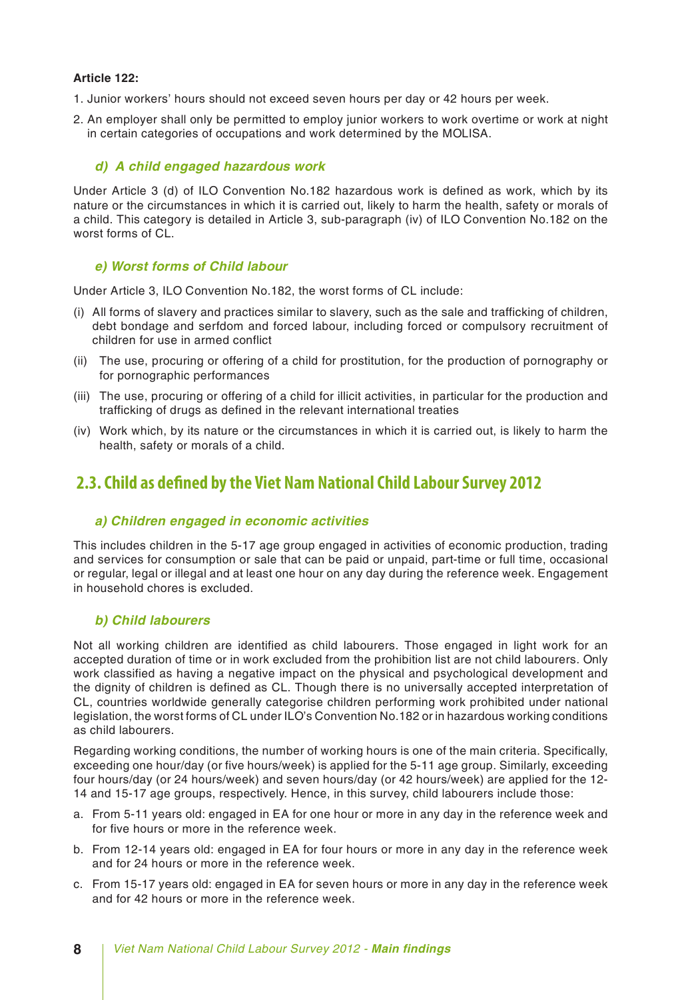#### **Article 122:**

- 1. Junior workers' hours should not exceed seven hours per day or 42 hours per week.
- 2. An employer shall only be permitted to employ junior workers to work overtime or work at night in certain categories of occupations and work determined by the MOLISA.

#### *d) A child engaged hazardous work*

Under Article 3 (d) of ILO Convention No.182 hazardous work is defined as work, which by its nature or the circumstances in which it is carried out, likely to harm the health, safety or morals of a child. This category is detailed in Article 3, sub-paragraph (iv) of ILO Convention No.182 on the worst forms of CL.

#### *e) Worst forms of Child labour*

Under Article 3, ILO Convention No.182, the worst forms of CL include:

- (i) All forms of slavery and practices similar to slavery, such as the sale and trafficking of children, debt bondage and serfdom and forced labour, including forced or compulsory recruitment of children for use in armed conflict
- (ii) The use, procuring or offering of a child for prostitution, for the production of pornography or for pornographic performances
- (iii) The use, procuring or offering of a child for illicit activities, in particular for the production and trafficking of drugs as defined in the relevant international treaties
- (iv) Work which, by its nature or the circumstances in which it is carried out, is likely to harm the health, safety or morals of a child.

### **2.3. Child as defined by the Viet Nam National Child Labour Survey 2012**

#### *a) Children engaged in economic activities*

This includes children in the 5-17 age group engaged in activities of economic production, trading and services for consumption or sale that can be paid or unpaid, part-time or full time, occasional or regular, legal or illegal and at least one hour on any day during the reference week. Engagement in household chores is excluded.

### *b) Child labourers*

Not all working children are identified as child labourers. Those engaged in light work for an accepted duration of time or in work excluded from the prohibition list are not child labourers. Only work classified as having a negative impact on the physical and psychological development and the dignity of children is defined as CL. Though there is no universally accepted interpretation of CL, countries worldwide generally categorise children performing work prohibited under national legislation, the worst forms of CL under ILO's Convention No.182 or in hazardous working conditions as child labourers.

Regarding working conditions, the number of working hours is one of the main criteria. Specifically, exceeding one hour/day (or five hours/week) is applied for the 5-11 age group. Similarly, exceeding four hours/day (or 24 hours/week) and seven hours/day (or 42 hours/week) are applied for the 12- 14 and 15-17 age groups, respectively. Hence, in this survey, child labourers include those:

- a. From 5-11 years old: engaged in EA for one hour or more in any day in the reference week and for five hours or more in the reference week.
- b. From 12-14 years old: engaged in EA for four hours or more in any day in the reference week and for 24 hours or more in the reference week.
- c. From 15-17 years old: engaged in EA for seven hours or more in any day in the reference week and for 42 hours or more in the reference week.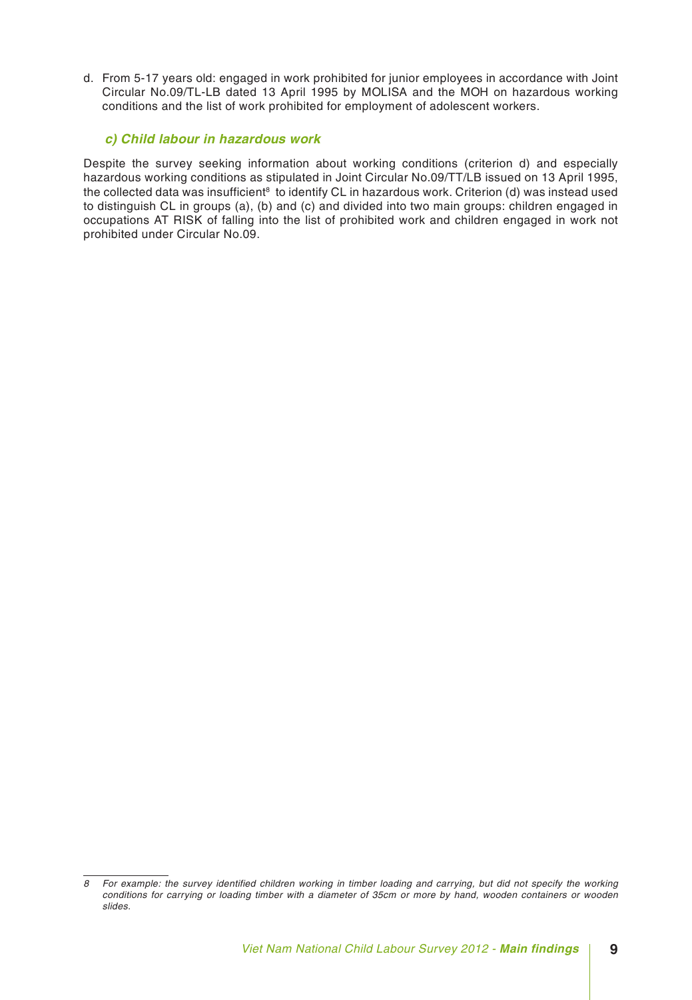d. From 5-17 years old: engaged in work prohibited for junior employees in accordance with Joint Circular No.09/TL-LB dated 13 April 1995 by MOLISA and the MOH on hazardous working conditions and the list of work prohibited for employment of adolescent workers.

### *c) Child labour in hazardous work*

Despite the survey seeking information about working conditions (criterion d) and especially hazardous working conditions as stipulated in Joint Circular No.09/TT/LB issued on 13 April 1995, the collected data was insufficient<sup>8</sup> to identify CL in hazardous work. Criterion (d) was instead used to distinguish CL in groups (a), (b) and (c) and divided into two main groups: children engaged in occupations AT RISK of falling into the list of prohibited work and children engaged in work not prohibited under Circular No.09.

*<sup>8</sup> For example: the survey identified children working in timber loading and carrying, but did not specify the working conditions for carrying or loading timber with a diameter of 35cm or more by hand, wooden containers or wooden slides.*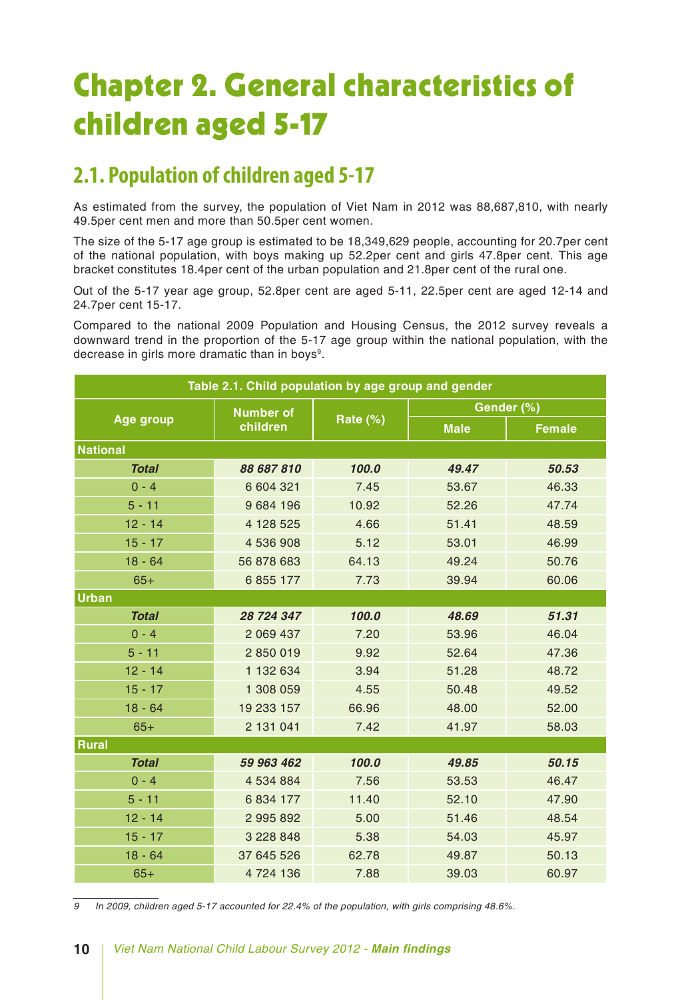# Chapter 2. General characteristics of children aged 5-17

### **2.1. Population of children aged 5-17**

As estimated from the survey, the population of Viet Nam in 2012 was 88,687,810, with nearly 49.5per cent men and more than 50.5per cent women.

The size of the 5-17 age group is estimated to be 18,349,629 people, accounting for 20.7per cent of the national population, with boys making up 52.2per cent and girls 47.8per cent. This age bracket constitutes 18.4per cent of the urban population and 21.8per cent of the rural one.

Out of the 5-17 year age group, 52.8per cent are aged 5-11, 22.5per cent are aged 12-14 and 24.7per cent 15-17.

Compared to the national 2009 Population and Housing Census, the 2012 survey reveals a downward trend in the proportion of the 5-17 age group within the national population, with the decrease in girls more dramatic than in boys<sup>9</sup>.

| Table 2.1. Child population by age group and gender |                  |          |             |               |  |  |  |  |
|-----------------------------------------------------|------------------|----------|-------------|---------------|--|--|--|--|
|                                                     | <b>Number of</b> |          | Gender (%)  |               |  |  |  |  |
| <b>Age group</b>                                    | children         | Rate (%) | <b>Male</b> | <b>Female</b> |  |  |  |  |
| <b>National</b>                                     |                  |          |             |               |  |  |  |  |
| <b>Total</b>                                        | 88 687 810       | 100.0    | 49.47       | 50.53         |  |  |  |  |
| $0 - 4$                                             | 6 604 321        | 7.45     | 53.67       | 46.33         |  |  |  |  |
| $5 - 11$                                            | 9 684 196        | 10.92    | 52.26       | 47.74         |  |  |  |  |
| $12 - 14$                                           | 4 128 525        | 4.66     | 51.41       | 48.59         |  |  |  |  |
| $15 - 17$                                           | 4 536 908        | 5.12     | 53.01       | 46.99         |  |  |  |  |
| $18 - 64$                                           | 56 878 683       | 64.13    | 49.24       | 50.76         |  |  |  |  |
| $65+$                                               | 6 855 177        | 7.73     | 39.94       | 60.06         |  |  |  |  |
| <b>Urban</b>                                        |                  |          |             |               |  |  |  |  |
| <b>Total</b>                                        | 28 724 347       | 100.0    | 48.69       | 51.31         |  |  |  |  |
| $0 - 4$                                             | 2 069 437        | 7.20     | 53.96       | 46.04         |  |  |  |  |
| $5 - 11$                                            | 2850019          | 9.92     | 52.64       | 47.36         |  |  |  |  |
| $12 - 14$                                           | 1 132 634        | 3.94     | 51.28       | 48.72         |  |  |  |  |
| $15 - 17$                                           | 1 308 059        | 4.55     | 50.48       | 49.52         |  |  |  |  |
| $18 - 64$                                           | 19 233 157       | 66.96    | 48.00       | 52.00         |  |  |  |  |
| $65+$                                               | 2 131 041        | 7.42     | 41.97       | 58.03         |  |  |  |  |
| Rural                                               |                  |          |             |               |  |  |  |  |
| <b>Total</b>                                        | 59 963 462       | 100.0    | 49.85       | 50.15         |  |  |  |  |
| $0 - 4$                                             | 4 534 884        | 7.56     | 53.53       | 46.47         |  |  |  |  |
| $5 - 11$                                            | 6 834 177        | 11.40    | 52.10       | 47.90         |  |  |  |  |
| $12 - 14$                                           | 2 995 892        | 5.00     | 51.46       | 48.54         |  |  |  |  |
| $15 - 17$                                           | 3 228 848        | 5.38     | 54.03       | 45.97         |  |  |  |  |
| $18 - 64$                                           | 37 645 526       | 62.78    | 49.87       | 50.13         |  |  |  |  |
| $65+$                                               | 4 724 136        | 7.88     | 39.03       | 60.97         |  |  |  |  |

*9 In 2009, children aged 5-17 accounted for 22.4% of the population, with girls comprising 48.6%.*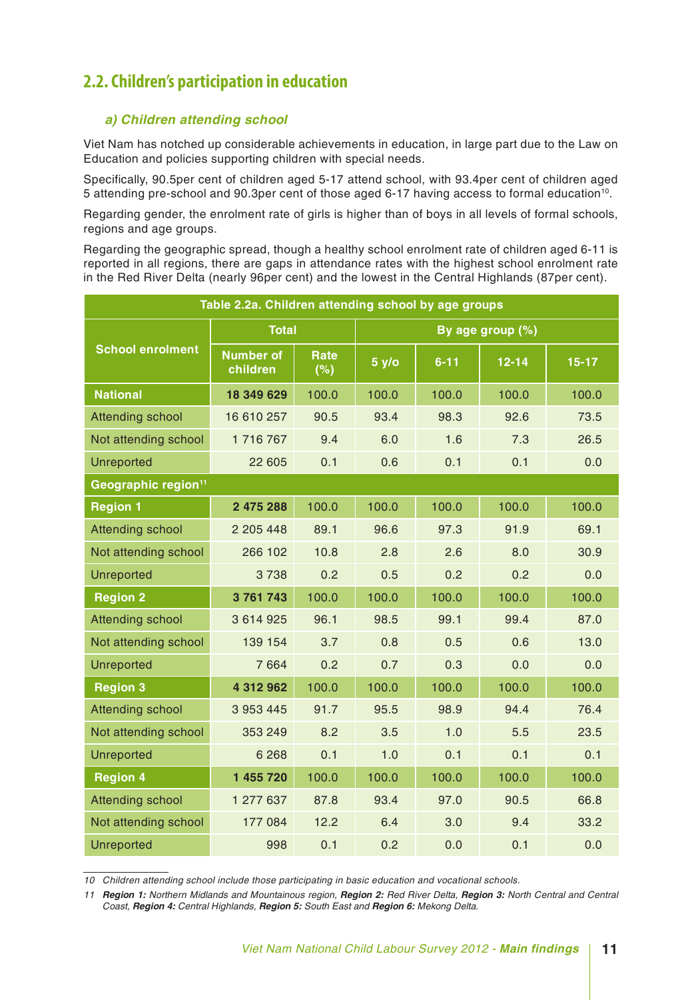### **2.2. Children's participation in education**

### *a) Children attending school*

Viet Nam has notched up considerable achievements in education, in large part due to the Law on Education and policies supporting children with special needs.

Specifically, 90.5per cent of children aged 5-17 attend school, with 93.4per cent of children aged 5 attending pre-school and 90.3per cent of those aged 6-17 having access to formal education10.

Regarding gender, the enrolment rate of girls is higher than of boys in all levels of formal schools, regions and age groups.

Regarding the geographic spread, though a healthy school enrolment rate of children aged 6-11 is reported in all regions, there are gaps in attendance rates with the highest school enrolment rate in the Red River Delta (nearly 96per cent) and the lowest in the Central Highlands (87per cent).

| Table 2.2a. Children attending school by age groups |                              |                           |                  |          |           |         |  |
|-----------------------------------------------------|------------------------------|---------------------------|------------------|----------|-----------|---------|--|
|                                                     | <b>Total</b>                 |                           | By age group (%) |          |           |         |  |
| <b>School enrolment</b>                             | <b>Number of</b><br>children | Rate<br>$\overline{(\%)}$ | 5 y/o            | $6 - 11$ | $12 - 14$ | $15-17$ |  |
| <b>National</b>                                     | 18 349 629                   | 100.0                     | 100.0            | 100.0    | 100.0     | 100.0   |  |
| <b>Attending school</b>                             | 16 610 257                   | 90.5                      | 93.4             | 98.3     | 92.6      | 73.5    |  |
| Not attending school                                | 1716767                      | 9.4                       | 6.0              | 1.6      | 7.3       | 26.5    |  |
| <b>Unreported</b>                                   | 22 605                       | 0.1                       | 0.6              | 0.1      | 0.1       | 0.0     |  |
| Geographic region <sup>11</sup>                     |                              |                           |                  |          |           |         |  |
| <b>Region 1</b>                                     | 2 475 288                    | 100.0                     | 100.0            | 100.0    | 100.0     | 100.0   |  |
| <b>Attending school</b>                             | 2 205 448                    | 89.1                      | 96.6             | 97.3     | 91.9      | 69.1    |  |
| Not attending school                                | 266 102                      | 10.8                      | 2.8              | 2.6      | 8.0       | 30.9    |  |
| <b>Unreported</b>                                   | 3738                         | 0.2                       | 0.5              | 0.2      | 0.2       | 0.0     |  |
| <b>Region 2</b>                                     | 3761743                      | 100.0                     | 100.0            | 100.0    | 100.0     | 100.0   |  |
| <b>Attending school</b>                             | 3 614 925                    | 96.1                      | 98.5             | 99.1     | 99.4      | 87.0    |  |
| Not attending school                                | 139 154                      | 3.7                       | 0.8              | 0.5      | 0.6       | 13.0    |  |
| <b>Unreported</b>                                   | 7 6 6 4                      | 0.2                       | 0.7              | 0.3      | 0.0       | 0.0     |  |
| <b>Region 3</b>                                     | 4 312 962                    | 100.0                     | 100.0            | 100.0    | 100.0     | 100.0   |  |
| <b>Attending school</b>                             | 3 953 445                    | 91.7                      | 95.5             | 98.9     | 94.4      | 76.4    |  |
| Not attending school                                | 353 249                      | 8.2                       | 3.5              | 1.0      | 5.5       | 23.5    |  |
| <b>Unreported</b>                                   | 6 2 6 8                      | 0.1                       | 1.0              | 0.1      | 0.1       | 0.1     |  |
| <b>Region 4</b>                                     | 1 455 720                    | 100.0                     | 100.0            | 100.0    | 100.0     | 100.0   |  |
| <b>Attending school</b>                             | 1 277 637                    | 87.8                      | 93.4             | 97.0     | 90.5      | 66.8    |  |
| Not attending school                                | 177 084                      | 12.2                      | 6.4              | 3.0      | 9.4       | 33.2    |  |
| <b>Unreported</b>                                   | 998                          | 0.1                       | 0.2              | 0.0      | 0.1       | 0.0     |  |

*10 Children attending school include those participating in basic education and vocational schools.*

*11 Region 1: Northern Midlands and Mountainous region, Region 2: Red River Delta, Region 3: North Central and Central Coast, Region 4: Central Highlands, Region 5: South East and Region 6: Mekong Delta.*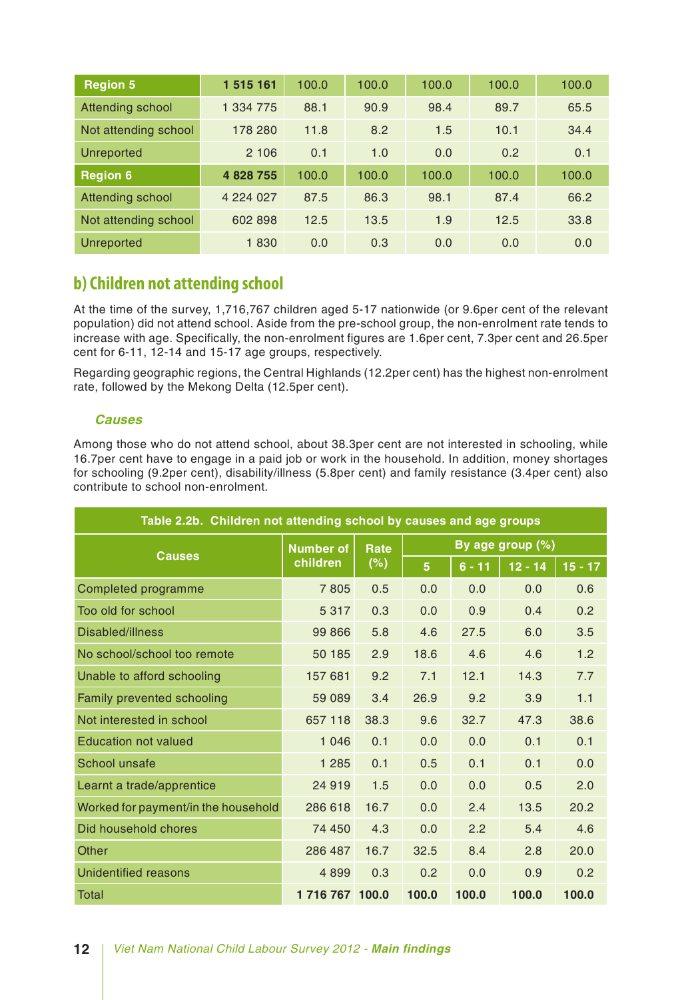| <b>Region 5</b>      | 1 515 161 | 100.0 | 100.0 | 100.0 | 100.0 | 100.0 |
|----------------------|-----------|-------|-------|-------|-------|-------|
| Attending school     | 1 334 775 | 88.1  | 90.9  | 98.4  | 89.7  | 65.5  |
| Not attending school | 178 280   | 11.8  | 8.2   | 1.5   | 10.1  | 34.4  |
| <b>Unreported</b>    | 2 106     | 0.1   | 1.0   | 0.0   | 0.2   | 0.1   |
| <b>Region 6</b>      | 4 828 755 | 100.0 | 100.0 | 100.0 | 100.0 | 100.0 |
| Attending school     | 4 224 027 | 87.5  | 86.3  | 98.1  | 87.4  | 66.2  |
| Not attending school | 602 898   | 12.5  | 13.5  | 1.9   | 12.5  | 33.8  |
| <b>Unreported</b>    | 1830      | 0.0   | 0.3   | 0.0   | 0.0   | 0.0   |

### **b) Children not attending school**

At the time of the survey, 1,716,767 children aged 5-17 nationwide (or 9.6per cent of the relevant population) did not attend school. Aside from the pre-school group, the non-enrolment rate tends to increase with age. Specifically, the non-enrolment figures are 1.6per cent, 7.3per cent and 26.5per cent for 6-11, 12-14 and 15-17 age groups, respectively.

Regarding geographic regions, the Central Highlands (12.2per cent) has the highest non-enrolment rate, followed by the Mekong Delta (12.5per cent).

### *Causes*

Among those who do not attend school, about 38.3per cent are not interested in schooling, while 16.7per cent have to engage in a paid job or work in the household. In addition, money shortages for schooling (9.2per cent), disability/illness (5.8per cent) and family resistance (3.4per cent) also contribute to school non-enrolment.

| Table 2.2b. Children not attending school by causes and age groups |                  |      |                |          |                  |           |  |  |  |
|--------------------------------------------------------------------|------------------|------|----------------|----------|------------------|-----------|--|--|--|
|                                                                    | <b>Number of</b> | Rate |                |          | By age group (%) |           |  |  |  |
| <b>Causes</b>                                                      | children         | (%)  | 5 <sub>5</sub> | $6 - 11$ | $12 - 14$        | $15 - 17$ |  |  |  |
| Completed programme                                                | 7805             | 0.5  | 0.0            | 0.0      | 0.0              | 0.6       |  |  |  |
| Too old for school                                                 | 5 3 1 7          | 0.3  | 0.0            | 0.9      | 0.4              | 0.2       |  |  |  |
| Disabled/illness                                                   | 99 866           | 5.8  | 4.6            | 27.5     | 6.0              | 3.5       |  |  |  |
| No school/school too remote                                        | 50 185           | 2.9  | 18.6           | 4.6      | 4.6              | 1.2       |  |  |  |
| Unable to afford schooling                                         | 157 681          | 9.2  | 7.1            | 12.1     | 14.3             | 7.7       |  |  |  |
| Family prevented schooling                                         | 59 089           | 3.4  | 26.9           | 9.2      | 3.9              | 1.1       |  |  |  |
| Not interested in school                                           | 657 118          | 38.3 | 9.6            | 32.7     | 47.3             | 38.6      |  |  |  |
| <b>Education not valued</b>                                        | 1 0 4 6          | 0.1  | 0.0            | 0.0      | 0.1              | 0.1       |  |  |  |
| School unsafe                                                      | 1 2 8 5          | 0.1  | 0.5            | 0.1      | 0.1              | 0.0       |  |  |  |
| Learnt a trade/apprentice                                          | 24 919           | 1.5  | 0.0            | 0.0      | 0.5              | 2.0       |  |  |  |
| Worked for payment/in the household                                | 286 618          | 16.7 | 0.0            | 2.4      | 13.5             | 20.2      |  |  |  |
| Did household chores                                               | 74 450           | 4.3  | 0.0            | 2.2      | 5.4              | 4.6       |  |  |  |
| Other                                                              | 286 487          | 16.7 | 32.5           | 8.4      | 2.8              | 20.0      |  |  |  |
| <b>Unidentified reasons</b>                                        | 4 8 9 9          | 0.3  | 0.2            | 0.0      | 0.9              | 0.2       |  |  |  |
| Total                                                              | 1 716 767 100.0  |      | 100.0          | 100.0    | 100.0            | 100.0     |  |  |  |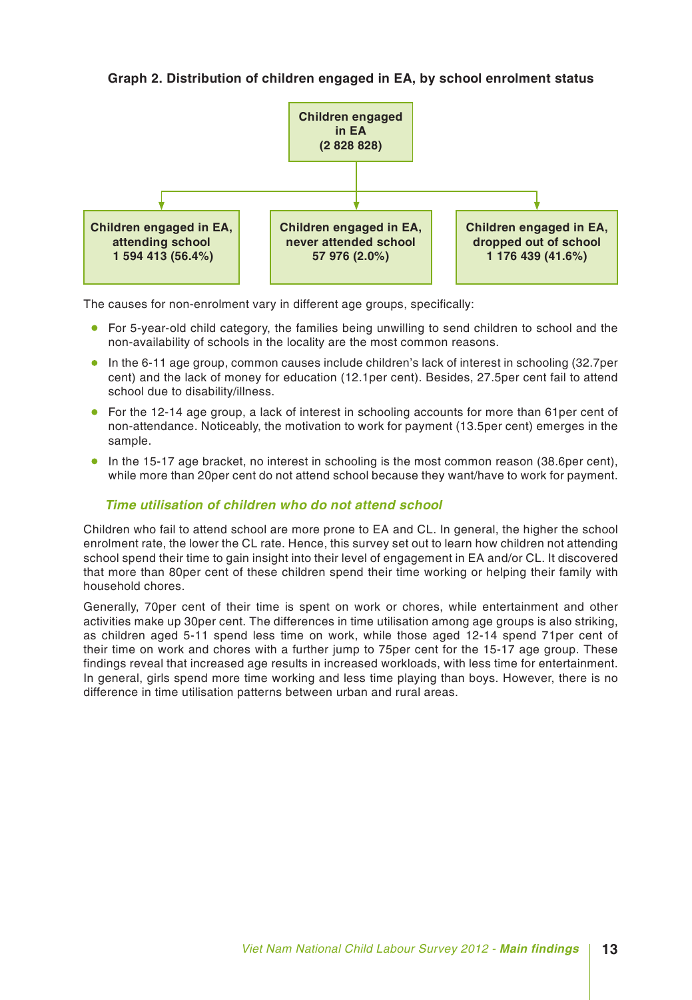**Graph 2. Distribution of children engaged in EA, by school enrolment status**



The causes for non-enrolment vary in different age groups, specifically:

- For 5-year-old child category, the families being unwilling to send children to school and the non-availability of schools in the locality are the most common reasons.
- In the 6-11 age group, common causes include children's lack of interest in schooling (32.7per cent) and the lack of money for education (12.1per cent). Besides, 27.5per cent fail to attend school due to disability/illness.
- For the 12-14 age group, a lack of interest in schooling accounts for more than 61per cent of non-attendance. Noticeably, the motivation to work for payment (13.5per cent) emerges in the sample.
- In the 15-17 age bracket, no interest in schooling is the most common reason (38.6per cent), while more than 20per cent do not attend school because they want/have to work for payment.

### *Time utilisation of children who do not attend school*

Children who fail to attend school are more prone to EA and CL. In general, the higher the school enrolment rate, the lower the CL rate. Hence, this survey set out to learn how children not attending school spend their time to gain insight into their level of engagement in EA and/or CL. It discovered that more than 80per cent of these children spend their time working or helping their family with household chores.

Generally, 70per cent of their time is spent on work or chores, while entertainment and other activities make up 30per cent. The differences in time utilisation among age groups is also striking, as children aged 5-11 spend less time on work, while those aged 12-14 spend 71per cent of their time on work and chores with a further jump to 75per cent for the 15-17 age group. These findings reveal that increased age results in increased workloads, with less time for entertainment. In general, girls spend more time working and less time playing than boys. However, there is no difference in time utilisation patterns between urban and rural areas.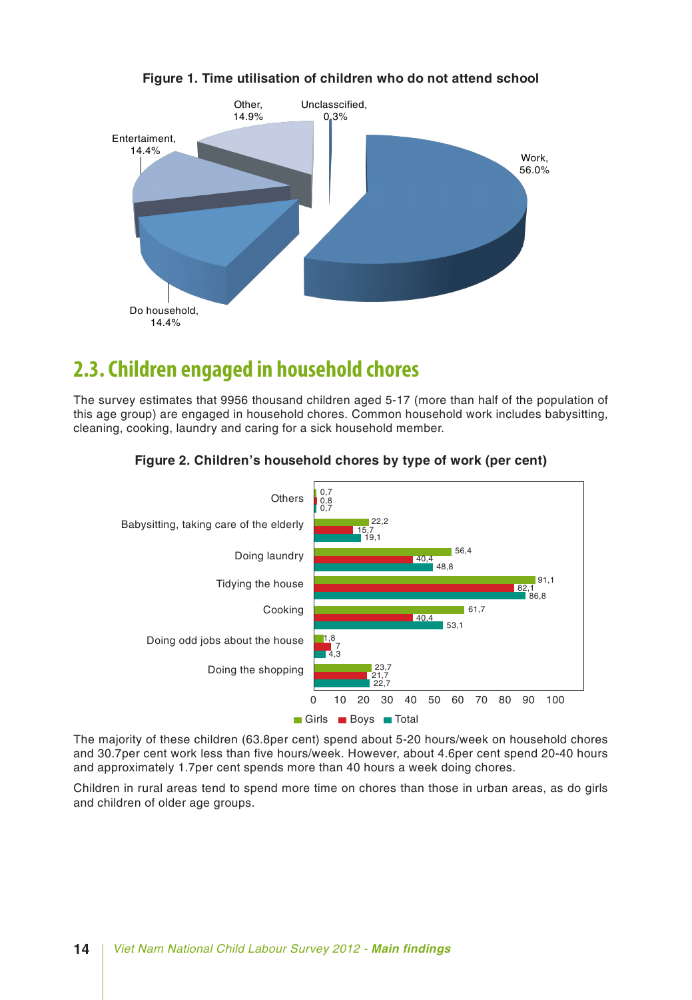

### **Figure 1. Time utilisation of children who do not attend school**

### **2.3. Children engaged in household chores**

The survey estimates that 9956 thousand children aged 5-17 (more than half of the population of this age group) are engaged in household chores. Common household work includes babysitting, cleaning, cooking, laundry and caring for a sick household member.



#### **Figure 2. Children's household chores by type of work (per cent)**

The majority of these children (63.8per cent) spend about 5-20 hours/week on household chores and 30.7per cent work less than five hours/week. However, about 4.6per cent spend 20-40 hours and approximately 1.7per cent spends more than 40 hours a week doing chores.

Children in rural areas tend to spend more time on chores than those in urban areas, as do girls and children of older age groups.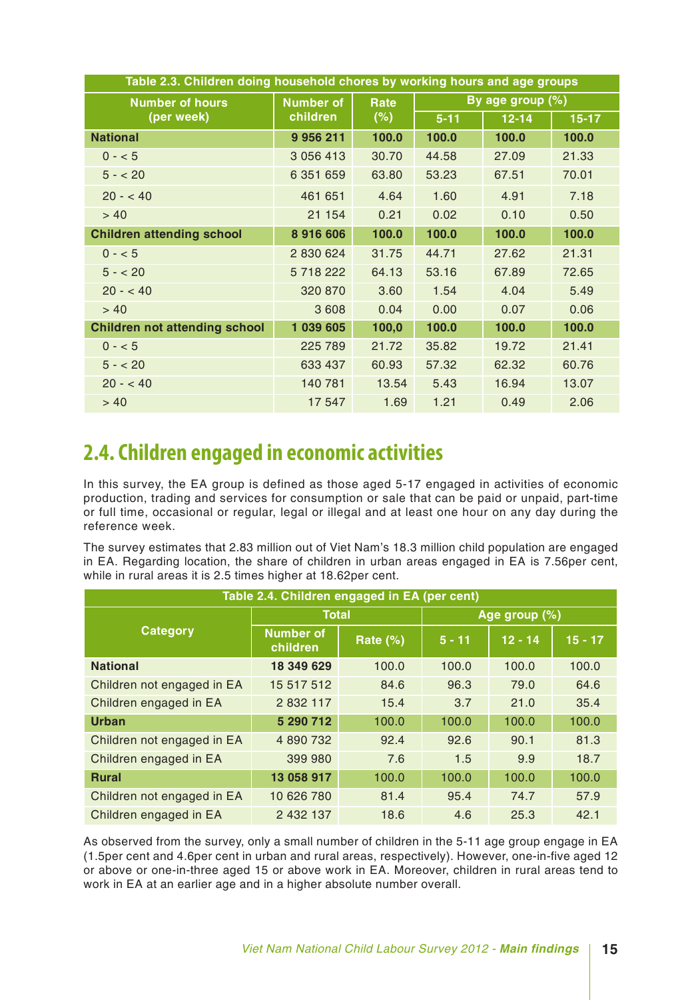| Table 2.3. Children doing household chores by working hours and age groups |                  |       |          |                     |           |  |  |  |  |  |
|----------------------------------------------------------------------------|------------------|-------|----------|---------------------|-----------|--|--|--|--|--|
| <b>Number of hours</b>                                                     | <b>Number of</b> | Rate  |          | By age group $(\%)$ |           |  |  |  |  |  |
| (per week)                                                                 | children         | (%)   | $5 - 11$ | $12 - 14$           | $15 - 17$ |  |  |  |  |  |
| <b>National</b>                                                            | 9 9 5 6 2 1 1    | 100.0 | 100.0    | 100.0               | 100.0     |  |  |  |  |  |
| $0 - 5$                                                                    | 3 0 5 6 4 1 3    | 30.70 | 44.58    | 27.09               | 21.33     |  |  |  |  |  |
| $5 - 20$                                                                   | 6 351 659        | 63.80 | 53.23    | 67.51               | 70.01     |  |  |  |  |  |
| $20 - 40$                                                                  | 461 651          | 4.64  | 1.60     | 4.91                | 7.18      |  |  |  |  |  |
| > 40                                                                       | 21 154           | 0.21  | 0.02     | 0.10                | 0.50      |  |  |  |  |  |
| <b>Children attending school</b>                                           | 8916606          | 100.0 | 100.0    | 100.0               | 100.0     |  |  |  |  |  |
| $0 - 5$                                                                    | 2 830 624        | 31.75 | 44.71    | 27.62               | 21.31     |  |  |  |  |  |
| $5 - 20$                                                                   | 5 718 222        | 64.13 | 53.16    | 67.89               | 72.65     |  |  |  |  |  |
| $20 - 40$                                                                  | 320 870          | 3.60  | 1.54     | 4.04                | 5.49      |  |  |  |  |  |
| > 40                                                                       | 3 6 0 8          | 0.04  | 0.00     | 0.07                | 0.06      |  |  |  |  |  |
| <b>Children not attending school</b>                                       | 1 039 605        | 100,0 | 100.0    | 100.0               | 100.0     |  |  |  |  |  |
| $0 - 5$                                                                    | 225 789          | 21.72 | 35.82    | 19.72               | 21.41     |  |  |  |  |  |
| $5 - 20$                                                                   | 633 437          | 60.93 | 57.32    | 62.32               | 60.76     |  |  |  |  |  |
| $20 - 40$                                                                  | 140 781          | 13.54 | 5.43     | 16.94               | 13.07     |  |  |  |  |  |
| > 40                                                                       | 17 547           | 1.69  | 1.21     | 0.49                | 2.06      |  |  |  |  |  |

### **2.4. Children engaged in economic activities**

In this survey, the EA group is defined as those aged 5-17 engaged in activities of economic production, trading and services for consumption or sale that can be paid or unpaid, part-time or full time, occasional or regular, legal or illegal and at least one hour on any day during the reference week.

The survey estimates that 2.83 million out of Viet Nam's 18.3 million child population are engaged in EA. Regarding location, the share of children in urban areas engaged in EA is 7.56per cent, while in rural areas it is 2.5 times higher at 18.62per cent.

| Table 2.4. Children engaged in EA (per cent) |                              |                 |          |               |           |  |  |  |  |  |
|----------------------------------------------|------------------------------|-----------------|----------|---------------|-----------|--|--|--|--|--|
|                                              | <b>Total</b>                 |                 |          | Age group (%) |           |  |  |  |  |  |
| <b>Category</b>                              | <b>Number of</b><br>children | <b>Rate (%)</b> | $5 - 11$ | $12 - 14$     | $15 - 17$ |  |  |  |  |  |
| <b>National</b>                              | 18 349 629                   | 100.0           | 100.0    | 100.0         | 100.0     |  |  |  |  |  |
| Children not engaged in EA                   | 15 517 512                   | 84.6            | 96.3     | 79.0          | 64.6      |  |  |  |  |  |
| Children engaged in EA                       | 2 8 3 2 1 1 7                | 15.4            | 3.7      | 21.0          | 35.4      |  |  |  |  |  |
| <b>Urban</b>                                 | 5 290 712                    | 100.0           | 100.0    | 100.0         | 100.0     |  |  |  |  |  |
| Children not engaged in EA                   | 4 890 732                    | 92.4            | 92.6     | 90.1          | 81.3      |  |  |  |  |  |
| Children engaged in EA                       | 399 980                      | 7.6             | 1.5      | 9.9           | 18.7      |  |  |  |  |  |
| <b>Rural</b>                                 | 13 058 917                   | 100.0           | 100.0    | 100.0         | 100.0     |  |  |  |  |  |
| Children not engaged in EA                   | 10 626 780                   | 81.4            | 95.4     | 74.7          | 57.9      |  |  |  |  |  |
| Children engaged in EA                       | 2 432 137                    | 18.6            | 4.6      | 25.3          | 42.1      |  |  |  |  |  |

As observed from the survey, only a small number of children in the 5-11 age group engage in EA (1.5per cent and 4.6per cent in urban and rural areas, respectively). However, one-in-five aged 12 or above or one-in-three aged 15 or above work in EA. Moreover, children in rural areas tend to work in EA at an earlier age and in a higher absolute number overall.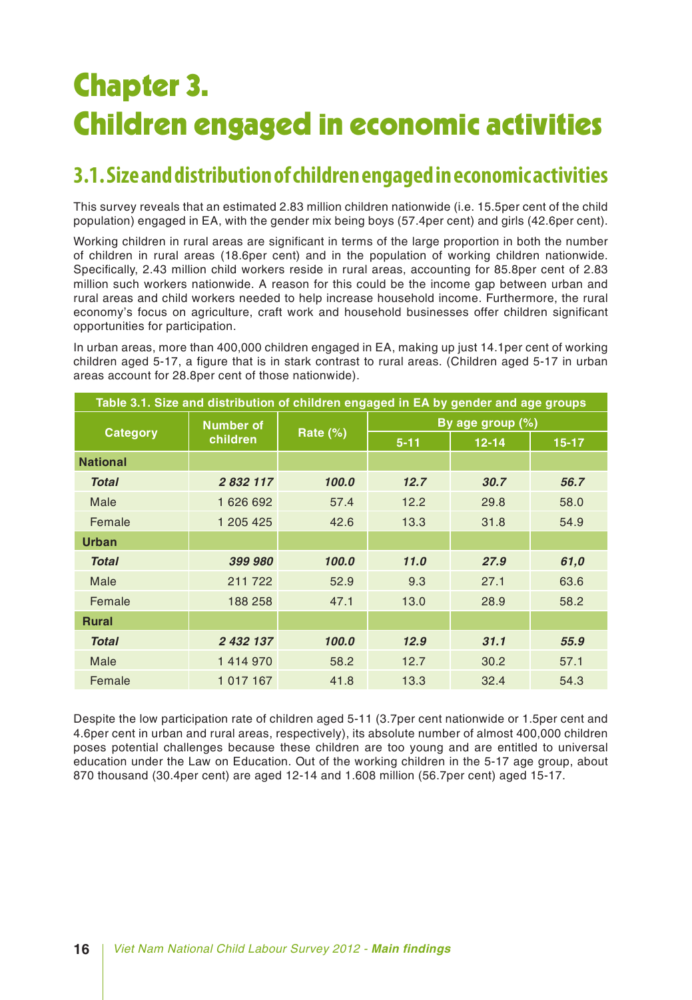# Chapter 3. Children engaged in economic activities

### **3.1. Size and distribution of children engaged in economic activities**

This survey reveals that an estimated 2.83 million children nationwide (i.e. 15.5per cent of the child population) engaged in EA, with the gender mix being boys (57.4per cent) and girls (42.6per cent).

Working children in rural areas are significant in terms of the large proportion in both the number of children in rural areas (18.6per cent) and in the population of working children nationwide. Specifically, 2.43 million child workers reside in rural areas, accounting for 85.8per cent of 2.83 million such workers nationwide. A reason for this could be the income gap between urban and rural areas and child workers needed to help increase household income. Furthermore, the rural economy's focus on agriculture, craft work and household businesses offer children significant opportunities for participation.

In urban areas, more than 400,000 children engaged in EA, making up just 14.1per cent of working children aged 5-17, a figure that is in stark contrast to rural areas. (Children aged 5-17 in urban areas account for 28.8per cent of those nationwide).

| Table 3.1. Size and distribution of children engaged in EA by gender and age groups |                  |          |          |                  |         |  |  |  |  |
|-------------------------------------------------------------------------------------|------------------|----------|----------|------------------|---------|--|--|--|--|
|                                                                                     | <b>Number of</b> |          |          | By age group (%) |         |  |  |  |  |
| <b>Category</b>                                                                     | children         | Rate (%) | $5 - 11$ | $12 - 14$        | $15-17$ |  |  |  |  |
| <b>National</b>                                                                     |                  |          |          |                  |         |  |  |  |  |
| <b>Total</b>                                                                        | 2 832 117        | 100.0    | 12.7     | 30.7             | 56.7    |  |  |  |  |
| Male                                                                                | 1626692          | 57.4     | 12.2     | 29.8             | 58.0    |  |  |  |  |
| Female                                                                              | 1 205 425        | 42.6     | 13.3     | 31.8             | 54.9    |  |  |  |  |
| <b>Urban</b>                                                                        |                  |          |          |                  |         |  |  |  |  |
| <b>Total</b>                                                                        | 399 980          | 100.0    | 11.0     | 27.9             | 61,0    |  |  |  |  |
| Male                                                                                | 211 722          | 52.9     | 9.3      | 27.1             | 63.6    |  |  |  |  |
| Female                                                                              | 188 258          | 47.1     | 13.0     | 28.9             | 58.2    |  |  |  |  |
| <b>Rural</b>                                                                        |                  |          |          |                  |         |  |  |  |  |
| <b>Total</b>                                                                        | 2 432 137        | 100.0    | 12.9     | 31.1             | 55.9    |  |  |  |  |
| Male                                                                                | 1414970          | 58.2     | 12.7     | 30.2             | 57.1    |  |  |  |  |
| Female                                                                              | 1 0 1 7 1 6 7    | 41.8     | 13.3     | 32.4             | 54.3    |  |  |  |  |

Despite the low participation rate of children aged 5-11 (3.7per cent nationwide or 1.5per cent and 4.6per cent in urban and rural areas, respectively), its absolute number of almost 400,000 children poses potential challenges because these children are too young and are entitled to universal education under the Law on Education. Out of the working children in the 5-17 age group, about 870 thousand (30.4per cent) are aged 12-14 and 1.608 million (56.7per cent) aged 15-17.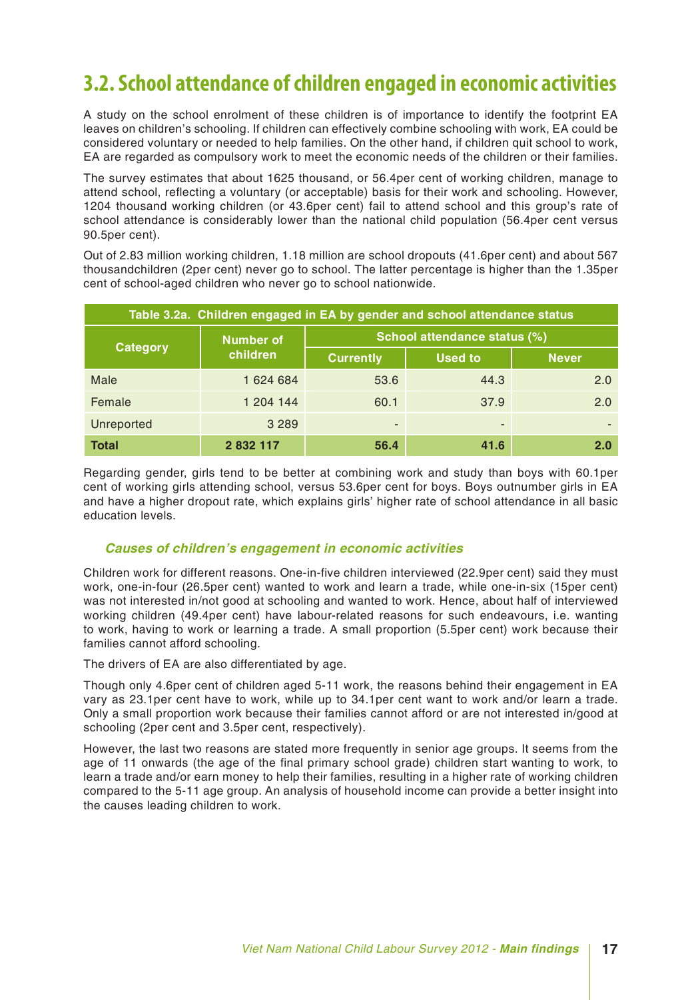### **3.2. School attendance of children engaged in economic activities**

A study on the school enrolment of these children is of importance to identify the footprint EA leaves on children's schooling. If children can effectively combine schooling with work, EA could be considered voluntary or needed to help families. On the other hand, if children quit school to work, EA are regarded as compulsory work to meet the economic needs of the children or their families.

The survey estimates that about 1625 thousand, or 56.4per cent of working children, manage to attend school, reflecting a voluntary (or acceptable) basis for their work and schooling. However, 1204 thousand working children (or 43.6per cent) fail to attend school and this group's rate of school attendance is considerably lower than the national child population (56.4per cent versus 90.5per cent).

Out of 2.83 million working children, 1.18 million are school dropouts (41.6per cent) and about 567 thousandchildren (2per cent) never go to school. The latter percentage is higher than the 1.35per cent of school-aged children who never go to school nationwide.

| Table 3.2a. Children engaged in EA by gender and school attendance status |                  |                              |                |              |  |  |  |  |  |
|---------------------------------------------------------------------------|------------------|------------------------------|----------------|--------------|--|--|--|--|--|
| <b>Category</b>                                                           | <b>Number of</b> | School attendance status (%) |                |              |  |  |  |  |  |
|                                                                           | children         | <b>Currently</b>             | <b>Used to</b> | <b>Never</b> |  |  |  |  |  |
| Male                                                                      | 1 624 684        | 53.6                         | 44.3           | 2.0          |  |  |  |  |  |
| Female                                                                    | 1 204 144        | 60.1                         | 37.9           | 2.0          |  |  |  |  |  |
| Unreported                                                                | 3 2 8 9          | $\overline{\phantom{a}}$     | -              |              |  |  |  |  |  |
| <b>Total</b>                                                              | 2 832 117        | 56.4                         | 41.6           | 2.0          |  |  |  |  |  |

Regarding gender, girls tend to be better at combining work and study than boys with 60.1per cent of working girls attending school, versus 53.6per cent for boys. Boys outnumber girls in EA and have a higher dropout rate, which explains girls' higher rate of school attendance in all basic education levels.

#### *Causes of children's engagement in economic activities*

Children work for different reasons. One-in-five children interviewed (22.9per cent) said they must work, one-in-four (26.5per cent) wanted to work and learn a trade, while one-in-six (15per cent) was not interested in/not good at schooling and wanted to work. Hence, about half of interviewed working children (49.4per cent) have labour-related reasons for such endeavours, i.e. wanting to work, having to work or learning a trade. A small proportion (5.5per cent) work because their families cannot afford schooling.

The drivers of EA are also differentiated by age.

Though only 4.6per cent of children aged 5-11 work, the reasons behind their engagement in EA vary as 23.1per cent have to work, while up to 34.1per cent want to work and/or learn a trade. Only a small proportion work because their families cannot afford or are not interested in/good at schooling (2per cent and 3.5per cent, respectively).

However, the last two reasons are stated more frequently in senior age groups. It seems from the age of 11 onwards (the age of the final primary school grade) children start wanting to work, to learn a trade and/or earn money to help their families, resulting in a higher rate of working children compared to the 5-11 age group. An analysis of household income can provide a better insight into the causes leading children to work.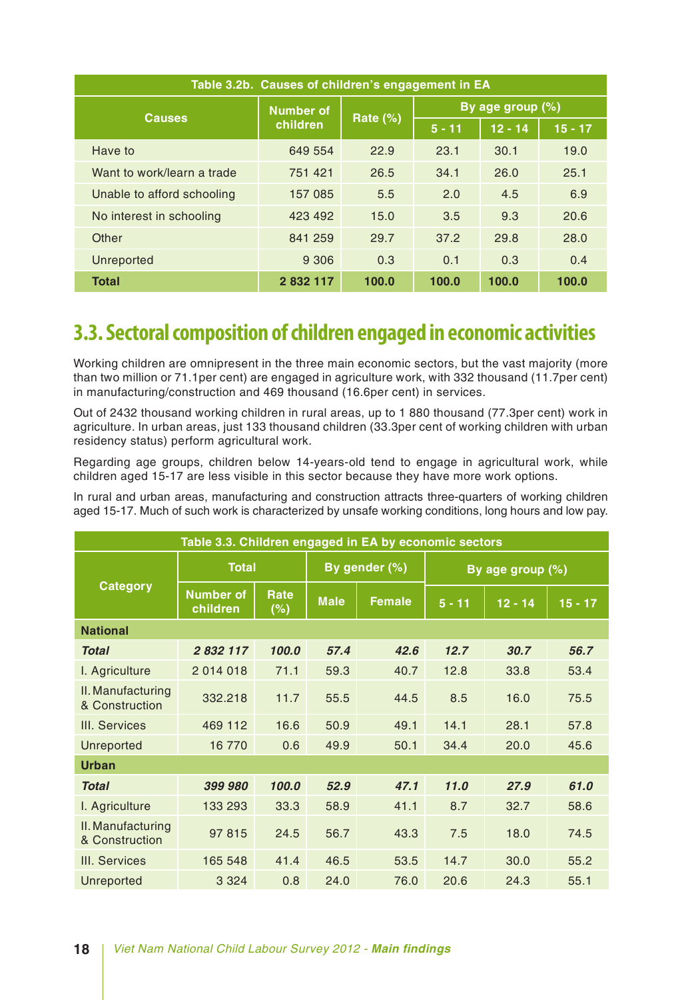| Table 3.2b. Causes of children's engagement in EA |                  |             |                  |                        |       |  |  |  |  |
|---------------------------------------------------|------------------|-------------|------------------|------------------------|-------|--|--|--|--|
| <b>Causes</b>                                     | <b>Number of</b> |             | By age group (%) |                        |       |  |  |  |  |
|                                                   | children         | Rate $(\%)$ | $5 - 11$         | $12 - 14$<br>$15 - 17$ |       |  |  |  |  |
| Have to                                           | 649 554          | 22.9        | 23.1             | 30.1                   | 19.0  |  |  |  |  |
| Want to work/learn a trade                        | 751 421          | 26.5        | 34.1             | 26.0                   | 25.1  |  |  |  |  |
| Unable to afford schooling                        | 157 085          | 5.5         | 2.0              | 4.5                    | 6.9   |  |  |  |  |
| No interest in schooling                          | 423 492          | 15.0        | 3.5              | 9.3                    | 20.6  |  |  |  |  |
| Other                                             | 841 259          | 29.7        | 37.2             | 29.8                   | 28.0  |  |  |  |  |
| Unreported                                        | 9 3 0 6          | 0.3         | 0.1              | 0.3                    | 0.4   |  |  |  |  |
| <b>Total</b>                                      | 2 832 117        | 100.0       | 100.0            | 100.0                  | 100.0 |  |  |  |  |

### **3.3. Sectoral composition of children engaged in economic activities**

Working children are omnipresent in the three main economic sectors, but the vast majority (more than two million or 71.1per cent) are engaged in agriculture work, with 332 thousand (11.7per cent) in manufacturing/construction and 469 thousand (16.6per cent) in services.

Out of 2432 thousand working children in rural areas, up to 1 880 thousand (77.3per cent) work in agriculture. In urban areas, just 133 thousand children (33.3per cent of working children with urban residency status) perform agricultural work.

Regarding age groups, children below 14-years-old tend to engage in agricultural work, while children aged 15-17 are less visible in this sector because they have more work options.

In rural and urban areas, manufacturing and construction attracts three-quarters of working children aged 15-17. Much of such work is characterized by unsafe working conditions, long hours and low pay.

| Table 3.3. Children engaged in EA by economic sectors |                              |             |             |               |                  |           |           |  |  |
|-------------------------------------------------------|------------------------------|-------------|-------------|---------------|------------------|-----------|-----------|--|--|
|                                                       | <b>Total</b>                 |             |             | By gender (%) | By age group (%) |           |           |  |  |
| <b>Category</b>                                       | <b>Number of</b><br>children | Rate<br>(%) | <b>Male</b> | <b>Female</b> | $5 - 11$         | $12 - 14$ | $15 - 17$ |  |  |
| <b>National</b>                                       |                              |             |             |               |                  |           |           |  |  |
| <b>Total</b>                                          | 2 832 117                    | 100.0       | 57.4        | 42.6          | 12.7             | 30.7      | 56.7      |  |  |
| I. Agriculture                                        | 2 014 018                    | 71.1        | 59.3        | 40.7          | 12.8             | 33.8      | 53.4      |  |  |
| II. Manufacturing<br>& Construction                   | 332.218                      | 11.7        | 55.5        | 44.5          | 8.5              | 16.0      | 75.5      |  |  |
| III. Services                                         | 469 112                      | 16.6        | 50.9        | 49.1          | 14.1             | 28.1      | 57.8      |  |  |
| Unreported                                            | 16 770                       | 0.6         | 49.9        | 50.1          | 34.4             | 20.0      | 45.6      |  |  |
| <b>Urban</b>                                          |                              |             |             |               |                  |           |           |  |  |
| <b>Total</b>                                          | 399 980                      | 100.0       | 52.9        | 47.1          | 11.0             | 27.9      | 61.0      |  |  |
| I. Agriculture                                        | 133 293                      | 33.3        | 58.9        | 41.1          | 8.7              | 32.7      | 58.6      |  |  |
| II. Manufacturing<br>& Construction                   | 97 815                       | 24.5        | 56.7        | 43.3          | 7.5              | 18.0      | 74.5      |  |  |
| III. Services                                         | 165 548                      | 41.4        | 46.5        | 53.5          | 14.7             | 30.0      | 55.2      |  |  |
| Unreported                                            | 3 3 2 4                      | 0.8         | 24.0        | 76.0          | 20.6             | 24.3      | 55.1      |  |  |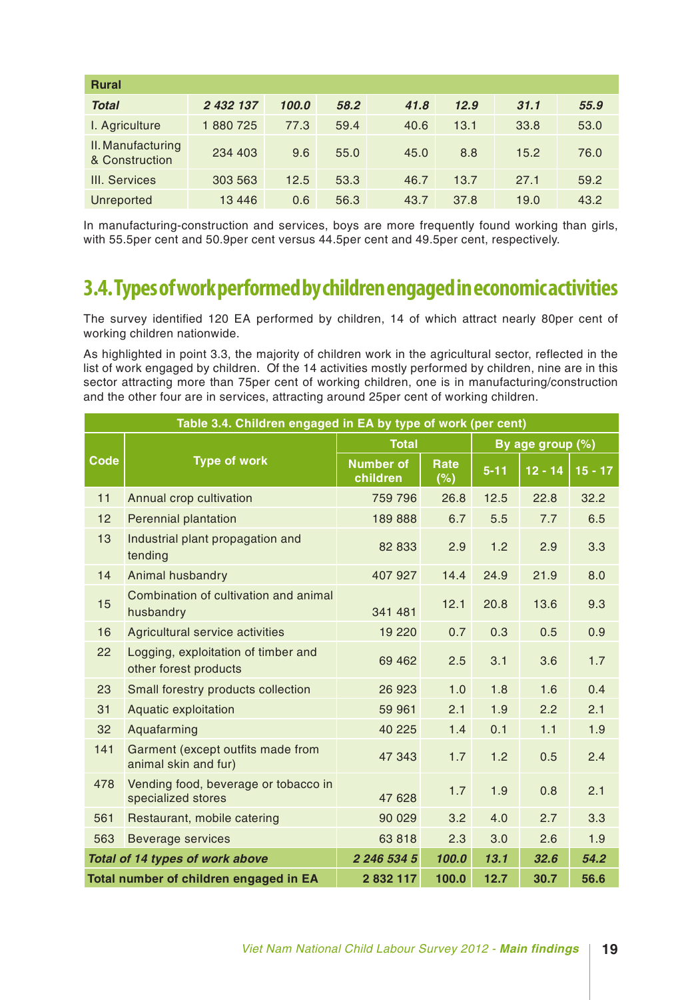| <b>Rural</b>                        |           |       |      |      |      |      |      |  |  |
|-------------------------------------|-----------|-------|------|------|------|------|------|--|--|
| <b>Total</b>                        | 2 432 137 | 100.0 | 58.2 | 41.8 | 12.9 | 31.1 | 55.9 |  |  |
| I. Agriculture                      | 1880725   | 77.3  | 59.4 | 40.6 | 13.1 | 33.8 | 53.0 |  |  |
| II. Manufacturing<br>& Construction | 234 403   | 9.6   | 55.0 | 45.0 | 8.8  | 15.2 | 76.0 |  |  |
| III. Services                       | 303 563   | 12.5  | 53.3 | 46.7 | 13.7 | 27.1 | 59.2 |  |  |
| <b>Unreported</b>                   | 13 4 4 6  | 0.6   | 56.3 | 43.7 | 37.8 | 19.0 | 43.2 |  |  |

In manufacturing-construction and services, boys are more frequently found working than girls, with 55.5per cent and 50.9per cent versus 44.5per cent and 49.5per cent, respectively.

### **3.4. Types of work performed by children engaged in economic activities**

The survey identified 120 EA performed by children, 14 of which attract nearly 80per cent of working children nationwide.

As highlighted in point 3.3, the majority of children work in the agricultural sector, reflected in the list of work engaged by children. Of the 14 activities mostly performed by children, nine are in this sector attracting more than 75per cent of working children, one is in manufacturing/construction and the other four are in services, attracting around 25per cent of working children.

|             | Table 3.4. Children engaged in EA by type of work (per cent) |                              |             |          |                  |           |  |  |  |
|-------------|--------------------------------------------------------------|------------------------------|-------------|----------|------------------|-----------|--|--|--|
|             |                                                              | <b>Total</b>                 |             |          | By age group (%) |           |  |  |  |
| <b>Code</b> | <b>Type of work</b>                                          | <b>Number of</b><br>children | Rate<br>(%) | $5 - 11$ | $12 - 14$        | $15 - 17$ |  |  |  |
| 11          | Annual crop cultivation                                      | 759 796                      | 26.8        | 12.5     | 22.8             | 32.2      |  |  |  |
| 12          | Perennial plantation                                         | 189 888                      | 6.7         | 5.5      | 7.7              | 6.5       |  |  |  |
| 13          | Industrial plant propagation and<br>tending                  | 82 833                       | 2.9         | 1.2      | 2.9              | 3.3       |  |  |  |
| 14          | Animal husbandry                                             | 407 927                      | 14.4        | 24.9     | 21.9             | 8.0       |  |  |  |
| 15          | Combination of cultivation and animal<br>husbandry           | 341 481                      | 12.1        | 20.8     | 13.6             | 9.3       |  |  |  |
| 16          | Agricultural service activities                              | 19 2 20                      | 0.7         | 0.3      | 0.5              | 0.9       |  |  |  |
| 22          | Logging, exploitation of timber and<br>other forest products | 69 4 62                      | 2.5         | 3.1      | 3.6              | 1.7       |  |  |  |
| 23          | Small forestry products collection                           | 26 923                       | 1.0         | 1.8      | 1.6              | 0.4       |  |  |  |
| 31          | Aquatic exploitation                                         | 59 961                       | 2.1         | 1.9      | 2.2              | 2.1       |  |  |  |
| 32          | Aquafarming                                                  | 40 225                       | 1.4         | 0.1      | 1.1              | 1.9       |  |  |  |
| 141         | Garment (except outfits made from<br>animal skin and fur)    | 47 343                       | 1.7         | 1.2      | 0.5              | 2.4       |  |  |  |
| 478         | Vending food, beverage or tobacco in<br>specialized stores   | 47 628                       | 1.7         | 1.9      | 0.8              | 2.1       |  |  |  |
| 561         | Restaurant, mobile catering                                  | 90 0 29                      | 3.2         | 4.0      | 2.7              | 3.3       |  |  |  |
| 563         | <b>Beverage services</b>                                     | 63818                        | 2.3         | 3.0      | 2.6              | 1.9       |  |  |  |
|             | Total of 14 types of work above                              | 2 246 534 5                  | 100.0       | 13.1     | 32.6             | 54.2      |  |  |  |
|             | Total number of children engaged in EA                       | 2 832 117                    | 100.0       | 12.7     | 30.7             | 56.6      |  |  |  |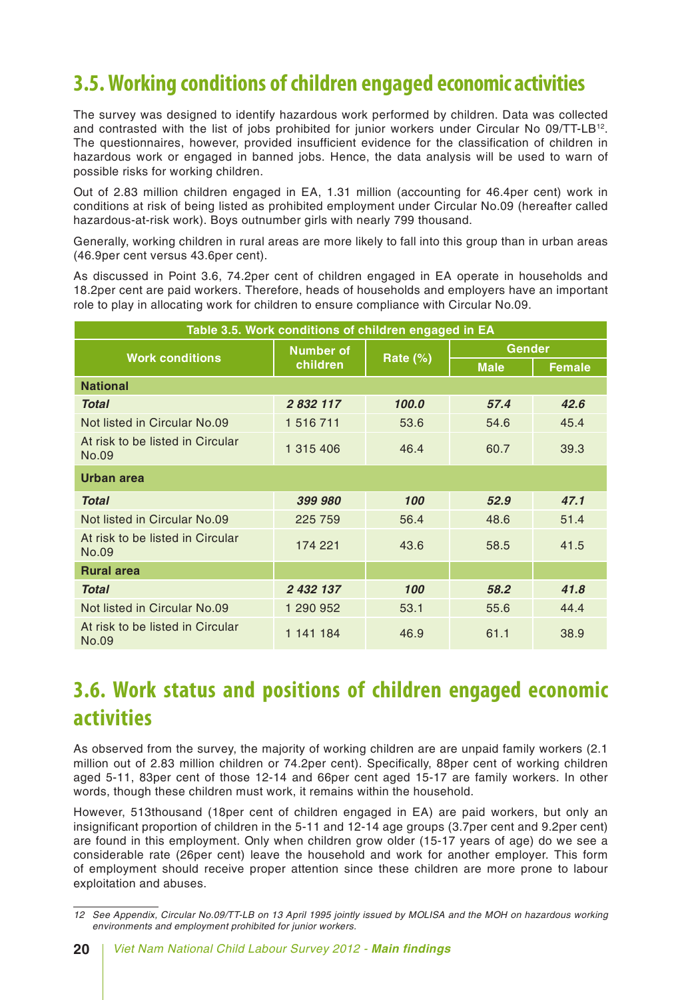### **3.5. Working conditions of children engaged economic activities**

The survey was designed to identify hazardous work performed by children. Data was collected and contrasted with the list of jobs prohibited for junior workers under Circular No 09/TT-LB12. The questionnaires, however, provided insufficient evidence for the classification of children in hazardous work or engaged in banned jobs. Hence, the data analysis will be used to warn of possible risks for working children.

Out of 2.83 million children engaged in EA, 1.31 million (accounting for 46.4per cent) work in conditions at risk of being listed as prohibited employment under Circular No.09 (hereafter called hazardous-at-risk work). Boys outnumber girls with nearly 799 thousand.

Generally, working children in rural areas are more likely to fall into this group than in urban areas (46.9per cent versus 43.6per cent).

As discussed in Point 3.6, 74.2per cent of children engaged in EA operate in households and 18.2per cent are paid workers. Therefore, heads of households and employers have an important role to play in allocating work for children to ensure compliance with Circular No.09.

| Table 3.5. Work conditions of children engaged in EA |                  |          |               |               |  |  |  |  |  |
|------------------------------------------------------|------------------|----------|---------------|---------------|--|--|--|--|--|
| <b>Work conditions</b>                               | <b>Number of</b> |          | <b>Gender</b> |               |  |  |  |  |  |
|                                                      | children         | Rate (%) | <b>Male</b>   | <b>Female</b> |  |  |  |  |  |
| <b>National</b>                                      |                  |          |               |               |  |  |  |  |  |
| <b>Total</b>                                         | 2 832 117        | 100.0    | 57.4          | 42.6          |  |  |  |  |  |
| Not listed in Circular No.09                         | 1 516 711        | 53.6     | 54.6          | 45.4          |  |  |  |  |  |
| At risk to be listed in Circular<br>No.09            | 1 315 406        | 46.4     | 60.7          | 39.3          |  |  |  |  |  |
| Urban area                                           |                  |          |               |               |  |  |  |  |  |
| <b>Total</b>                                         | 399 980          | 100      | 52.9          | 47.1          |  |  |  |  |  |
| Not listed in Circular No.09                         | 225 759          | 56.4     | 48.6          | 51.4          |  |  |  |  |  |
| At risk to be listed in Circular<br>No.09            | 174 221          | 43.6     | 58.5          | 41.5          |  |  |  |  |  |
| <b>Rural area</b>                                    |                  |          |               |               |  |  |  |  |  |
| <b>Total</b>                                         | 2 432 137        | 100      | 58.2          | 41.8          |  |  |  |  |  |
| Not listed in Circular No.09                         | 1 290 952        | 53.1     | 55.6          | 44.4          |  |  |  |  |  |
| At risk to be listed in Circular<br>No.09            | 1 141 184        | 46.9     | 61.1          | 38.9          |  |  |  |  |  |

### **3.6. Work status and positions of children engaged economic activities**

As observed from the survey, the majority of working children are are unpaid family workers (2.1 million out of 2.83 million children or 74.2per cent). Specifically, 88per cent of working children aged 5-11, 83per cent of those 12-14 and 66per cent aged 15-17 are family workers. In other words, though these children must work, it remains within the household.

However, 513thousand (18per cent of children engaged in EA) are paid workers, but only an insignificant proportion of children in the 5-11 and 12-14 age groups (3.7per cent and 9.2per cent) are found in this employment. Only when children grow older (15-17 years of age) do we see a considerable rate (26per cent) leave the household and work for another employer. This form of employment should receive proper attention since these children are more prone to labour exploitation and abuses.

*<sup>12</sup> See Appendix, Circular No.09/TT-LB on 13 April 1995 jointly issued by MOLISA and the MOH on hazardous working environments and employment prohibited for junior workers.*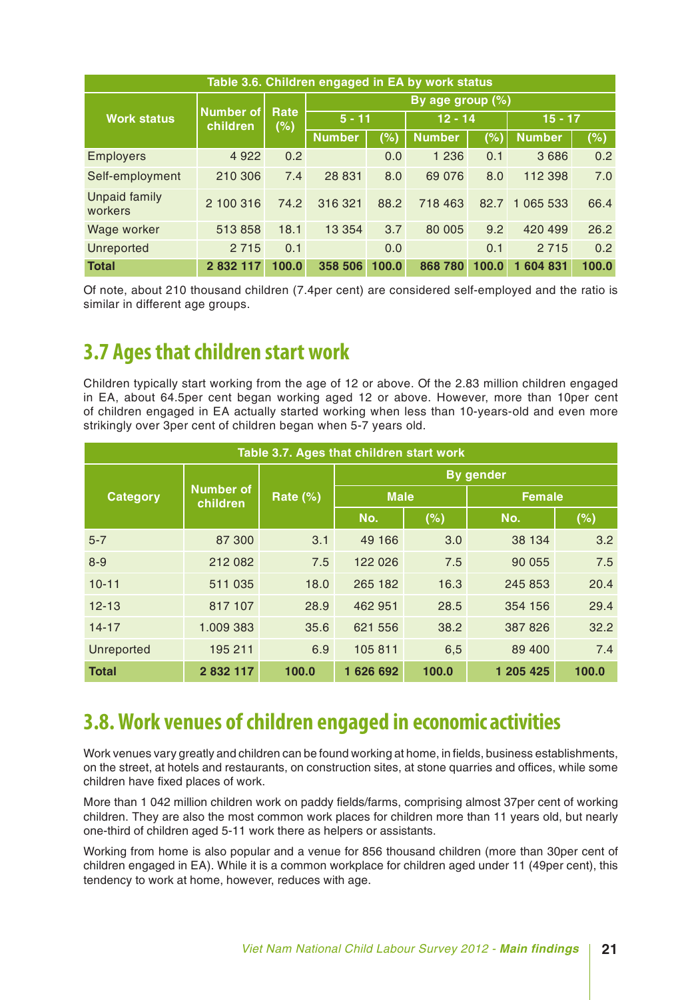| Table 3.6. Children engaged in EA by work status |                       |             |                       |       |                     |        |               |       |  |  |
|--------------------------------------------------|-----------------------|-------------|-----------------------|-------|---------------------|--------|---------------|-------|--|--|
|                                                  |                       |             |                       |       | By age group $(\%)$ |        |               |       |  |  |
| <b>Work status</b>                               | Number of<br>children | Rate<br>(%) | $5 - 11$              |       | $12 - 14$           |        | $15 - 17$     |       |  |  |
|                                                  |                       |             | <b>Number</b>         | (% )  | <b>Number</b>       | $(\%)$ | <b>Number</b> | (%)   |  |  |
| <b>Employers</b>                                 | 4 9 2 2               | 0.2         |                       | 0.0   | 1 2 3 6             | 0.1    | 3 6 8 6       | 0.2   |  |  |
| Self-employment                                  | 210 306               | 7.4         | 28 831                | 8.0   | 69 0 76             | 8.0    | 112 398       | 7.0   |  |  |
| <b>Unpaid family</b><br>workers                  | 2 100 316             | 74.2        | 316 321               | 88.2  | 718 463             | 82.7   | 065 533<br>1  | 66.4  |  |  |
| Wage worker                                      | 513858                | 18.1        | 13 3 54               | 3.7   | 80 005              | 9.2    | 420 499       | 26.2  |  |  |
| Unreported                                       | 2 7 1 5               | 0.1         | 2 7 1 5<br>0.1<br>0.0 |       |                     |        |               | 0.2   |  |  |
| <b>Total</b>                                     | 2 832 117             | 100.0       | 358 506               | 100.0 | 868 780             | 100.0  | 1 604 831     | 100.0 |  |  |

Of note, about 210 thousand children (7.4per cent) are considered self-employed and the ratio is similar in different age groups.

### **3.7 Ages that children start work**

Children typically start working from the age of 12 or above. Of the 2.83 million children engaged in EA, about 64.5per cent began working aged 12 or above. However, more than 10per cent of children engaged in EA actually started working when less than 10-years-old and even more strikingly over 3per cent of children began when 5-7 years old.

| Table 3.7. Ages that children start work |                              |          |             |       |                  |               |  |  |  |  |
|------------------------------------------|------------------------------|----------|-------------|-------|------------------|---------------|--|--|--|--|
|                                          |                              |          |             |       | <b>By gender</b> |               |  |  |  |  |
| <b>Category</b>                          | <b>Number of</b><br>children | Rate (%) | <b>Male</b> |       |                  | <b>Female</b> |  |  |  |  |
|                                          |                              |          | No.         | (%)   | No.              | (%)           |  |  |  |  |
| $5 - 7$                                  | 87 300                       | 3.1      | 49 166      | 3.0   | 38 134           | 3.2           |  |  |  |  |
| $8 - 9$                                  | 212 082                      | 7.5      | 122 026     | 7.5   | 90 055           | 7.5           |  |  |  |  |
| $10 - 11$                                | 511 035                      | 18.0     | 265 182     | 16.3  | 245 853          | 20.4          |  |  |  |  |
| $12 - 13$                                | 817 107                      | 28.9     | 462 951     | 28.5  | 354 156          | 29.4          |  |  |  |  |
| $14 - 17$                                | 1.009 383                    | 35.6     | 621 556     | 38.2  | 387 826          | 32.2          |  |  |  |  |
| Unreported                               | 195 211                      | 6.9      | 105 811     | 6,5   | 89 400           | 7.4           |  |  |  |  |
| <b>Total</b>                             | 2 832 117                    | 100.0    | 1626692     | 100.0 | 1 205 425        | 100.0         |  |  |  |  |

### **3.8. Work venues of children engaged in economic activities**

Work venues vary greatly and children can be found working at home, in fields, business establishments, on the street, at hotels and restaurants, on construction sites, at stone quarries and offices, while some children have fixed places of work.

More than 1 042 million children work on paddy fields/farms, comprising almost 37per cent of working children. They are also the most common work places for children more than 11 years old, but nearly one-third of children aged 5-11 work there as helpers or assistants.

Working from home is also popular and a venue for 856 thousand children (more than 30per cent of children engaged in EA). While it is a common workplace for children aged under 11 (49per cent), this tendency to work at home, however, reduces with age.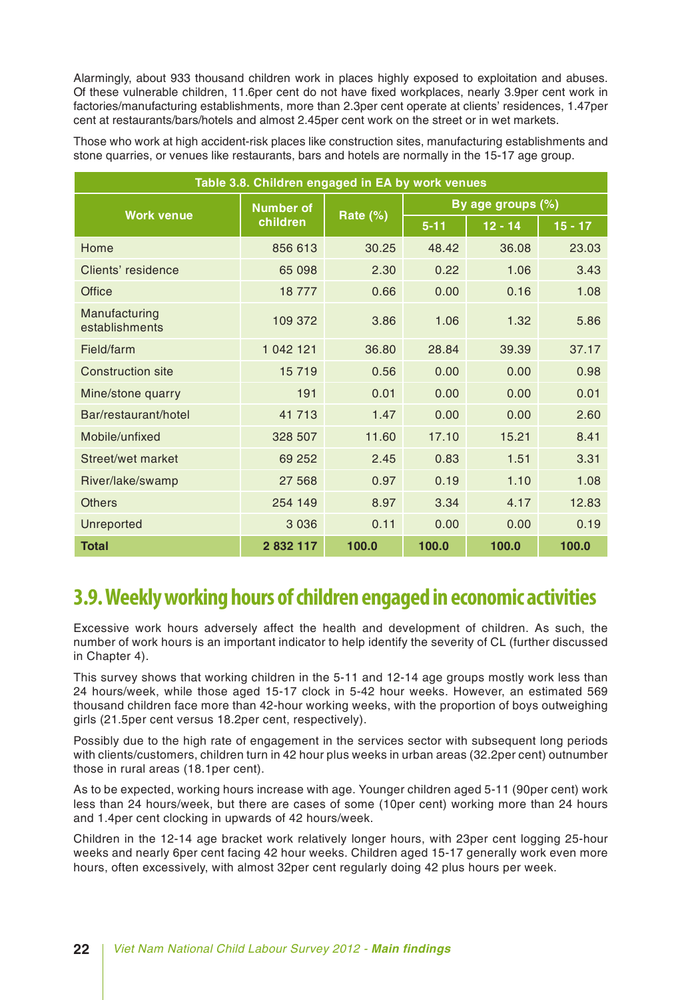Alarmingly, about 933 thousand children work in places highly exposed to exploitation and abuses. Of these vulnerable children, 11.6per cent do not have fixed workplaces, nearly 3.9per cent work in factories/manufacturing establishments, more than 2.3per cent operate at clients' residences, 1.47per cent at restaurants/bars/hotels and almost 2.45per cent work on the street or in wet markets.

Those who work at high accident-risk places like construction sites, manufacturing establishments and stone quarries, or venues like restaurants, bars and hotels are normally in the 15-17 age group.

| Table 3.8. Children engaged in EA by work venues |                  |             |                   |           |           |  |  |  |  |  |
|--------------------------------------------------|------------------|-------------|-------------------|-----------|-----------|--|--|--|--|--|
| <b>Work venue</b>                                | <b>Number of</b> |             | By age groups (%) |           |           |  |  |  |  |  |
|                                                  | children         | Rate $(\%)$ | $5 - 11$          | $12 - 14$ | $15 - 17$ |  |  |  |  |  |
| Home                                             | 856 613          | 30.25       | 48.42             | 36.08     | 23.03     |  |  |  |  |  |
| Clients' residence                               | 65 098           | 2.30        | 0.22              | 1.06      | 3.43      |  |  |  |  |  |
| Office                                           | 18 777           | 0.66        | 0.00              | 0.16      | 1.08      |  |  |  |  |  |
| Manufacturing<br>establishments                  | 109 372          | 3.86        | 1.06              | 1.32      | 5.86      |  |  |  |  |  |
| Field/farm                                       | 1 042 121        | 36.80       | 28.84             | 39.39     | 37.17     |  |  |  |  |  |
| <b>Construction site</b>                         | 15 719           | 0.56        | 0.00              | 0.00      | 0.98      |  |  |  |  |  |
| Mine/stone quarry                                | 191              | 0.01        | 0.00              | 0.00      | 0.01      |  |  |  |  |  |
| Bar/restaurant/hotel                             | 41 713           | 1.47        | 0.00              | 0.00      | 2.60      |  |  |  |  |  |
| Mobile/unfixed                                   | 328 507          | 11.60       | 17.10             | 15.21     | 8.41      |  |  |  |  |  |
| Street/wet market                                | 69 252           | 2.45        | 0.83              | 1.51      | 3.31      |  |  |  |  |  |
| River/lake/swamp                                 | 27 5 68          | 0.97        | 0.19              | 1.10      | 1.08      |  |  |  |  |  |
| <b>Others</b>                                    | 254 149          | 8.97        | 3.34              | 4.17      | 12.83     |  |  |  |  |  |
| Unreported                                       | 3 0 3 6          | 0.11        | 0.00              | 0.00      | 0.19      |  |  |  |  |  |
| <b>Total</b>                                     | 2 832 117        | 100.0       | 100.0             | 100.0     | 100.0     |  |  |  |  |  |

### **3.9. Weekly working hours of children engaged in economic activities**

Excessive work hours adversely affect the health and development of children. As such, the number of work hours is an important indicator to help identify the severity of CL (further discussed in Chapter 4).

This survey shows that working children in the 5-11 and 12-14 age groups mostly work less than 24 hours/week, while those aged 15-17 clock in 5-42 hour weeks. However, an estimated 569 thousand children face more than 42-hour working weeks, with the proportion of boys outweighing girls (21.5per cent versus 18.2per cent, respectively).

Possibly due to the high rate of engagement in the services sector with subsequent long periods with clients/customers, children turn in 42 hour plus weeks in urban areas (32.2per cent) outnumber those in rural areas (18.1per cent).

As to be expected, working hours increase with age. Younger children aged 5-11 (90per cent) work less than 24 hours/week, but there are cases of some (10per cent) working more than 24 hours and 1.4per cent clocking in upwards of 42 hours/week.

Children in the 12-14 age bracket work relatively longer hours, with 23per cent logging 25-hour weeks and nearly 6per cent facing 42 hour weeks. Children aged 15-17 generally work even more hours, often excessively, with almost 32per cent regularly doing 42 plus hours per week.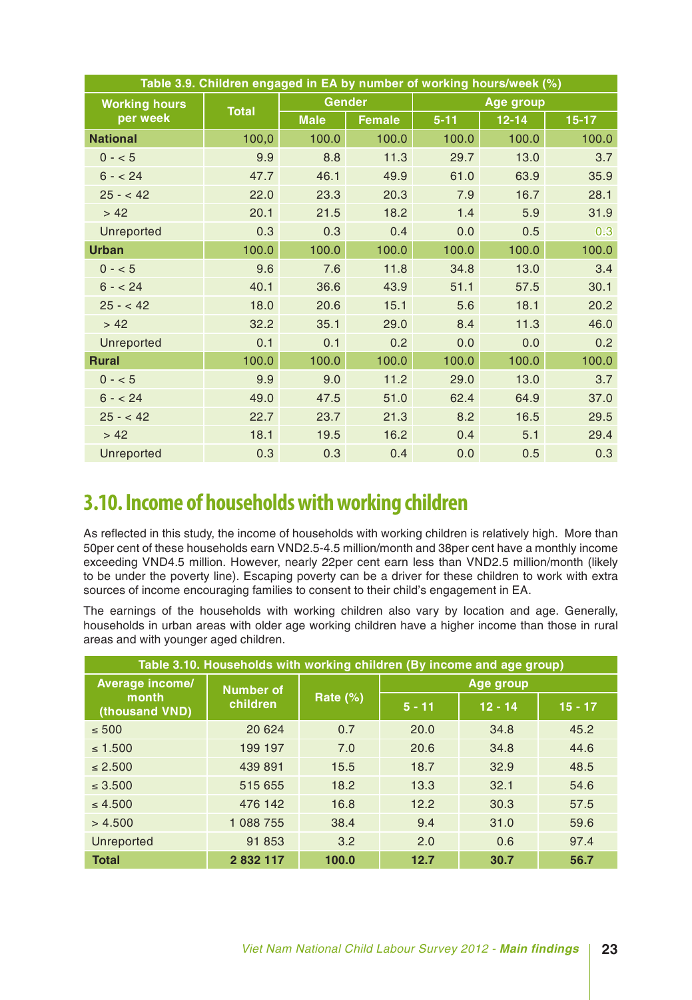| Table 3.9. Children engaged in EA by number of working hours/week (%) |              |               |               |          |                  |           |  |  |  |
|-----------------------------------------------------------------------|--------------|---------------|---------------|----------|------------------|-----------|--|--|--|
| <b>Working hours</b>                                                  |              | <b>Gender</b> |               |          | <b>Age group</b> |           |  |  |  |
| per week                                                              | <b>Total</b> | <b>Male</b>   | <b>Female</b> | $5 - 11$ | $12 - 14$        | $15 - 17$ |  |  |  |
| <b>National</b>                                                       | 100,0        | 100.0         | 100.0         | 100.0    | 100.0            | 100.0     |  |  |  |
| $0 - 5$                                                               | 9.9          | 8.8           | 11.3          | 29.7     | 13.0             | 3.7       |  |  |  |
| $6 - 24$                                                              | 47.7         | 46.1          | 49.9          | 61.0     | 63.9             | 35.9      |  |  |  |
| $25 - 42$                                                             | 22.0         | 23.3          | 20.3          | 7.9      | 16.7             | 28.1      |  |  |  |
| > 42                                                                  | 20.1         | 21.5          | 18.2          | 1.4      | 5.9              | 31.9      |  |  |  |
| <b>Unreported</b>                                                     | 0.3          | 0.3           | 0.4           | 0.0      | 0.5              | 0.3       |  |  |  |
| <b>Urban</b>                                                          | 100.0        | 100.0         | 100.0         | 100.0    | 100.0            | 100.0     |  |  |  |
| $0 - 5$                                                               | 9.6          | 7.6           | 11.8          | 34.8     | 13.0             | 3.4       |  |  |  |
| $6 - 24$                                                              | 40.1         | 36.6          | 43.9          | 51.1     | 57.5             | 30.1      |  |  |  |
| $25 - 42$                                                             | 18.0         | 20.6          | 15.1          | 5.6      | 18.1             | 20.2      |  |  |  |
| > 42                                                                  | 32.2         | 35.1          | 29.0          | 8.4      | 11.3             | 46.0      |  |  |  |
| Unreported                                                            | 0.1          | 0.1           | 0.2           | 0.0      | 0.0              | 0.2       |  |  |  |
| <b>Rural</b>                                                          | 100.0        | 100.0         | 100.0         | 100.0    | 100.0            | 100.0     |  |  |  |
| $0 - 5$                                                               | 9.9          | 9.0           | 11.2          | 29.0     | 13.0             | 3.7       |  |  |  |
| $6 - 24$                                                              | 49.0         | 47.5          | 51.0          | 62.4     | 64.9             | 37.0      |  |  |  |
| $25 - 42$                                                             | 22.7         | 23.7          | 21.3          | 8.2      | 16.5             | 29.5      |  |  |  |
| > 42                                                                  | 18.1         | 19.5          | 16.2          | 0.4      | 5.1              | 29.4      |  |  |  |
| <b>Unreported</b>                                                     | 0.3          | 0.3           | 0.4           | 0.0      | 0.5              | 0.3       |  |  |  |

### **3.10. Income of households with working children**

As reflected in this study, the income of households with working children is relatively high. More than 50per cent of these households earn VND2.5-4.5 million/month and 38per cent have a monthly income exceeding VND4.5 million. However, nearly 22per cent earn less than VND2.5 million/month (likely to be under the poverty line). Escaping poverty can be a driver for these children to work with extra sources of income encouraging families to consent to their child's engagement in EA.

The earnings of the households with working children also vary by location and age. Generally, households in urban areas with older age working children have a higher income than those in rural areas and with younger aged children.

| Table 3.10. Households with working children (By income and age group) |                  |                 |           |           |           |  |  |  |  |  |
|------------------------------------------------------------------------|------------------|-----------------|-----------|-----------|-----------|--|--|--|--|--|
| <b>Average income/</b>                                                 | <b>Number of</b> |                 | Age group |           |           |  |  |  |  |  |
| month<br>(thousand VND)                                                | children         | <b>Rate (%)</b> | $5 - 11$  | $12 - 14$ | $15 - 17$ |  |  |  |  |  |
| $\leq 500$                                                             | 20 6 24          | 0.7             | 20.0      | 34.8      | 45.2      |  |  |  |  |  |
| $\leq 1.500$                                                           | 199 197          | 7.0             | 20.6      | 34.8      | 44.6      |  |  |  |  |  |
| $\leq 2.500$                                                           | 439 891          | 15.5            | 18.7      | 32.9      | 48.5      |  |  |  |  |  |
| $\leq 3.500$                                                           | 515 655          | 18.2            | 13.3      | 32.1      | 54.6      |  |  |  |  |  |
| $\leq 4.500$                                                           | 476 142          | 16.8            | 12.2      | 30.3      | 57.5      |  |  |  |  |  |
| > 4.500                                                                | 1 088 755        | 38.4            | 9.4       | 31.0      | 59.6      |  |  |  |  |  |
| <b>Unreported</b>                                                      | 91 853           | 3.2             | 2.0       | 0.6       | 97.4      |  |  |  |  |  |
| <b>Total</b>                                                           | 2 832 117        | 100.0           | 12.7      | 30.7      | 56.7      |  |  |  |  |  |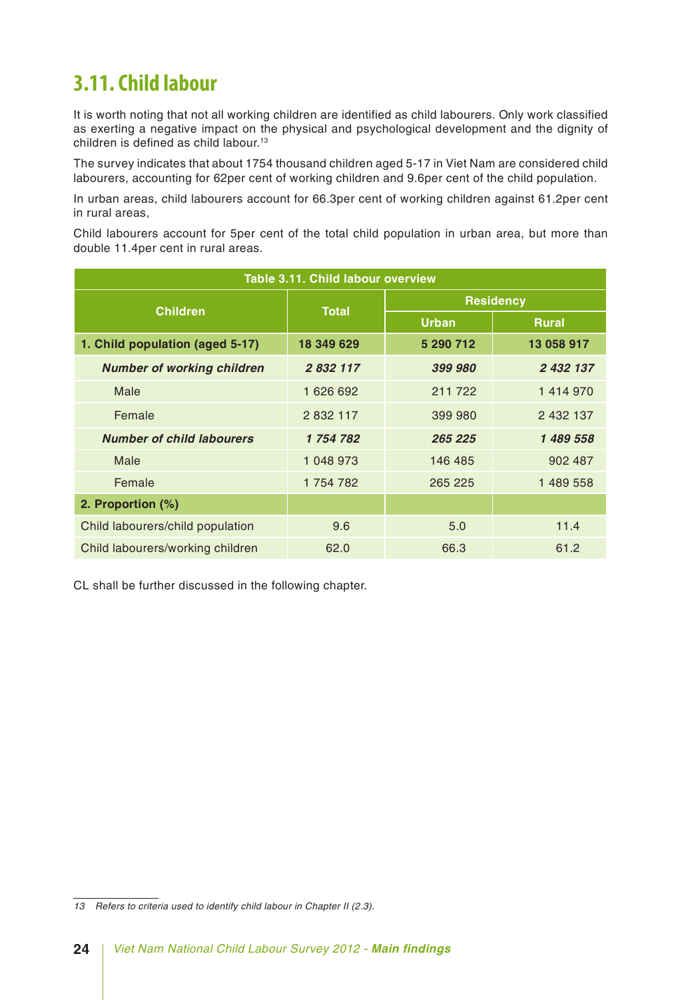### **3.11. Child labour**

It is worth noting that not all working children are identified as child labourers. Only work classified as exerting a negative impact on the physical and psychological development and the dignity of children is defined as child labour.13

The survey indicates that about 1754 thousand children aged 5-17 in Viet Nam are considered child labourers, accounting for 62per cent of working children and 9.6per cent of the child population.

In urban areas, child labourers account for 66.3per cent of working children against 61.2per cent in rural areas,

Child labourers account for 5per cent of the total child population in urban area, but more than double 11.4per cent in rural areas.

| Table 3.11. Child labour overview |              |                  |              |  |  |  |  |  |  |
|-----------------------------------|--------------|------------------|--------------|--|--|--|--|--|--|
| <b>Children</b>                   | <b>Total</b> | <b>Residency</b> |              |  |  |  |  |  |  |
|                                   |              | <b>Urban</b>     | <b>Rural</b> |  |  |  |  |  |  |
| 1. Child population (aged 5-17)   | 18 349 629   | 5 290 712        | 13 058 917   |  |  |  |  |  |  |
| <b>Number of working children</b> | 2 832 117    | 399 980          | 2 432 137    |  |  |  |  |  |  |
| Male                              | 1 626 692    | 211 722          | 1414970      |  |  |  |  |  |  |
| Female                            | 2 832 117    | 399 980          |              |  |  |  |  |  |  |
| <b>Number of child labourers</b>  | 1 754 782    | 265 225          | 1489558      |  |  |  |  |  |  |
| Male                              | 1 048 973    | 146 485          | 902 487      |  |  |  |  |  |  |
| Female                            | 1 754 782    | 265 225          | 1 489 558    |  |  |  |  |  |  |
| 2. Proportion (%)                 |              |                  |              |  |  |  |  |  |  |
| Child labourers/child population  | 9.6          | 5.0              | 11.4         |  |  |  |  |  |  |
| Child labourers/working children  | 62.0         | 66.3             | 61.2         |  |  |  |  |  |  |

CL shall be further discussed in the following chapter.

*<sup>13</sup> Refers to criteria used to identify child labour in Chapter II (2.3).*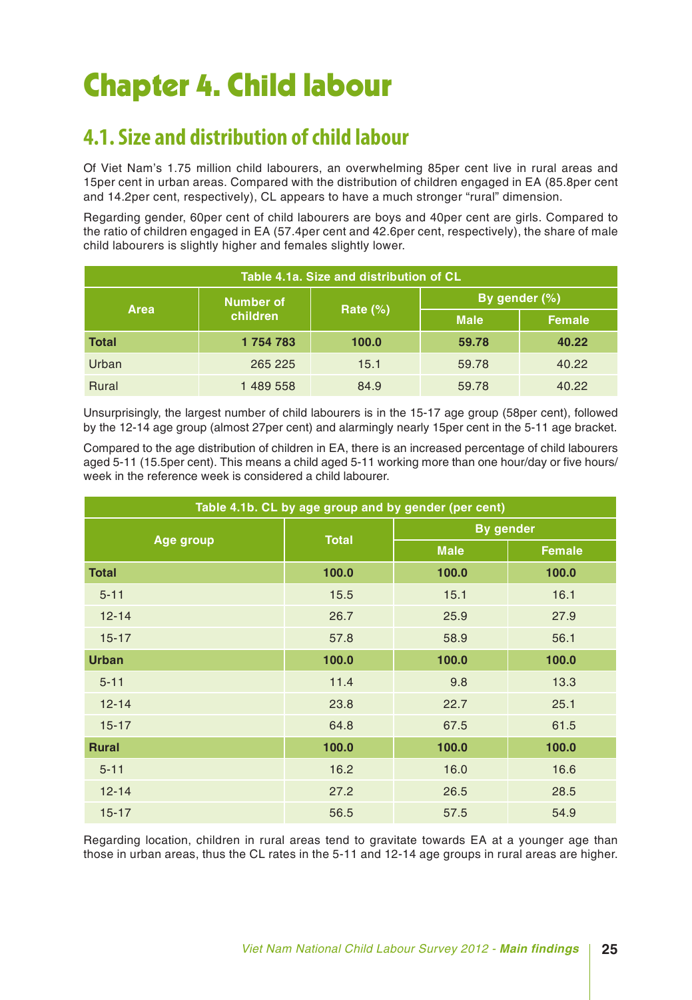# Chapter 4. Child labour

### **4.1. Size and distribution of child labour**

Of Viet Nam's 1.75 million child labourers, an overwhelming 85per cent live in rural areas and 15per cent in urban areas. Compared with the distribution of children engaged in EA (85.8per cent and 14.2per cent, respectively), CL appears to have a much stronger "rural" dimension.

Regarding gender, 60per cent of child labourers are boys and 40per cent are girls. Compared to the ratio of children engaged in EA (57.4per cent and 42.6per cent, respectively), the share of male child labourers is slightly higher and females slightly lower.

| Table 4.1a. Size and distribution of CL |           |             |               |               |  |  |  |  |  |  |
|-----------------------------------------|-----------|-------------|---------------|---------------|--|--|--|--|--|--|
| <b>Area</b>                             | Number of | Rate $(\%)$ | By gender (%) |               |  |  |  |  |  |  |
|                                         | children  |             | <b>Male</b>   | <b>Female</b> |  |  |  |  |  |  |
| <b>Total</b>                            | 1754783   | 100.0       | 59.78         | 40.22         |  |  |  |  |  |  |
| Urban                                   | 265 225   | 15.1        | 59.78         | 40.22         |  |  |  |  |  |  |
| <b>Rural</b>                            | 1 489 558 | 84.9        | 59.78         | 40.22         |  |  |  |  |  |  |

Unsurprisingly, the largest number of child labourers is in the 15-17 age group (58per cent), followed by the 12-14 age group (almost 27per cent) and alarmingly nearly 15per cent in the 5-11 age bracket.

Compared to the age distribution of children in EA, there is an increased percentage of child labourers aged 5-11 (15.5per cent). This means a child aged 5-11 working more than one hour/day or five hours/ week in the reference week is considered a child labourer.

| Table 4.1b. CL by age group and by gender (per cent) |              |                  |               |  |  |  |  |  |  |
|------------------------------------------------------|--------------|------------------|---------------|--|--|--|--|--|--|
|                                                      |              | <b>By gender</b> |               |  |  |  |  |  |  |
| Age group                                            | <b>Total</b> | <b>Male</b>      | <b>Female</b> |  |  |  |  |  |  |
| <b>Total</b>                                         | 100.0        | 100.0            | 100.0         |  |  |  |  |  |  |
| $5 - 11$                                             | 15.5         | 15.1             | 16.1          |  |  |  |  |  |  |
| $12 - 14$                                            | 26.7         | 25.9             | 27.9          |  |  |  |  |  |  |
| $15 - 17$                                            | 57.8         | 58.9             | 56.1          |  |  |  |  |  |  |
| <b>Urban</b>                                         | 100.0        | 100.0            | 100.0         |  |  |  |  |  |  |
| $5 - 11$                                             | 11.4         | 9.8              | 13.3          |  |  |  |  |  |  |
| $12 - 14$                                            | 23.8         | 22.7             | 25.1          |  |  |  |  |  |  |
| $15 - 17$                                            | 64.8         | 67.5             | 61.5          |  |  |  |  |  |  |
| <b>Rural</b>                                         | 100.0        | 100.0            | 100.0         |  |  |  |  |  |  |
| $5 - 11$                                             | 16.2         | 16.0             | 16.6          |  |  |  |  |  |  |
| $12 - 14$                                            | 27.2         | 26.5             | 28.5          |  |  |  |  |  |  |
| $15 - 17$                                            | 56.5         | 57.5             | 54.9          |  |  |  |  |  |  |

Regarding location, children in rural areas tend to gravitate towards EA at a younger age than those in urban areas, thus the CL rates in the 5-11 and 12-14 age groups in rural areas are higher.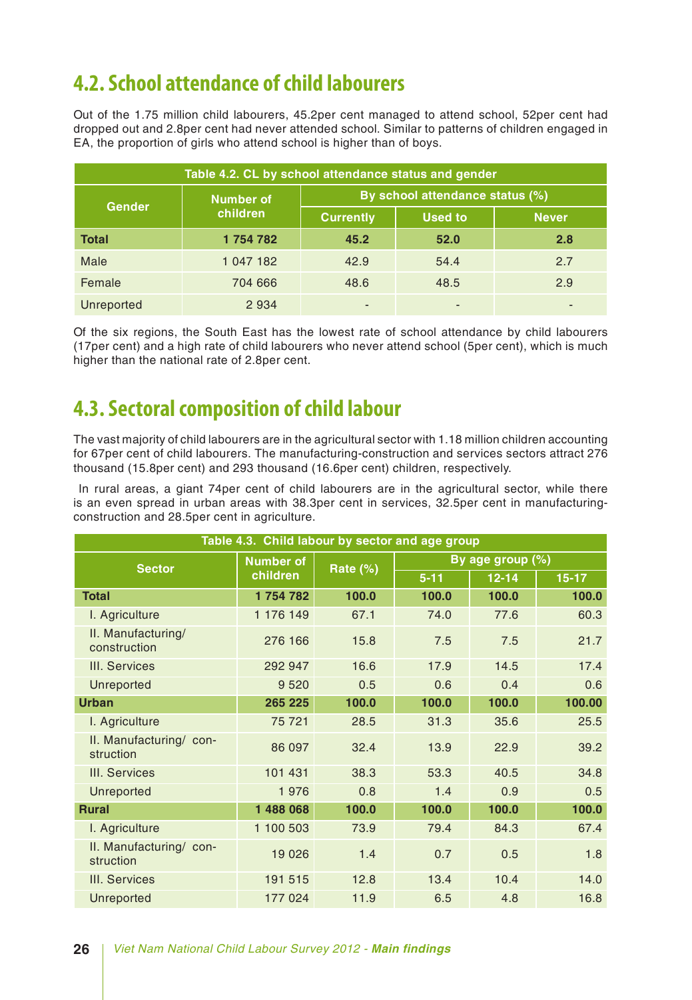### **4.2. School attendance of child labourers**

Out of the 1.75 million child labourers, 45.2per cent managed to attend school, 52per cent had dropped out and 2.8per cent had never attended school. Similar to patterns of children engaged in EA, the proportion of girls who attend school is higher than of boys.

| Table 4.2. CL by school attendance status and gender |           |                                 |                |              |  |  |  |  |  |
|------------------------------------------------------|-----------|---------------------------------|----------------|--------------|--|--|--|--|--|
|                                                      | Number of | By school attendance status (%) |                |              |  |  |  |  |  |
| <b>Gender</b>                                        | children  | <b>Currently</b>                | <b>Used to</b> | <b>Never</b> |  |  |  |  |  |
| <b>Total</b>                                         | 1754782   | 45.2                            | 52.0           | 2.8          |  |  |  |  |  |
| Male                                                 | 1 047 182 | 42.9                            | 54.4           | 2.7          |  |  |  |  |  |
| Female                                               | 704 666   | 48.6                            | 48.5           | 2.9          |  |  |  |  |  |
| Unreported                                           | 2934      |                                 |                |              |  |  |  |  |  |

Of the six regions, the South East has the lowest rate of school attendance by child labourers (17per cent) and a high rate of child labourers who never attend school (5per cent), which is much higher than the national rate of 2.8per cent.

### **4.3. Sectoral composition of child labour**

The vast majority of child labourers are in the agricultural sector with 1.18 million children accounting for 67per cent of child labourers. The manufacturing-construction and services sectors attract 276 thousand (15.8per cent) and 293 thousand (16.6per cent) children, respectively.

 In rural areas, a giant 74per cent of child labourers are in the agricultural sector, while there is an even spread in urban areas with 38.3per cent in services, 32.5per cent in manufacturingconstruction and 28.5per cent in agriculture.

| Table 4.3. Child labour by sector and age group |                  |          |                  |           |         |  |  |  |  |  |
|-------------------------------------------------|------------------|----------|------------------|-----------|---------|--|--|--|--|--|
| <b>Sector</b>                                   | <b>Number of</b> | Rate (%) | By age group (%) |           |         |  |  |  |  |  |
|                                                 | children         |          | $5 - 11$         | $12 - 14$ | $15-17$ |  |  |  |  |  |
| <b>Total</b>                                    | 1754782          | 100.0    | 100.0            | 100.0     | 100.0   |  |  |  |  |  |
| I. Agriculture                                  | 1 176 149        | 67.1     | 74.0             | 77.6      | 60.3    |  |  |  |  |  |
| II. Manufacturing/<br>construction              | 276 166          | 15.8     | 7.5              | 7.5       | 21.7    |  |  |  |  |  |
| III. Services                                   | 292 947          | 16.6     | 17.9             | 14.5      | 17.4    |  |  |  |  |  |
| Unreported                                      | 9 5 20           | 0.5      | 0.6              | 0.4       | 0.6     |  |  |  |  |  |
| <b>Urban</b>                                    | 265 225          | 100.0    | 100.0            | 100.0     | 100.00  |  |  |  |  |  |
| I. Agriculture                                  | 75 721           | 28.5     | 31.3             | 35.6      | 25.5    |  |  |  |  |  |
| II. Manufacturing/ con-<br>struction            | 86 097           | 32.4     | 13.9             | 22.9      | 39.2    |  |  |  |  |  |
| III. Services                                   | 101 431          | 38.3     | 53.3             | 40.5      | 34.8    |  |  |  |  |  |
| Unreported                                      | 1976             | 0.8      | 1.4              | 0.9       | 0.5     |  |  |  |  |  |
| <b>Rural</b>                                    | 1 488 068        | 100.0    | 100.0            | 100.0     | 100.0   |  |  |  |  |  |
| I. Agriculture                                  | 1 100 503        | 73.9     | 79.4             | 84.3      | 67.4    |  |  |  |  |  |
| II. Manufacturing/ con-<br>struction            | 19 0 26          | 1.4      | 0.7              | 0.5       | 1.8     |  |  |  |  |  |
| III. Services                                   | 191 515          | 12.8     | 13.4             | 10.4      | 14.0    |  |  |  |  |  |
| Unreported                                      | 177 024          | 11.9     | 6.5              | 4.8       | 16.8    |  |  |  |  |  |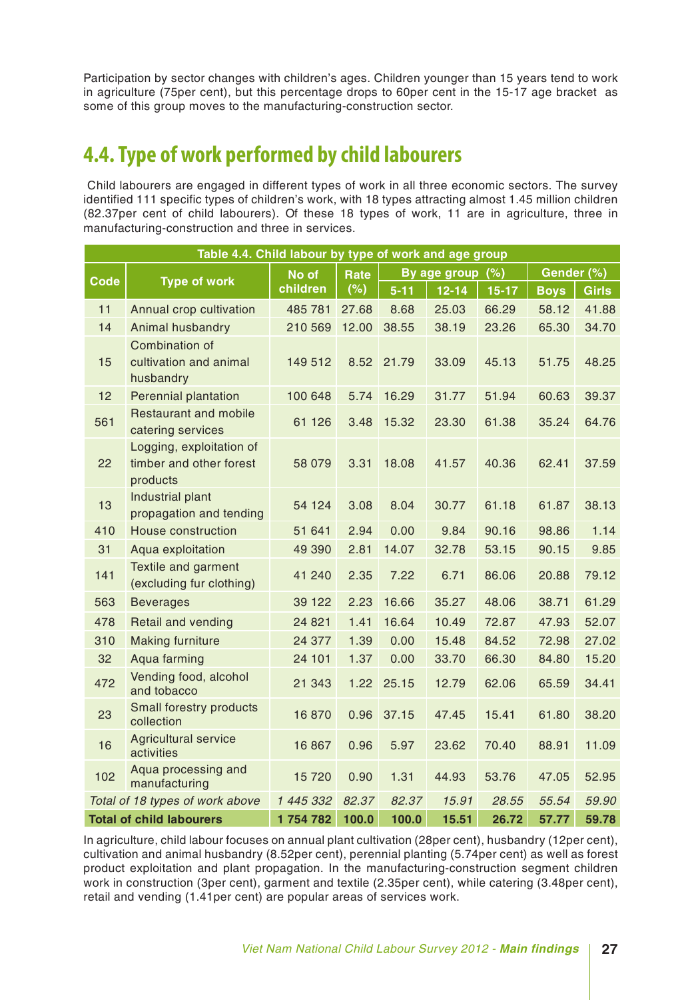Participation by sector changes with children's ages. Children younger than 15 years tend to work in agriculture (75per cent), but this percentage drops to 60per cent in the 15-17 age bracket as some of this group moves to the manufacturing-construction sector.

### **4.4. Type of work performed by child labourers**

 Child labourers are engaged in different types of work in all three economic sectors. The survey identified 111 specific types of children's work, with 18 types attracting almost 1.45 million children (82.37per cent of child labourers). Of these 18 types of work, 11 are in agriculture, three in manufacturing-construction and three in services.

|             | Table 4.4. Child labour by type of work and age group           |           |       |          |                  |         |             |              |  |  |
|-------------|-----------------------------------------------------------------|-----------|-------|----------|------------------|---------|-------------|--------------|--|--|
|             |                                                                 | No of     | Rate  |          | By age group (%) |         | Gender (%)  |              |  |  |
| <b>Code</b> | <b>Type of work</b>                                             | children  | (%)   | $5 - 11$ | $12 - 14$        | $15-17$ | <b>Boys</b> | <b>Girls</b> |  |  |
| 11          | Annual crop cultivation                                         | 485 781   | 27.68 | 8.68     | 25.03            | 66.29   | 58.12       | 41.88        |  |  |
| 14          | Animal husbandry                                                | 210 569   | 12.00 | 38.55    | 38.19            | 23.26   | 65.30       | 34.70        |  |  |
|             | <b>Combination of</b>                                           |           |       |          |                  |         |             |              |  |  |
| 15          | cultivation and animal<br>husbandry                             | 149 512   | 8.52  | 21.79    | 33.09            | 45.13   | 51.75       | 48.25        |  |  |
| 12          | <b>Perennial plantation</b>                                     | 100 648   | 5.74  | 16.29    | 31.77            | 51.94   | 60.63       | 39.37        |  |  |
| 561         | <b>Restaurant and mobile</b><br>catering services               | 61 126    | 3.48  | 15.32    | 23.30            | 61.38   | 35.24       | 64.76        |  |  |
| 22          | Logging, exploitation of<br>timber and other forest<br>products | 58 079    | 3.31  | 18.08    | 41.57            | 40.36   | 62.41       | 37.59        |  |  |
| 13          | Industrial plant<br>propagation and tending                     | 54 124    | 3.08  | 8.04     | 30.77            | 61.18   | 61.87       | 38.13        |  |  |
| 410         | <b>House construction</b>                                       | 51 641    | 2.94  | 0.00     | 9.84             | 90.16   | 98.86       | 1.14         |  |  |
| 31          | Aqua exploitation                                               | 49 390    | 2.81  | 14.07    | 32.78            | 53.15   | 90.15       | 9.85         |  |  |
| 141         | Textile and garment<br>(excluding fur clothing)                 | 41 240    | 2.35  | 7.22     | 6.71             | 86.06   | 20.88       | 79.12        |  |  |
| 563         | <b>Beverages</b>                                                | 39 122    | 2.23  | 16.66    | 35.27            | 48.06   | 38.71       | 61.29        |  |  |
| 478         | Retail and vending                                              | 24 8 21   | 1.41  | 16.64    | 10.49            | 72.87   | 47.93       | 52.07        |  |  |
| 310         | <b>Making furniture</b>                                         | 24 377    | 1.39  | 0.00     | 15.48            | 84.52   | 72.98       | 27.02        |  |  |
| 32          | Aqua farming                                                    | 24 101    | 1.37  | 0.00     | 33.70            | 66.30   | 84.80       | 15.20        |  |  |
| 472         | Vending food, alcohol<br>and tobacco                            | 21 343    | 1.22  | 25.15    | 12.79            | 62.06   | 65.59       | 34.41        |  |  |
| 23          | Small forestry products<br>collection                           | 16870     | 0.96  | 37.15    | 47.45            | 15.41   | 61.80       | 38.20        |  |  |
| 16          | <b>Agricultural service</b><br>activities                       | 16 867    | 0.96  | 5.97     | 23.62            | 70.40   | 88.91       | 11.09        |  |  |
| 102         | Aqua processing and<br>manufacturing                            | 15720     | 0.90  | 1.31     | 44.93            | 53.76   | 47.05       | 52.95        |  |  |
|             | Total of 18 types of work above                                 | 1 445 332 | 82.37 | 82.37    | 15.91            | 28.55   | 55.54       | 59.90        |  |  |
|             | <b>Total of child labourers</b>                                 | 1754782   | 100.0 | 100.0    | 15.51            | 26.72   | 57.77       | 59.78        |  |  |

In agriculture, child labour focuses on annual plant cultivation (28per cent), husbandry (12per cent), cultivation and animal husbandry (8.52per cent), perennial planting (5.74per cent) as well as forest product exploitation and plant propagation. In the manufacturing-construction segment children work in construction (3per cent), garment and textile (2.35per cent), while catering (3.48per cent), retail and vending (1.41per cent) are popular areas of services work.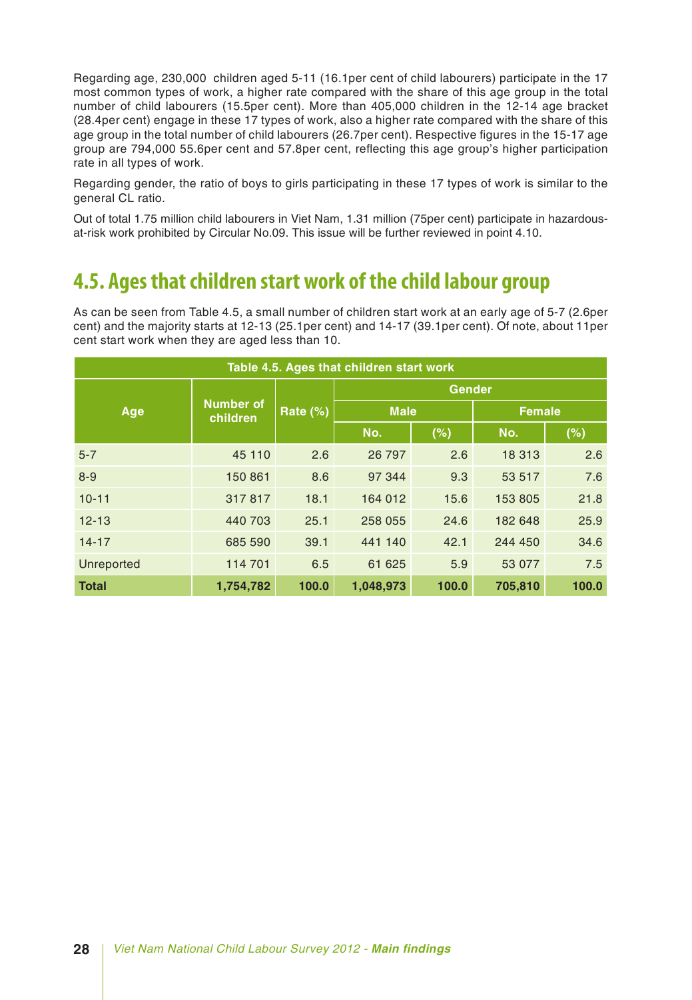Regarding age, 230,000 children aged 5-11 (16.1per cent of child labourers) participate in the 17 most common types of work, a higher rate compared with the share of this age group in the total number of child labourers (15.5per cent). More than 405,000 children in the 12-14 age bracket (28.4per cent) engage in these 17 types of work, also a higher rate compared with the share of this age group in the total number of child labourers (26.7per cent). Respective figures in the 15-17 age group are 794,000 55.6per cent and 57.8per cent, reflecting this age group's higher participation rate in all types of work.

Regarding gender, the ratio of boys to girls participating in these 17 types of work is similar to the general CL ratio.

Out of total 1.75 million child labourers in Viet Nam, 1.31 million (75per cent) participate in hazardousat-risk work prohibited by Circular No.09. This issue will be further reviewed in point 4.10.

### **4.5. Ages that children start work of the child labour group**

As can be seen from Table 4.5, a small number of children start work at an early age of 5-7 (2.6per cent) and the majority starts at 12-13 (25.1per cent) and 14-17 (39.1per cent). Of note, about 11per cent start work when they are aged less than 10.

| Table 4.5. Ages that children start work |                              |          |               |       |               |       |     |     |  |  |  |
|------------------------------------------|------------------------------|----------|---------------|-------|---------------|-------|-----|-----|--|--|--|
|                                          |                              |          | <b>Gender</b> |       |               |       |     |     |  |  |  |
| Age                                      | <b>Number of</b><br>children | Rate (%) | <b>Male</b>   |       | <b>Female</b> |       |     |     |  |  |  |
|                                          |                              |          |               |       | No.           | (%)   | No. | (%) |  |  |  |
| $5 - 7$                                  | 45 110                       | 2.6      | 26 797        | 2.6   | 18 313        | 2.6   |     |     |  |  |  |
| $8 - 9$                                  | 150 861                      | 8.6      | 97 344        | 9.3   | 53 517        | 7.6   |     |     |  |  |  |
| $10 - 11$                                | 317817                       | 18.1     | 164 012       | 15.6  | 153 805       | 21.8  |     |     |  |  |  |
| $12 - 13$                                | 440 703                      | 25.1     | 258 055       | 24.6  | 182 648       | 25.9  |     |     |  |  |  |
| $14 - 17$                                | 685 590                      | 39.1     | 441 140       | 42.1  | 244 450       | 34.6  |     |     |  |  |  |
| Unreported                               | 114 701                      | 6.5      | 61 625        | 5.9   | 53 077        | 7.5   |     |     |  |  |  |
| <b>Total</b>                             | 1,754,782                    | 100.0    | 1,048,973     | 100.0 | 705,810       | 100.0 |     |     |  |  |  |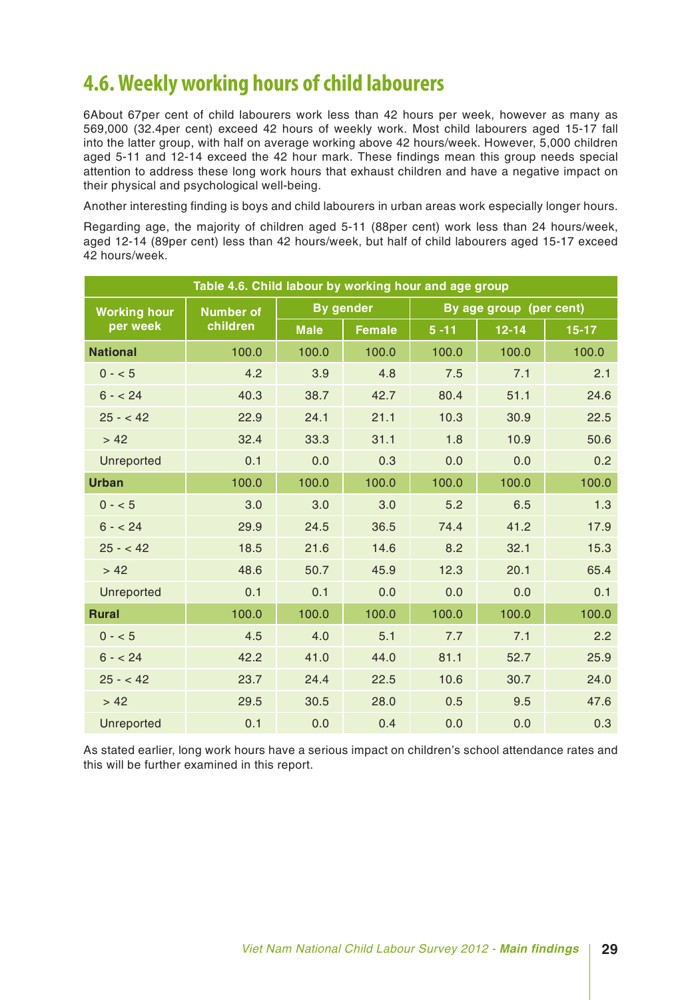### **4.6. Weekly working hours of child labourers**

6About 67per cent of child labourers work less than 42 hours per week, however as many as 569,000 (32.4per cent) exceed 42 hours of weekly work. Most child labourers aged 15-17 fall into the latter group, with half on average working above 42 hours/week. However, 5,000 children aged 5-11 and 12-14 exceed the 42 hour mark. These findings mean this group needs special attention to address these long work hours that exhaust children and have a negative impact on their physical and psychological well-being.

Another interesting finding is boys and child labourers in urban areas work especially longer hours.

Regarding age, the majority of children aged 5-11 (88per cent) work less than 24 hours/week, aged 12-14 (89per cent) less than 42 hours/week, but half of child labourers aged 15-17 exceed 42 hours/week.

| Table 4.6. Child labour by working hour and age group |                  |             |                  |          |                         |         |  |  |  |  |
|-------------------------------------------------------|------------------|-------------|------------------|----------|-------------------------|---------|--|--|--|--|
| <b>Working hour</b>                                   | <b>Number of</b> |             | <b>By gender</b> |          | By age group (per cent) |         |  |  |  |  |
| per week                                              | children         | <b>Male</b> | <b>Female</b>    | $5 - 11$ | $12 - 14$               | $15-17$ |  |  |  |  |
| <b>National</b>                                       | 100.0            | 100.0       | 100.0            | 100.0    | 100.0                   | 100.0   |  |  |  |  |
| $0 - 5$                                               | 4.2              | 3.9         | 4.8              | 7.5      | 7.1                     | 2.1     |  |  |  |  |
| $6 - 24$                                              | 40.3             | 38.7        | 42.7             | 80.4     | 51.1                    | 24.6    |  |  |  |  |
| $25 - 42$                                             | 22.9             | 24.1        | 21.1             | 10.3     | 30.9                    | 22.5    |  |  |  |  |
| > 42                                                  | 32.4             | 33.3        | 31.1             | 1.8      | 10.9                    | 50.6    |  |  |  |  |
| Unreported                                            | 0.1              | 0.0         | 0.3              | 0.0      | 0.0                     | 0.2     |  |  |  |  |
| <b>Urban</b>                                          | 100.0            | 100.0       | 100.0            | 100.0    | 100.0                   | 100.0   |  |  |  |  |
| $0 - 5$                                               | 3.0              | 3.0         | 3.0              | 5.2      | 6.5                     | 1.3     |  |  |  |  |
| $6 - 24$                                              | 29.9             | 24.5        | 36.5             | 74.4     | 41.2                    | 17.9    |  |  |  |  |
| $25 - 42$                                             | 18.5             | 21.6        | 14.6             | 8.2      | 32.1                    | 15.3    |  |  |  |  |
| > 42                                                  | 48.6             | 50.7        | 45.9             | 12.3     | 20.1                    | 65.4    |  |  |  |  |
| Unreported                                            | 0.1              | 0.1         | 0.0              | 0.0      | 0.0                     | 0.1     |  |  |  |  |
| <b>Rural</b>                                          | 100.0            | 100.0       | 100.0            | 100.0    | 100.0                   | 100.0   |  |  |  |  |
| $0 - 5$                                               | 4.5              | 4.0         | 5.1              | 7.7      | 7.1                     | 2.2     |  |  |  |  |
| $6 - 24$                                              | 42.2             | 41.0        | 44.0             | 81.1     | 52.7                    | 25.9    |  |  |  |  |
| $25 - 42$                                             | 23.7             | 24.4        | 22.5             | 10.6     | 30.7                    | 24.0    |  |  |  |  |
| > 42                                                  | 29.5             | 30.5        | 28.0             | 0.5      | 9.5                     | 47.6    |  |  |  |  |
| Unreported                                            | 0.1              | 0.0         | 0.4              | 0.0      | 0.0                     | 0.3     |  |  |  |  |

As stated earlier, long work hours have a serious impact on children's school attendance rates and this will be further examined in this report.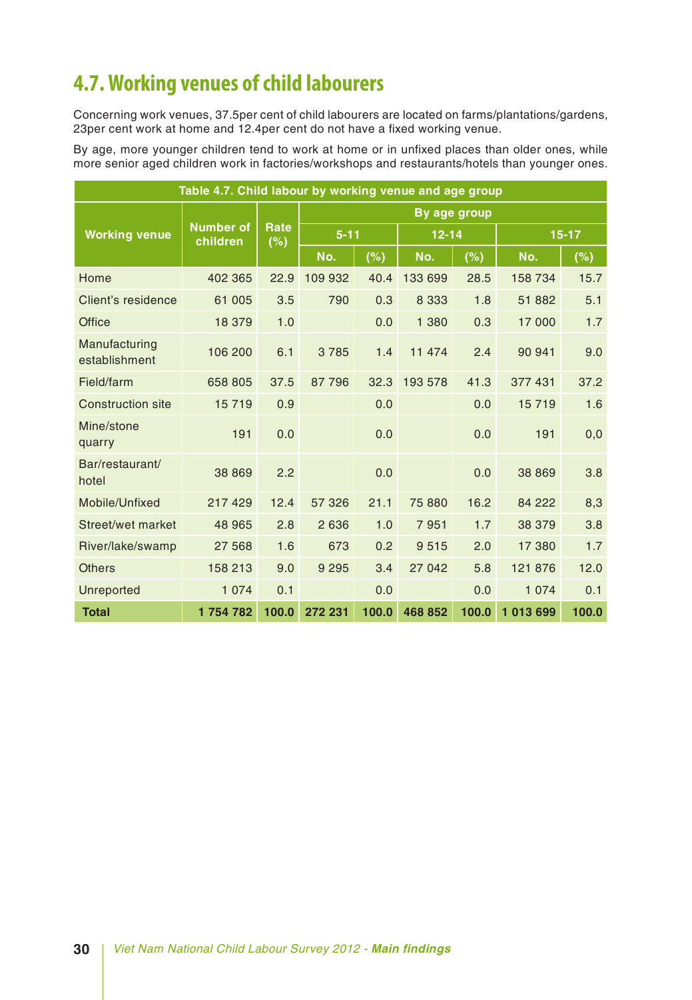### **4.7. Working venues of child labourers**

Concerning work venues, 37.5per cent of child labourers are located on farms/plantations/gardens, 23per cent work at home and 12.4per cent do not have a fixed working venue.

By age, more younger children tend to work at home or in unfixed places than older ones, while more senior aged children work in factories/workshops and restaurants/hotels than younger ones.

| Table 4.7. Child labour by working venue and age group |                              |             |          |       |              |       |           |           |  |
|--------------------------------------------------------|------------------------------|-------------|----------|-------|--------------|-------|-----------|-----------|--|
|                                                        |                              |             |          |       | By age group |       |           |           |  |
| <b>Working venue</b>                                   | <b>Number of</b><br>children | Rate<br>(%) | $5 - 11$ |       | $12 - 14$    |       |           | $15 - 17$ |  |
|                                                        |                              |             | No.      | (%)   | No.          | (%)   | No.       | (%)       |  |
| Home                                                   | 402 365                      | 22.9        | 109 932  | 40.4  | 133 699      | 28.5  | 158 734   | 15.7      |  |
| Client's residence                                     | 61 005                       | 3.5         | 790      | 0.3   | 8 3 3 3      | 1.8   | 51 882    | 5.1       |  |
| <b>Office</b>                                          | 18 379                       | 1.0         |          | 0.0   | 1 380        | 0.3   | 17 000    | 1.7       |  |
| Manufacturing<br>establishment                         | 106 200                      | 6.1         | 3785     | 1.4   | 11 474       | 2.4   | 90 941    | 9.0       |  |
| Field/farm                                             | 658 805                      | 37.5        | 87796    | 32.3  | 193 578      | 41.3  | 377 431   | 37.2      |  |
| <b>Construction site</b>                               | 15719                        | 0.9         |          | 0.0   |              | 0.0   | 15719     | 1.6       |  |
| Mine/stone<br>quarry                                   | 191                          | 0.0         |          | 0.0   |              | 0.0   | 191       | 0,0       |  |
| Bar/restaurant/<br>hotel                               | 38 869                       | 2.2         |          | 0.0   |              | 0.0   | 38 869    | 3.8       |  |
| Mobile/Unfixed                                         | 217 429                      | 12.4        | 57 326   | 21.1  | 75 880       | 16.2  | 84 222    | 8,3       |  |
| Street/wet market                                      | 48 965                       | 2.8         | 2 6 3 6  | 1.0   | 7951         | 1.7   | 38 379    | 3.8       |  |
| River/lake/swamp                                       | 27 568                       | 1.6         | 673      | 0.2   | 9515         | 2.0   | 17 380    | 1.7       |  |
| <b>Others</b>                                          | 158 213                      | 9.0         | 9 2 9 5  | 3.4   | 27 042       | 5.8   | 121 876   | 12.0      |  |
| Unreported                                             | 1 0 7 4                      | 0.1         |          | 0.0   |              | 0.0   | 1 0 7 4   | 0.1       |  |
| <b>Total</b>                                           | 1754782                      | 100.0       | 272 231  | 100.0 | 468 852      | 100.0 | 1 013 699 | 100.0     |  |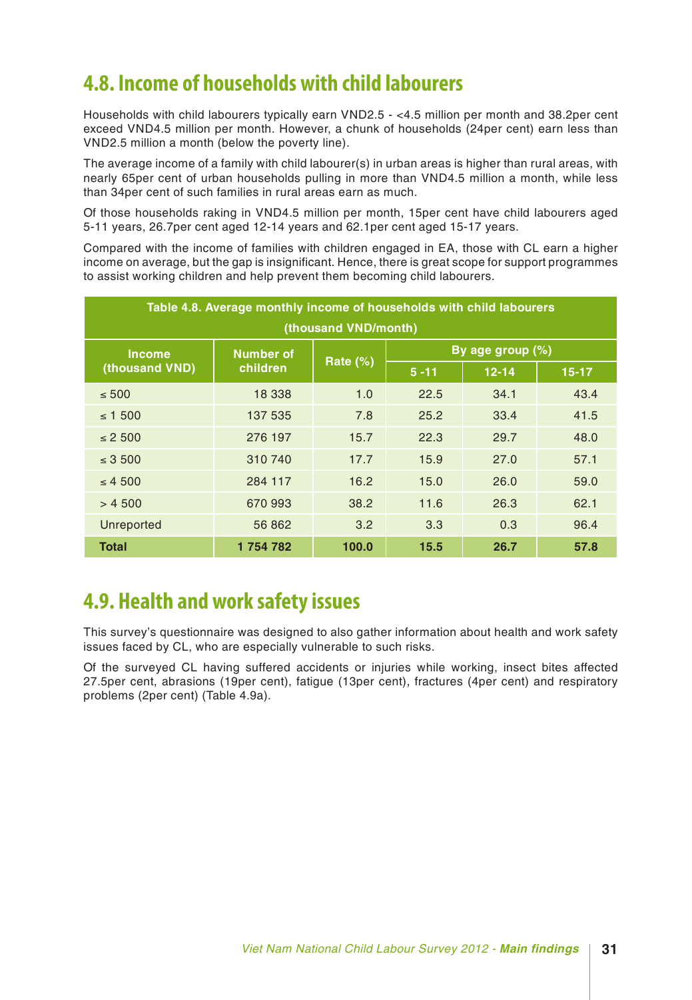### **4.8. Income of households with child labourers**

Households with child labourers typically earn VND2.5 - <4.5 million per month and 38.2per cent exceed VND4.5 million per month. However, a chunk of households (24per cent) earn less than VND2.5 million a month (below the poverty line).

The average income of a family with child labourer(s) in urban areas is higher than rural areas, with nearly 65per cent of urban households pulling in more than VND4.5 million a month, while less than 34per cent of such families in rural areas earn as much.

Of those households raking in VND4.5 million per month, 15per cent have child labourers aged 5-11 years, 26.7per cent aged 12-14 years and 62.1per cent aged 15-17 years.

Compared with the income of families with children engaged in EA, those with CL earn a higher income on average, but the gap is insignificant. Hence, there is great scope for support programmes to assist working children and help prevent them becoming child labourers.

|                | Table 4.8. Average monthly income of households with child labourers |                      |          |                  |           |
|----------------|----------------------------------------------------------------------|----------------------|----------|------------------|-----------|
|                |                                                                      | (thousand VND/month) |          |                  |           |
| <b>Income</b>  | <b>Number of</b>                                                     | Rate $(\%)$          |          | By age group (%) |           |
| (thousand VND) | children                                                             |                      | $5 - 11$ | $12 - 14$        | $15 - 17$ |
| $\leq 500$     | 18 338                                                               | 1.0                  | 22.5     | 34.1             | 43.4      |
| $\leq 1500$    | 137 535                                                              | 7.8                  | 25.2     | 33.4             | 41.5      |
| $\leq$ 2 500   | 276 197                                                              | 15.7                 | 22.3     | 29.7             | 48.0      |
| $\leq$ 3 500   | 310 740                                                              | 17.7                 | 15.9     | 27.0             | 57.1      |
| $\leq 4$ 500   | 284 117                                                              | 16.2                 | 15.0     | 26.0             | 59.0      |
| > 4500         | 670 993                                                              | 38.2                 | 11.6     | 26.3             | 62.1      |
| Unreported     | 56 862                                                               | 3.2                  | 3.3      | 0.3              | 96.4      |
| <b>Total</b>   | 1754782                                                              | 100.0                | 15.5     | 26.7             | 57.8      |

### **4.9. Health and work safety issues**

This survey's questionnaire was designed to also gather information about health and work safety issues faced by CL, who are especially vulnerable to such risks.

Of the surveyed CL having suffered accidents or injuries while working, insect bites affected 27.5per cent, abrasions (19per cent), fatigue (13per cent), fractures (4per cent) and respiratory problems (2per cent) (Table 4.9a).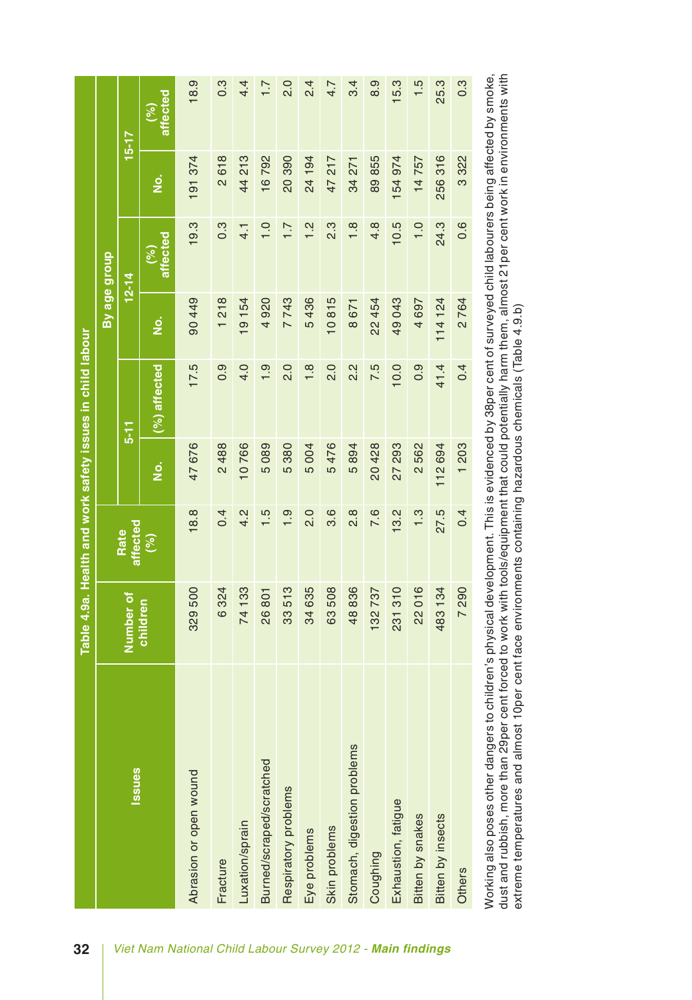| affected<br>(%)<br>$15 - 17$<br>256316<br>191 374<br>2618<br>44 213<br>16792<br>20 390<br>24 194<br>89855<br>154 974<br>3322<br>47 217<br>14757<br>34 271<br>$\frac{\dot{\mathsf{o}}}{\mathsf{z}}$<br>10.5<br>24.3<br>0.6<br>19.3<br>$0.\overline{3}$<br>$\frac{2}{1}$<br>2.3<br>$\frac{8}{1}$<br>$4.\overline{8}$<br>$\frac{0}{1}$<br>$\frac{0}{1}$<br>$\overline{1}$ .<br>$\frac{1}{4}$<br>affected<br>(%)<br>By age group<br>$12 - 14$<br>90449<br>218<br>7743<br>5436<br>10815<br>19 154<br>920<br>49043<br>114 124<br>2764<br>22 454<br>4 697<br>8 671<br>$\frac{\dot{\mathsf{o}}}{\mathsf{z}}$<br>4<br>$\overline{\phantom{0}}$<br>(%) affected<br>17.5<br>0.9<br>4.0<br>2.0<br>$\frac{8}{1}$<br>$\frac{0}{2}$<br>2.2<br>7.5<br>10.0<br>41.4<br>0.4<br>$\frac{0}{1}$<br>0.9<br>$5 - 11$<br>47 676<br>2488<br>10766<br>476<br>089<br>380<br>894<br>20428<br>27 293<br>562<br>112 694<br>004<br>203<br><u>ة</u><br>Ю<br>ယ<br>ယ<br>τυ<br>$\overline{\mathsf{c}}$<br>5<br>$\overline{\phantom{0}}$<br>$\frac{2}{4}$<br>$\frac{0}{2}$<br>3.6<br>$\frac{8}{2}$<br>7.6<br>13.2<br>27.5<br>18.8<br>0.4<br>c.<br>$\frac{0}{1}$<br>$\frac{3}{2}$<br>0.4<br>$\overline{\phantom{0}}$<br>affected<br>Rate<br>(%)<br>329 500<br>48836<br>016<br>324<br>33<br>33 513<br>635<br>63508<br>231 310<br>34<br>7290<br>132737<br>801<br>Number of<br>children<br>$\circ$<br>$\overline{2}$<br>34<br>483<br>26<br>74<br>Stomach, digestion problems<br>Burned/scraped/scratched<br><b>Issues</b><br>Abrasion or open wound<br>Respiratory problems<br>Exhaustion, fatigue<br>Bitten by snakes<br>Bitten by insects<br>Luxation/sprain<br>Skin problems<br>Eye problems<br>Coughing<br>Fracture<br>Others |  |  | Table 4.9a. Health and work safety issues in child labour |  |  |
|-------------------------------------------------------------------------------------------------------------------------------------------------------------------------------------------------------------------------------------------------------------------------------------------------------------------------------------------------------------------------------------------------------------------------------------------------------------------------------------------------------------------------------------------------------------------------------------------------------------------------------------------------------------------------------------------------------------------------------------------------------------------------------------------------------------------------------------------------------------------------------------------------------------------------------------------------------------------------------------------------------------------------------------------------------------------------------------------------------------------------------------------------------------------------------------------------------------------------------------------------------------------------------------------------------------------------------------------------------------------------------------------------------------------------------------------------------------------------------------------------------------------------------------------------------------------------------------------------------------------------------------------------------------------------------------------|--|--|-----------------------------------------------------------|--|--|
| 25.3<br>18.9<br>2.0<br>15.3<br>$1.\overline{5}$<br>$0.\overline{3}$<br>$0.\overline{3}$<br>$2\frac{4}{5}$<br>3.4<br>8.9<br>4.4<br>7.7<br>4.7                                                                                                                                                                                                                                                                                                                                                                                                                                                                                                                                                                                                                                                                                                                                                                                                                                                                                                                                                                                                                                                                                                                                                                                                                                                                                                                                                                                                                                                                                                                                              |  |  |                                                           |  |  |
|                                                                                                                                                                                                                                                                                                                                                                                                                                                                                                                                                                                                                                                                                                                                                                                                                                                                                                                                                                                                                                                                                                                                                                                                                                                                                                                                                                                                                                                                                                                                                                                                                                                                                           |  |  |                                                           |  |  |
|                                                                                                                                                                                                                                                                                                                                                                                                                                                                                                                                                                                                                                                                                                                                                                                                                                                                                                                                                                                                                                                                                                                                                                                                                                                                                                                                                                                                                                                                                                                                                                                                                                                                                           |  |  |                                                           |  |  |
|                                                                                                                                                                                                                                                                                                                                                                                                                                                                                                                                                                                                                                                                                                                                                                                                                                                                                                                                                                                                                                                                                                                                                                                                                                                                                                                                                                                                                                                                                                                                                                                                                                                                                           |  |  |                                                           |  |  |
|                                                                                                                                                                                                                                                                                                                                                                                                                                                                                                                                                                                                                                                                                                                                                                                                                                                                                                                                                                                                                                                                                                                                                                                                                                                                                                                                                                                                                                                                                                                                                                                                                                                                                           |  |  |                                                           |  |  |
|                                                                                                                                                                                                                                                                                                                                                                                                                                                                                                                                                                                                                                                                                                                                                                                                                                                                                                                                                                                                                                                                                                                                                                                                                                                                                                                                                                                                                                                                                                                                                                                                                                                                                           |  |  |                                                           |  |  |
|                                                                                                                                                                                                                                                                                                                                                                                                                                                                                                                                                                                                                                                                                                                                                                                                                                                                                                                                                                                                                                                                                                                                                                                                                                                                                                                                                                                                                                                                                                                                                                                                                                                                                           |  |  |                                                           |  |  |
|                                                                                                                                                                                                                                                                                                                                                                                                                                                                                                                                                                                                                                                                                                                                                                                                                                                                                                                                                                                                                                                                                                                                                                                                                                                                                                                                                                                                                                                                                                                                                                                                                                                                                           |  |  |                                                           |  |  |
|                                                                                                                                                                                                                                                                                                                                                                                                                                                                                                                                                                                                                                                                                                                                                                                                                                                                                                                                                                                                                                                                                                                                                                                                                                                                                                                                                                                                                                                                                                                                                                                                                                                                                           |  |  |                                                           |  |  |
|                                                                                                                                                                                                                                                                                                                                                                                                                                                                                                                                                                                                                                                                                                                                                                                                                                                                                                                                                                                                                                                                                                                                                                                                                                                                                                                                                                                                                                                                                                                                                                                                                                                                                           |  |  |                                                           |  |  |
|                                                                                                                                                                                                                                                                                                                                                                                                                                                                                                                                                                                                                                                                                                                                                                                                                                                                                                                                                                                                                                                                                                                                                                                                                                                                                                                                                                                                                                                                                                                                                                                                                                                                                           |  |  |                                                           |  |  |
|                                                                                                                                                                                                                                                                                                                                                                                                                                                                                                                                                                                                                                                                                                                                                                                                                                                                                                                                                                                                                                                                                                                                                                                                                                                                                                                                                                                                                                                                                                                                                                                                                                                                                           |  |  |                                                           |  |  |
|                                                                                                                                                                                                                                                                                                                                                                                                                                                                                                                                                                                                                                                                                                                                                                                                                                                                                                                                                                                                                                                                                                                                                                                                                                                                                                                                                                                                                                                                                                                                                                                                                                                                                           |  |  |                                                           |  |  |
|                                                                                                                                                                                                                                                                                                                                                                                                                                                                                                                                                                                                                                                                                                                                                                                                                                                                                                                                                                                                                                                                                                                                                                                                                                                                                                                                                                                                                                                                                                                                                                                                                                                                                           |  |  |                                                           |  |  |
|                                                                                                                                                                                                                                                                                                                                                                                                                                                                                                                                                                                                                                                                                                                                                                                                                                                                                                                                                                                                                                                                                                                                                                                                                                                                                                                                                                                                                                                                                                                                                                                                                                                                                           |  |  |                                                           |  |  |
|                                                                                                                                                                                                                                                                                                                                                                                                                                                                                                                                                                                                                                                                                                                                                                                                                                                                                                                                                                                                                                                                                                                                                                                                                                                                                                                                                                                                                                                                                                                                                                                                                                                                                           |  |  |                                                           |  |  |

Working also poses other dangers to children's physical development. This is evidenced by 38per cent of surveyed child labourers being affected by smoke,<br>dust and rubbish, more than 29per cent forced to work with tools/equ Working also poses other dangers to children's physical development. This is evidenced by 38per cent of surveyed child labourers being affected by smoke, dust and rubbish, more than 29per cent forced to work with tools/equipment that could potentially harm them, almost 21per cent work in environments with extreme temperatures and almost 10per cent face environments containing hazardous chemicals (Table 4.9.b)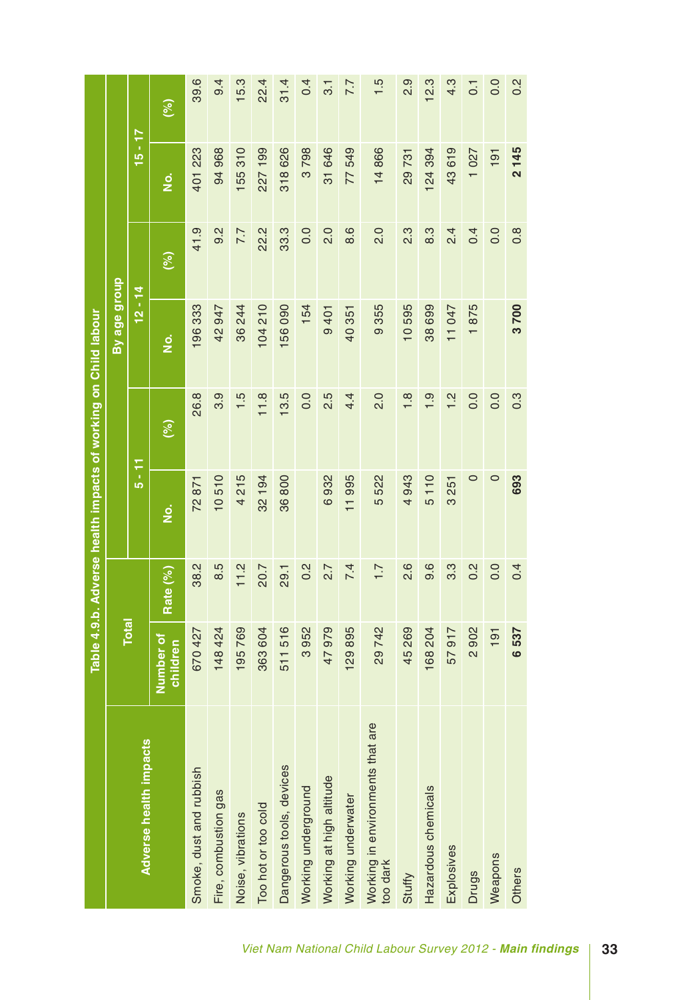|                                              |                       |                  | Table 4.9.b. Adverse health impacts of working on Child labour |                  |                       |                  |           |                  |
|----------------------------------------------|-----------------------|------------------|----------------------------------------------------------------|------------------|-----------------------|------------------|-----------|------------------|
|                                              |                       |                  |                                                                |                  | By age group          |                  |           |                  |
| Adverse health impacts                       | <b>Total</b>          |                  | $5 - 11$                                                       |                  | $12 - 14$             |                  | $15 - 17$ |                  |
|                                              | Number of<br>children | Rate (%)         | .<br>2                                                         | (%)              | <u>ہ</u><br>2         | (%)              | ن<br>Z    | (%)              |
| Smoke, dust and rubbish                      | 670 427               | 38.2             | 72871                                                          | 26.8             | 196333                | 41.9             | 401 223   | 39.6             |
| Fire, combustion gas                         | 148 424               | 8.5              | 10510                                                          | 3.9              | 42 947                | 9.2              | 94 968    | 9.4              |
| Noise, vibrations                            | 195769                | 11.2             | 4215                                                           | 1.5              | 36 244                | 7.7              | 155310    | 15.3             |
| Too hot or too cold                          | 363 604               | 20.7             | 32 194                                                         | 11.8             | 104210                | 22.2             | 227199    | 22.4             |
| Dangerous tools, devices                     | 511 516               | 29.1             | 36800                                                          | 13.5             | 156 090               | 33.3             | 318626    | 31.4             |
| Working underground                          | 3952                  | $0.\overline{2}$ |                                                                | 0.0              | 154                   | 0.0              | 3798      | 0.4              |
| Working at high altitude                     | 47979                 | 2.7              | 6932                                                           | 2.5              | 9401                  | 2.0              | 31 646    | 3.1              |
| Working underwater                           | 129895                | 7.4              | 11995                                                          | 4.4              | 40 351                | 8.6              | 77549     | 7.7              |
| Working in environments that are<br>too dark | 29742                 | $\overline{1}$ . | 5522                                                           | 2.0              | 9355                  | $\frac{0}{2}$    | 14866     | $\frac{1}{5}$    |
| Stuffy                                       | 45 269                | 2.6              | 4943                                                           | 1.8              | 10595                 | $2.\overline{3}$ | 29731     | $\frac{9}{2}$    |
| Hazardous chemicals                          | 168 204               | 0.6              | 5110                                                           | 1.9              | 38 699                | 8.3              | 124 394   | 12.3             |
| Explosives                                   | 57917                 | $3.\overline{3}$ | 3 251                                                          | 1.2              | 11 047                | 2.4              | 43619     | 4.3              |
| <b>Drugs</b>                                 | 2902                  | $0.\overline{2}$ | 0                                                              | 0.0              | 875<br>$\overline{ }$ | 0.4              | 1027      | $\overline{0}$ : |
| Weapons                                      | 191                   | 0.0              | $\circ$                                                        | 0.0              |                       | 0.0              | 191       | 0.0              |
| Others                                       | 6537                  | 0.4              | 693                                                            | $0.\overline{3}$ | 3700                  | $0.\overline{8}$ | 2145      | $0.\overline{2}$ |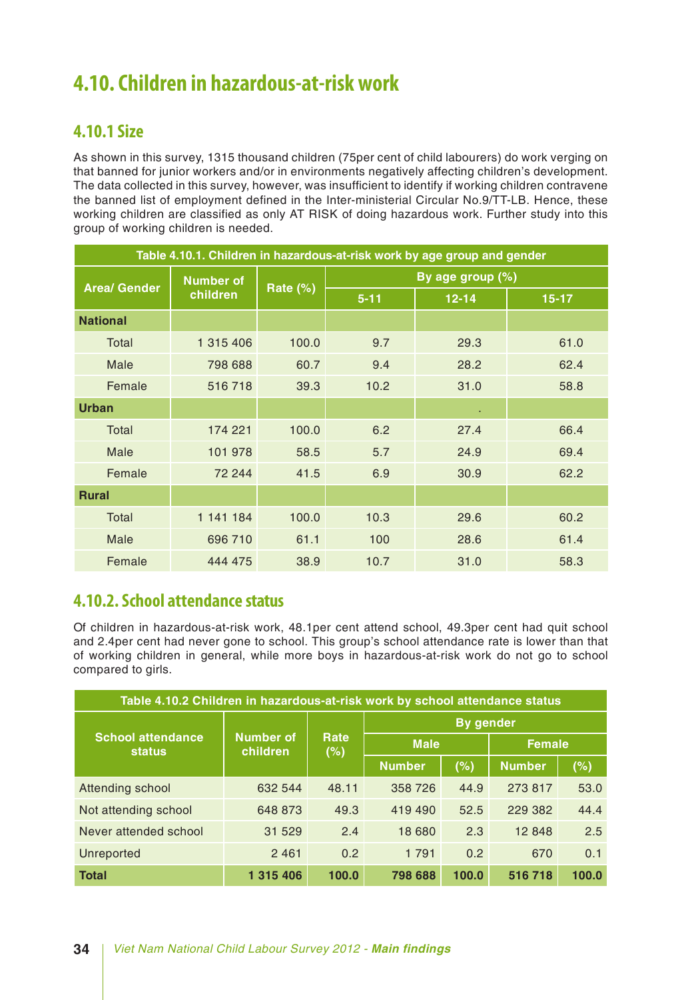### **4.10. Children in hazardous-at-risk work**

### **4.10.1 Size**

As shown in this survey, 1315 thousand children (75per cent of child labourers) do work verging on that banned for junior workers and/or in environments negatively affecting children's development. The data collected in this survey, however, was insufficient to identify if working children contravene the banned list of employment defined in the Inter-ministerial Circular No.9/TT-LB. Hence, these working children are classified as only AT RISK of doing hazardous work. Further study into this group of working children is needed.

|                     |                  |             |          | Table 4.10.1. Children in hazardous-at-risk work by age group and gender |           |
|---------------------|------------------|-------------|----------|--------------------------------------------------------------------------|-----------|
| <b>Area/ Gender</b> | <b>Number of</b> |             |          | By age group (%)                                                         |           |
|                     | children         | Rate $(\%)$ | $5 - 11$ | $12 - 14$                                                                | $15 - 17$ |
| <b>National</b>     |                  |             |          |                                                                          |           |
| Total               | 1 315 406        | 100.0       | 9.7      | 29.3                                                                     | 61.0      |
| Male                | 798 688          | 60.7        | 9.4      | 28.2                                                                     | 62.4      |
| Female              | 516718           | 39.3        | 10.2     | 31.0                                                                     | 58.8      |
| <b>Urban</b>        |                  |             |          | ×.                                                                       |           |
| Total               | 174 221          | 100.0       | 6.2      | 27.4                                                                     | 66.4      |
| Male                | 101 978          | 58.5        | 5.7      | 24.9                                                                     | 69.4      |
| Female              | 72 244           | 41.5        | 6.9      | 30.9                                                                     | 62.2      |
| <b>Rural</b>        |                  |             |          |                                                                          |           |
| Total               | 1 141 184        | 100.0       | 10.3     | 29.6                                                                     | 60.2      |
| Male                | 696 710          | 61.1        | 100      | 28.6                                                                     | 61.4      |
| Female              | 444 475          | 38.9        | 10.7     | 31.0                                                                     | 58.3      |

### **4.10.2. School attendance status**

Of children in hazardous-at-risk work, 48.1per cent attend school, 49.3per cent had quit school and 2.4per cent had never gone to school. This group's school attendance rate is lower than that of working children in general, while more boys in hazardous-at-risk work do not go to school compared to girls.

| Table 4.10.2 Children in hazardous-at-risk work by school attendance status |                              |             |               |                  |               |       |
|-----------------------------------------------------------------------------|------------------------------|-------------|---------------|------------------|---------------|-------|
|                                                                             |                              |             |               | <b>By gender</b> |               |       |
| <b>School attendance</b><br><b>status</b>                                   | <b>Number of</b><br>children | Rate<br>(%) | <b>Male</b>   |                  | <b>Female</b> |       |
|                                                                             |                              |             | <b>Number</b> | (%)              | <b>Number</b> | (%)   |
| Attending school                                                            | 632 544                      | 48.11       | 358 726       | 44.9             | 273 817       | 53.0  |
| Not attending school                                                        | 648 873                      | 49.3        | 419 490       | 52.5             | 229 382       | 44.4  |
| Never attended school                                                       | 31 529                       | 2.4         | 18 680        | 2.3              | 12 848        | 2.5   |
| Unreported                                                                  | 2 4 6 1                      | 0.2         | 1 7 9 1       | 0.2              | 670           | 0.1   |
| <b>Total</b>                                                                | 1 315 406                    | 100.0       | 798 688       | 100.0            | 516 718       | 100.0 |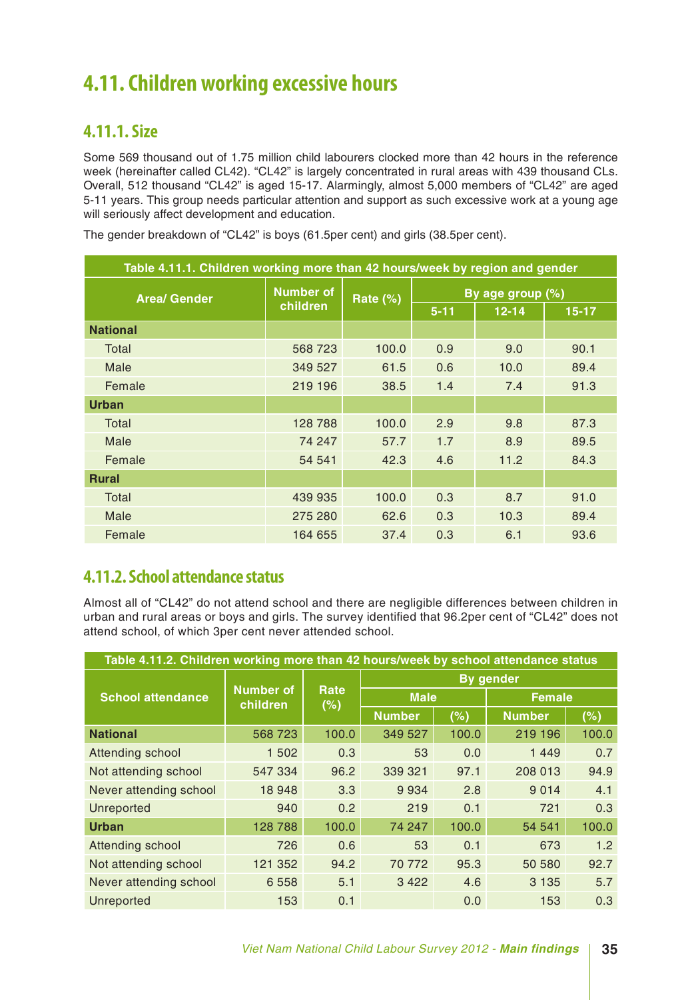### **4.11. Children working excessive hours**

### **4.11.1. Size**

Some 569 thousand out of 1.75 million child labourers clocked more than 42 hours in the reference week (hereinafter called CL42). "CL42" is largely concentrated in rural areas with 439 thousand CLs. Overall, 512 thousand "CL42" is aged 15-17. Alarmingly, almost 5,000 members of "CL42" are aged 5-11 years. This group needs particular attention and support as such excessive work at a young age will seriously affect development and education.

| Table 4.11.1. Children working more than 42 hours/week by region and gender |                  |          |          |                  |           |
|-----------------------------------------------------------------------------|------------------|----------|----------|------------------|-----------|
| <b>Area/ Gender</b>                                                         | <b>Number of</b> | Rate (%) |          | By age group (%) |           |
|                                                                             | children         |          | $5 - 11$ | $12 - 14$        | $15 - 17$ |
| <b>National</b>                                                             |                  |          |          |                  |           |
| Total                                                                       | 568 723          | 100.0    | 0.9      | 9.0              | 90.1      |
| Male                                                                        | 349 527          | 61.5     | 0.6      | 10.0             | 89.4      |
| Female                                                                      | 219 196          | 38.5     | 1.4      | 7.4              | 91.3      |
| <b>Urban</b>                                                                |                  |          |          |                  |           |
| Total                                                                       | 128 788          | 100.0    | 2.9      | 9.8              | 87.3      |
| Male                                                                        | 74 247           | 57.7     | 1.7      | 8.9              | 89.5      |
| Female                                                                      | 54 541           | 42.3     | 4.6      | 11.2             | 84.3      |
| <b>Rural</b>                                                                |                  |          |          |                  |           |
| Total                                                                       | 439 935          | 100.0    | 0.3      | 8.7              | 91.0      |
| Male                                                                        | 275 280          | 62.6     | 0.3      | 10.3             | 89.4      |
| Female                                                                      | 164 655          | 37.4     | 0.3      | 6.1              | 93.6      |

The gender breakdown of "CL42" is boys (61.5per cent) and girls (38.5per cent).

### **4.11.2. School attendance status**

Almost all of "CL42" do not attend school and there are negligible differences between children in urban and rural areas or boys and girls. The survey identified that 96.2per cent of "CL42" does not attend school, of which 3per cent never attended school.

| Table 4.11.2. Children working more than 42 hours/week by school attendance status |                              |             |               |       |                  |       |
|------------------------------------------------------------------------------------|------------------------------|-------------|---------------|-------|------------------|-------|
|                                                                                    |                              |             |               |       | <b>By gender</b> |       |
| <b>School attendance</b>                                                           | <b>Number of</b><br>children | Rate<br>(%) | <b>Male</b>   |       | <b>Female</b>    |       |
|                                                                                    |                              |             | <b>Number</b> | (%)   | <b>Number</b>    | (%)   |
| <b>National</b>                                                                    | 568723                       | 100.0       | 349 527       | 100.0 | 219 196          | 100.0 |
| Attending school                                                                   | 1 502                        | 0.3         | 53            | 0.0   | 1 4 4 9          | 0.7   |
| Not attending school                                                               | 547 334                      | 96.2        | 339 321       | 97.1  | 208 013          | 94.9  |
| Never attending school                                                             | 18 948                       | 3.3         | 9934          | 2.8   | 9 0 1 4          | 4.1   |
| Unreported                                                                         | 940                          | 0.2         | 219           | 0.1   | 721              | 0.3   |
| <b>Urban</b>                                                                       | 128 788                      | 100.0       | 74 247        | 100.0 | 54 541           | 100.0 |
| Attending school                                                                   | 726                          | 0.6         | 53            | 0.1   | 673              | 1.2   |
| Not attending school                                                               | 121 352                      | 94.2        | 70 772        | 95.3  | 50 580           | 92.7  |
| Never attending school                                                             | 6 5 5 8                      | 5.1         | 3 4 2 2       | 4.6   | 3 1 3 5          | 5.7   |
| Unreported                                                                         | 153                          | 0.1         |               | 0.0   | 153              | 0.3   |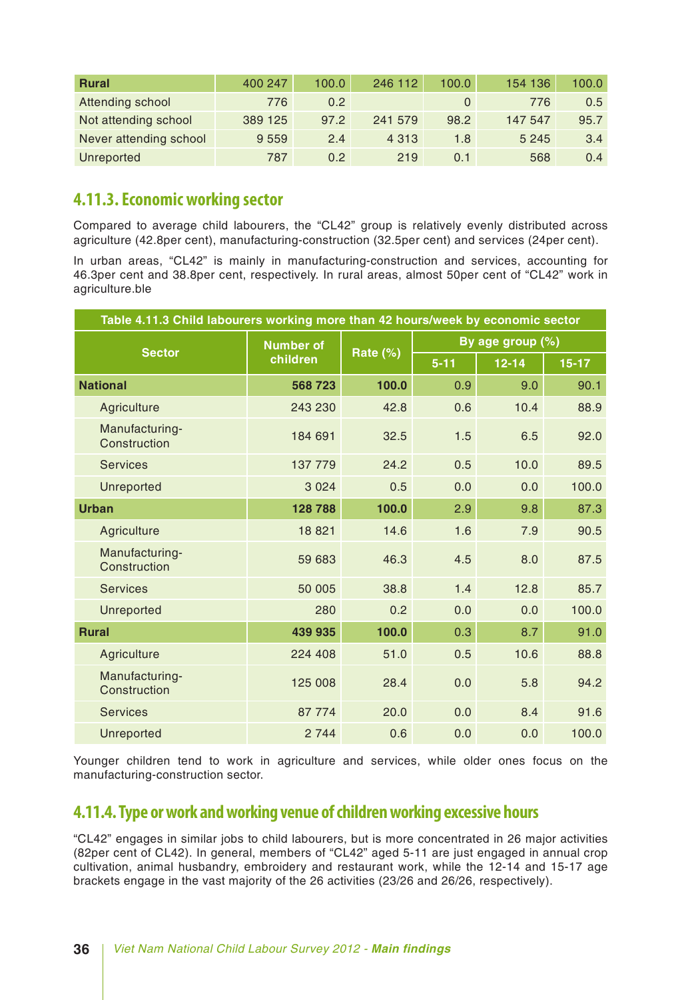| <b>Rural</b>           | 400 247 | 100.0 | 246 112 | 100.0 | 154 136 | 100.0 |
|------------------------|---------|-------|---------|-------|---------|-------|
| Attending school       | 776     | 0.2   |         |       | 776     | 0.5   |
| Not attending school   | 389 125 | 97.2  | 241 579 | 98.2  | 147 547 | 95.7  |
| Never attending school | 9 5 5 9 | 2.4   | 4 3 1 3 | 1.8   | 5 2 4 5 | 3.4   |
| Unreported             | 787     | 0.2   | 219     | 0.1   | 568     | 0.4   |

### **4.11.3. Economic working sector**

Compared to average child labourers, the "CL42" group is relatively evenly distributed across agriculture (42.8per cent), manufacturing-construction (32.5per cent) and services (24per cent).

In urban areas, "CL42" is mainly in manufacturing-construction and services, accounting for 46.3per cent and 38.8per cent, respectively. In rural areas, almost 50per cent of "CL42" work in agriculture.ble

| Table 4.11.3 Child labourers working more than 42 hours/week by economic sector |                  |          |          |                  |         |
|---------------------------------------------------------------------------------|------------------|----------|----------|------------------|---------|
| <b>Sector</b>                                                                   | <b>Number of</b> |          |          | By age group (%) |         |
|                                                                                 | children         | Rate (%) | $5 - 11$ | $12 - 14$        | $15-17$ |
| <b>National</b>                                                                 | 568723           | 100.0    | 0.9      | 9.0              | 90.1    |
| Agriculture                                                                     | 243 230          | 42.8     | 0.6      | 10.4             | 88.9    |
| Manufacturing-<br>Construction                                                  | 184 691          | 32.5     | 1.5      | 6.5              | 92.0    |
| <b>Services</b>                                                                 | 137 779          | 24.2     | 0.5      | 10.0             | 89.5    |
| <b>Unreported</b>                                                               | 3 0 2 4          | 0.5      | 0.0      | 0.0              | 100.0   |
| <b>Urban</b>                                                                    | 128 788          | 100.0    | 2.9      | 9.8              | 87.3    |
| Agriculture                                                                     | 18821            | 14.6     | 1.6      | 7.9              | 90.5    |
| Manufacturing-<br>Construction                                                  | 59 683           | 46.3     | 4.5      | 8.0              | 87.5    |
| <b>Services</b>                                                                 | 50 005           | 38.8     | 1.4      | 12.8             | 85.7    |
| Unreported                                                                      | 280              | 0.2      | 0.0      | 0.0              | 100.0   |
| <b>Rural</b>                                                                    | 439 935          | 100.0    | 0.3      | 8.7              | 91.0    |
| Agriculture                                                                     | 224 408          | 51.0     | 0.5      | 10.6             | 88.8    |
| Manufacturing-<br>Construction                                                  | 125 008          | 28.4     | 0.0      | 5.8              | 94.2    |
| <b>Services</b>                                                                 | 87 774           | 20.0     | 0.0      | 8.4              | 91.6    |
| Unreported                                                                      | 2 7 4 4          | 0.6      | 0.0      | 0.0              | 100.0   |

Younger children tend to work in agriculture and services, while older ones focus on the manufacturing-construction sector.

### **4.11.4. Type or work and working venue of children working excessive hours**

"CL42" engages in similar jobs to child labourers, but is more concentrated in 26 major activities (82per cent of CL42). In general, members of "CL42" aged 5-11 are just engaged in annual crop cultivation, animal husbandry, embroidery and restaurant work, while the 12-14 and 15-17 age brackets engage in the vast majority of the 26 activities (23/26 and 26/26, respectively).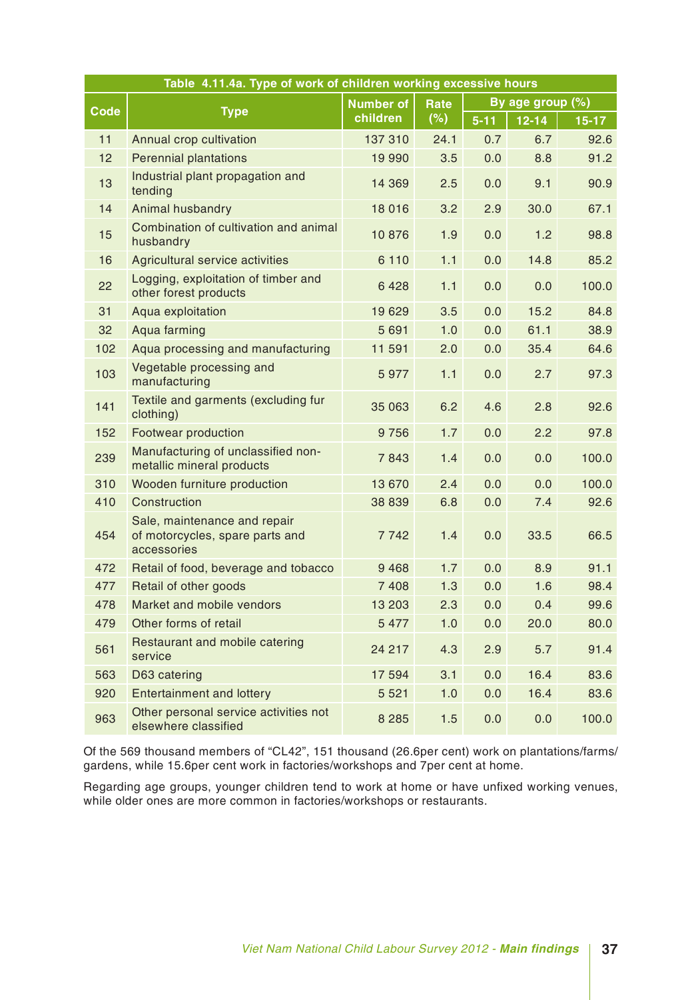|             | Table 4.11.4a. Type of work of children working excessive hours                |                  |             |          |                  |           |
|-------------|--------------------------------------------------------------------------------|------------------|-------------|----------|------------------|-----------|
| <b>Code</b> |                                                                                | <b>Number of</b> | <b>Rate</b> |          | By age group (%) |           |
|             | <b>Type</b>                                                                    | children         | (%)         | $5 - 11$ | $12 - 14$        | $15 - 17$ |
| 11          | Annual crop cultivation                                                        | 137 310          | 24.1        | 0.7      | 6.7              | 92.6      |
| 12          | <b>Perennial plantations</b>                                                   | 19 990           | 3.5         | 0.0      | 8.8              | 91.2      |
| 13          | Industrial plant propagation and<br>tending                                    | 14 3 69          | 2.5         | 0.0      | 9.1              | 90.9      |
| 14          | Animal husbandry                                                               | 18 0 16          | 3.2         | 2.9      | 30.0             | 67.1      |
| 15          | Combination of cultivation and animal<br>husbandry                             | 10876            | 1.9         | 0.0      | 1.2              | 98.8      |
| 16          | Agricultural service activities                                                | 6 1 1 0          | 1.1         | 0.0      | 14.8             | 85.2      |
| 22          | Logging, exploitation of timber and<br>other forest products                   | 6428             | 1.1         | 0.0      | 0.0              | 100.0     |
| 31          | Aqua exploitation                                                              | 19629            | 3.5         | 0.0      | 15.2             | 84.8      |
| 32          | Aqua farming                                                                   | 5 6 9 1          | 1.0         | 0.0      | 61.1             | 38.9      |
| 102         | Aqua processing and manufacturing                                              | 11 591           | 2.0         | 0.0      | 35.4             | 64.6      |
| 103         | Vegetable processing and<br>manufacturing                                      | 5977             | 1.1         | 0.0      | 2.7              | 97.3      |
| 141         | Textile and garments (excluding fur<br>clothing)                               | 35 063           | 6.2         | 4.6      | 2.8              | 92.6      |
| 152         | Footwear production                                                            | 9756             | 1.7         | 0.0      | 2.2              | 97.8      |
| 239         | Manufacturing of unclassified non-<br>metallic mineral products                | 7843             | 1.4         | 0.0      | 0.0              | 100.0     |
| 310         | Wooden furniture production                                                    | 13 670           | 2.4         | 0.0      | 0.0              | 100.0     |
| 410         | Construction                                                                   | 38 839           | 6.8         | 0.0      | 7.4              | 92.6      |
| 454         | Sale, maintenance and repair<br>of motorcycles, spare parts and<br>accessories | 7742             | 1.4         | 0.0      | 33.5             | 66.5      |
| 472         | Retail of food, beverage and tobacco                                           | 9 4 6 8          | 1.7         | 0.0      | 8.9              | 91.1      |
| 477         | Retail of other goods                                                          | 7 4 0 8          | 1.3         | 0.0      | 1.6              | 98.4      |
| 478         | Market and mobile vendors                                                      | 13 203           | 2.3         | 0.0      | 0.4              | 99.6      |
| 479         | Other forms of retail                                                          | 5 4 7 7          | 1.0         | 0.0      | 20.0             | 80.0      |
| 561         | Restaurant and mobile catering<br>service                                      | 24 217           | 4.3         | 2.9      | 5.7              | 91.4      |
| 563         | D63 catering                                                                   | 17 594           | 3.1         | 0.0      | 16.4             | 83.6      |
| 920         | <b>Entertainment and lottery</b>                                               | 5 5 21           | 1.0         | 0.0      | 16.4             | 83.6      |
| 963         | Other personal service activities not<br>elsewhere classified                  | 8 2 8 5          | 1.5         | 0.0      | 0.0              | 100.0     |

Of the 569 thousand members of "CL42", 151 thousand (26.6per cent) work on plantations/farms/ gardens, while 15.6per cent work in factories/workshops and 7per cent at home.

Regarding age groups, younger children tend to work at home or have unfixed working venues, while older ones are more common in factories/workshops or restaurants.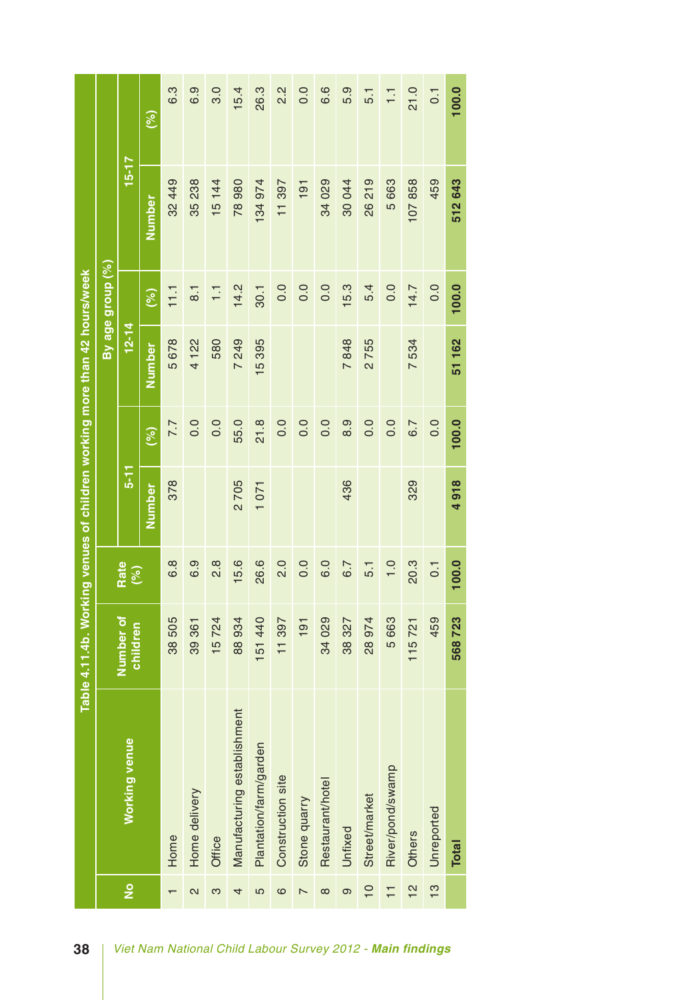|                                                                           |                  |                       | (%)    | 6.3                                                        | 6.9              | 3.0            | 15.4                        | 26.3                   | 2.2               | 0.0                      | 6.6              | 5.9     | 5.1            | $\overline{1}$ .        | 21.0             | 0.1           | 100.0        |
|---------------------------------------------------------------------------|------------------|-----------------------|--------|------------------------------------------------------------|------------------|----------------|-----------------------------|------------------------|-------------------|--------------------------|------------------|---------|----------------|-------------------------|------------------|---------------|--------------|
|                                                                           |                  | $15 - 17$             |        |                                                            |                  |                |                             |                        |                   |                          |                  |         |                |                         |                  |               |              |
|                                                                           |                  |                       | Number | 32 449                                                     | 35 238           | 15 144         | 78980                       | 134 974                | 11 397            | 191                      | 34 029           | 30044   | 26219          | 5 663                   | 107858           | 459           | 512 643      |
|                                                                           | By age group (%) |                       | (%)    | 11.1                                                       | $\overline{8}$ . | $\overline{1}$ | 14.2                        | 30.1                   | 0.0               | 0.0                      | 0.0              | 15.3    | 5.4            | 0.0                     | 14.7             | 0.0           | 100.0        |
|                                                                           |                  | $12 - 14$             | Number | 5678                                                       | 4122             | 580            | 249<br>$\overline{a}$       | 15395                  |                   |                          |                  | 7848    | 2755           |                         | 7534             |               | 51162        |
|                                                                           |                  |                       | (%)    | 7.7                                                        | 0.0              | 0.0            | 55.0                        | 21.8                   | 0.0               | 0.0                      | 0.0              | 8.9     | 0.0            | 0.0                     | 6.7              | 0.0           | 100.0        |
|                                                                           |                  | $5 - 1$               | Number | 378                                                        |                  |                | 2705                        | 1071                   |                   |                          |                  | 436     |                |                         | 329              |               | 4918         |
|                                                                           | Rate<br>(%)      |                       | 6.8    | 6.9                                                        | $\frac{8}{2}$    | 15.6           | 26.6                        | 2.0                    | 0.0               | 0.5                      | 6.7              | 5.1     | $\frac{0}{1}$  | 20.3                    | $\overline{0}$ . | 100.0         |              |
| Table 4.11.4b. Working venues of children working more than 42 hours/week |                  | Number of<br>children |        | 38 505                                                     | 361<br>39        | 15724          | 88 934                      | 151 440                | 11 397            | 191                      | 34 029           | 38 327  | 28 974         | 5 663                   | 115721           | 459           | 568723       |
|                                                                           |                  | <b>Working venue</b>  |        | Home                                                       | Home delivery    | Office         | Manufacturing establishment | Plantation/farm/garden | Construction site | Stone quarry             | Restaurant/hotel | Unfixed | Street/market  | River/pond/swamp        | Others           | Unreported    | <b>Total</b> |
|                                                                           |                  | $\frac{1}{2}$         |        |                                                            | 2                | ო              | 4                           | 5                      | ဖ                 | $\overline{\phantom{0}}$ | $\infty$         | တ       | $\overline{0}$ | $\overline{\mathbf{r}}$ | $\frac{2}{1}$    | $\frac{3}{5}$ |              |
| 38                                                                        |                  |                       |        | Viet Nam National Child Labour Survey 2012 - Main findings |                  |                |                             |                        |                   |                          |                  |         |                |                         |                  |               |              |

| 38 | Viet Nam National Child Labour Survey 2012 - Main findings |  |  |  |  |  |  |  |
|----|------------------------------------------------------------|--|--|--|--|--|--|--|
|----|------------------------------------------------------------|--|--|--|--|--|--|--|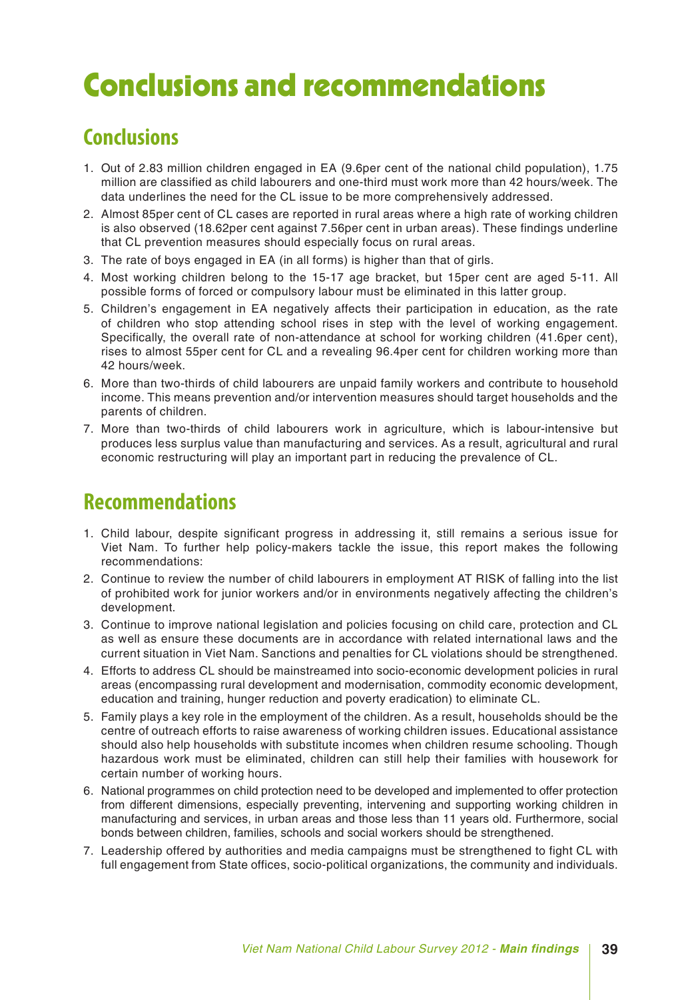# Conclusions and recommendations

### **Conclusions**

- 1. Out of 2.83 million children engaged in EA (9.6per cent of the national child population), 1.75 million are classified as child labourers and one-third must work more than 42 hours/week. The data underlines the need for the CL issue to be more comprehensively addressed.
- 2. Almost 85per cent of CL cases are reported in rural areas where a high rate of working children is also observed (18.62per cent against 7.56per cent in urban areas). These findings underline that CL prevention measures should especially focus on rural areas.
- 3. The rate of boys engaged in EA (in all forms) is higher than that of girls.
- 4. Most working children belong to the 15-17 age bracket, but 15per cent are aged 5-11. All possible forms of forced or compulsory labour must be eliminated in this latter group.
- 5. Children's engagement in EA negatively affects their participation in education, as the rate of children who stop attending school rises in step with the level of working engagement. Specifically, the overall rate of non-attendance at school for working children (41.6per cent), rises to almost 55per cent for CL and a revealing 96.4per cent for children working more than 42 hours/week.
- 6. More than two-thirds of child labourers are unpaid family workers and contribute to household income. This means prevention and/or intervention measures should target households and the parents of children.
- 7. More than two-thirds of child labourers work in agriculture, which is labour-intensive but produces less surplus value than manufacturing and services. As a result, agricultural and rural economic restructuring will play an important part in reducing the prevalence of CL.

### **Recommendations**

- 1. Child labour, despite significant progress in addressing it, still remains a serious issue for Viet Nam. To further help policy-makers tackle the issue, this report makes the following recommendations:
- 2. Continue to review the number of child labourers in employment AT RISK of falling into the list of prohibited work for junior workers and/or in environments negatively affecting the children's development.
- 3. Continue to improve national legislation and policies focusing on child care, protection and CL as well as ensure these documents are in accordance with related international laws and the current situation in Viet Nam. Sanctions and penalties for CL violations should be strengthened.
- 4. Efforts to address CL should be mainstreamed into socio-economic development policies in rural areas (encompassing rural development and modernisation, commodity economic development, education and training, hunger reduction and poverty eradication) to eliminate CL.
- 5. Family plays a key role in the employment of the children. As a result, households should be the centre of outreach efforts to raise awareness of working children issues. Educational assistance should also help households with substitute incomes when children resume schooling. Though hazardous work must be eliminated, children can still help their families with housework for certain number of working hours.
- 6. National programmes on child protection need to be developed and implemented to offer protection from different dimensions, especially preventing, intervening and supporting working children in manufacturing and services, in urban areas and those less than 11 years old. Furthermore, social bonds between children, families, schools and social workers should be strengthened.
- 7. Leadership offered by authorities and media campaigns must be strengthened to fight CL with full engagement from State offices, socio-political organizations, the community and individuals.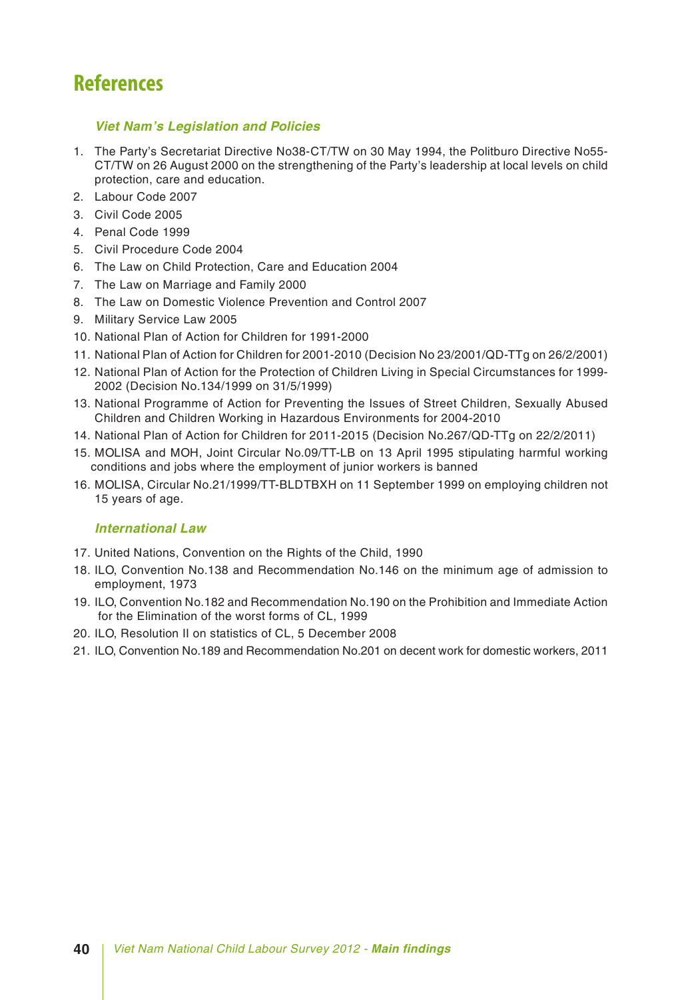### **References**

### *Viet Nam's Legislation and Policies*

- 1. The Party's Secretariat Directive No38-CT/TW on 30 May 1994, the Politburo Directive No55- CT/TW on 26 August 2000 on the strengthening of the Party's leadership at local levels on child protection, care and education.
- 2. Labour Code 2007
- 3. Civil Code 2005
- 4. Penal Code 1999
- 5. Civil Procedure Code 2004
- 6. The Law on Child Protection, Care and Education 2004
- 7. The Law on Marriage and Family 2000
- 8. The Law on Domestic Violence Prevention and Control 2007
- 9. Military Service Law 2005
- 10. National Plan of Action for Children for 1991-2000
- 11. National Plan of Action for Children for 2001-2010 (Decision No 23/2001/QD-TTg on 26/2/2001)
- 12. National Plan of Action for the Protection of Children Living in Special Circumstances for 1999- 2002 (Decision No.134/1999 on 31/5/1999)
- 13. National Programme of Action for Preventing the Issues of Street Children, Sexually Abused Children and Children Working in Hazardous Environments for 2004-2010
- 14. National Plan of Action for Children for 2011-2015 (Decision No.267/QD-TTg on 22/2/2011)
- 15. MOLISA and MOH, Joint Circular No.09/TT-LB on 13 April 1995 stipulating harmful working conditions and jobs where the employment of junior workers is banned
- 16. MOLISA, Circular No.21/1999/TT-BLDTBXH on 11 September 1999 on employing children not 15 years of age.

#### *International Law*

- 17. United Nations, Convention on the Rights of the Child, 1990
- 18. ILO, Convention No.138 and Recommendation No.146 on the minimum age of admission to employment, 1973
- 19. ILO, Convention No.182 and Recommendation No.190 on the Prohibition and Immediate Action for the Elimination of the worst forms of CL, 1999
- 20. ILO, Resolution II on statistics of CL, 5 December 2008
- 21. ILO, Convention No.189 and Recommendation No.201 on decent work for domestic workers, 2011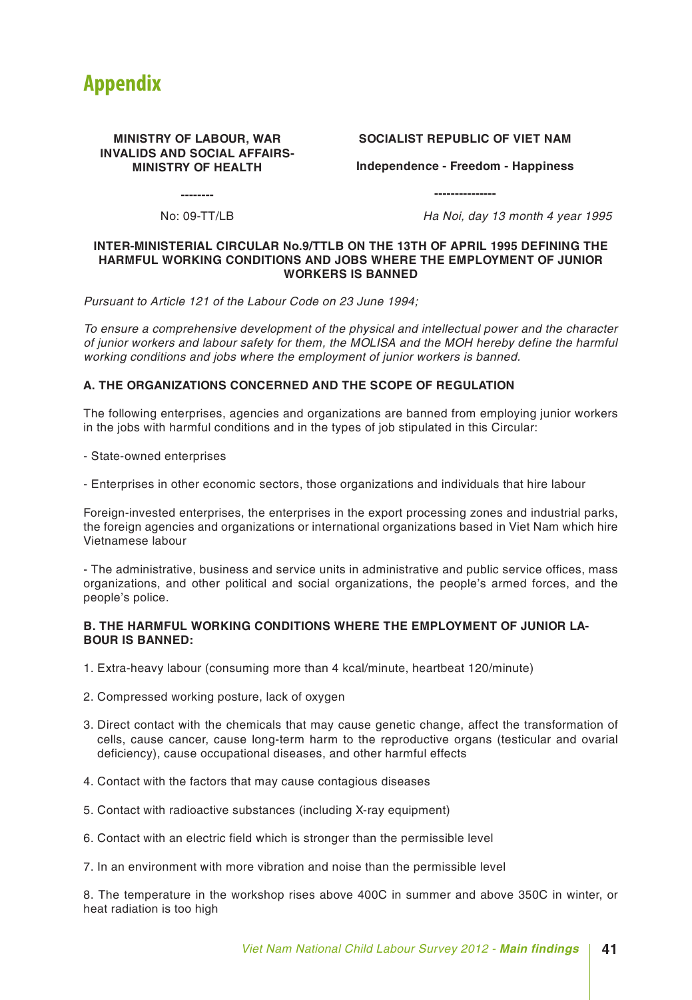

#### **MINISTRY OF LABOUR, WAR INVALIDS AND SOCIAL AFFAIRS-MINISTRY OF HEALTH**

#### **SOCIALIST REPUBLIC OF VIET NAM**

**Independence - Freedom - Happiness**

**---------------**

**--------**

No: 09-TT/LB *Ha Noi, day 13 month 4 year 1995*

#### **INTER-MINISTERIAL CIRCULAR No.9/TTLB ON THE 13TH OF APRIL 1995 DEFINING THE HARMFUL WORKING CONDITIONS AND JOBS WHERE THE EMPLOYMENT OF JUNIOR WORKERS IS BANNED**

*Pursuant to Article 121 of the Labour Code on 23 June 1994;*

*To ensure a comprehensive development of the physical and intellectual power and the character of junior workers and labour safety for them, the MOLISA and the MOH hereby define the harmful working conditions and jobs where the employment of junior workers is banned.*

#### **A. THE ORGANIZATIONS CONCERNED AND THE SCOPE OF REGULATION**

The following enterprises, agencies and organizations are banned from employing junior workers in the jobs with harmful conditions and in the types of job stipulated in this Circular:

- State-owned enterprises

- Enterprises in other economic sectors, those organizations and individuals that hire labour

Foreign-invested enterprises, the enterprises in the export processing zones and industrial parks, the foreign agencies and organizations or international organizations based in Viet Nam which hire Vietnamese labour

- The administrative, business and service units in administrative and public service offices, mass organizations, and other political and social organizations, the people's armed forces, and the people's police.

#### **B. THE HARMFUL WORKING CONDITIONS WHERE THE EMPLOYMENT OF JUNIOR LA-BOUR IS BANNED:**

- 1. Extra-heavy labour (consuming more than 4 kcal/minute, heartbeat 120/minute)
- 2. Compressed working posture, lack of oxygen
- 3. Direct contact with the chemicals that may cause genetic change, affect the transformation of cells, cause cancer, cause long-term harm to the reproductive organs (testicular and ovarial deficiency), cause occupational diseases, and other harmful effects
- 4. Contact with the factors that may cause contagious diseases
- 5. Contact with radioactive substances (including X-ray equipment)
- 6. Contact with an electric field which is stronger than the permissible level
- 7. In an environment with more vibration and noise than the permissible level

8. The temperature in the workshop rises above 400C in summer and above 350C in winter, or heat radiation is too high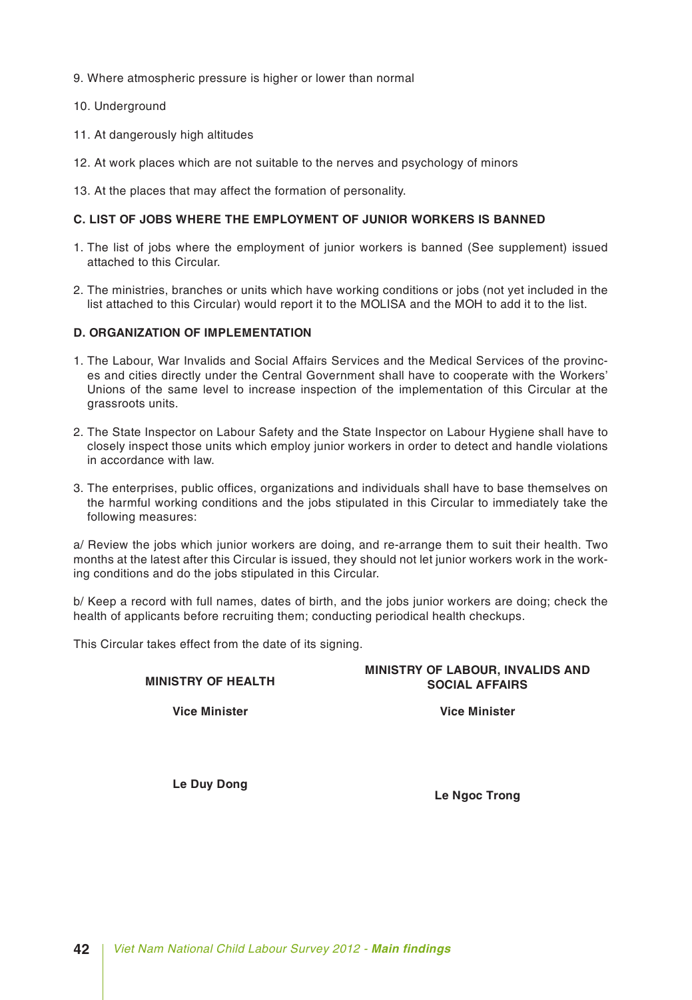- 9. Where atmospheric pressure is higher or lower than normal
- 10. Underground
- 11. At dangerously high altitudes
- 12. At work places which are not suitable to the nerves and psychology of minors
- 13. At the places that may affect the formation of personality.

#### **C. LIST OF JOBS WHERE THE EMPLOYMENT OF JUNIOR WORKERS IS BANNED**

- 1. The list of jobs where the employment of junior workers is banned (See supplement) issued attached to this Circular.
- 2. The ministries, branches or units which have working conditions or jobs (not yet included in the list attached to this Circular) would report it to the MOLISA and the MOH to add it to the list.

#### **D. ORGANIZATION OF IMPLEMENTATION**

- 1. The Labour, War Invalids and Social Affairs Services and the Medical Services of the provinces and cities directly under the Central Government shall have to cooperate with the Workers' Unions of the same level to increase inspection of the implementation of this Circular at the grassroots units.
- 2. The State Inspector on Labour Safety and the State Inspector on Labour Hygiene shall have to closely inspect those units which employ junior workers in order to detect and handle violations in accordance with law.
- 3. The enterprises, public offices, organizations and individuals shall have to base themselves on the harmful working conditions and the jobs stipulated in this Circular to immediately take the following measures:

a/ Review the jobs which junior workers are doing, and re-arrange them to suit their health. Two months at the latest after this Circular is issued, they should not let junior workers work in the working conditions and do the jobs stipulated in this Circular.

b/ Keep a record with full names, dates of birth, and the jobs junior workers are doing; check the health of applicants before recruiting them; conducting periodical health checkups.

This Circular takes effect from the date of its signing.

**MINISTRY OF HEALTH MINISTRY OF LABOUR, INVALIDS AND**

**Vice Minister**

**Le Duy Dong**

**Le Ngoc Trong**

**SOCIAL AFFAIRS**

**Vice Minister**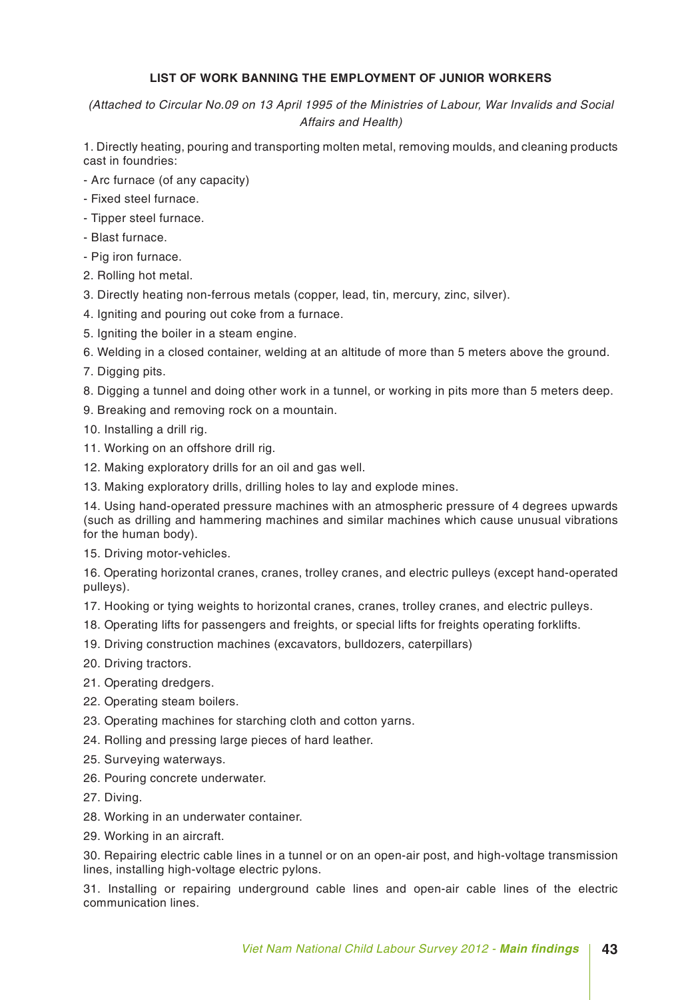#### **LIST OF WORK BANNING THE EMPLOYMENT OF JUNIOR WORKERS**

*(Attached to Circular No.09 on 13 April 1995 of the Ministries of Labour, War Invalids and Social Affairs and Health)*

1. Directly heating, pouring and transporting molten metal, removing moulds, and cleaning products cast in foundries:

- Arc furnace (of any capacity)

- Fixed steel furnace.
- Tipper steel furnace.
- Blast furnace.
- Pig iron furnace.

2. Rolling hot metal.

- 3. Directly heating non-ferrous metals (copper, lead, tin, mercury, zinc, silver).
- 4. Igniting and pouring out coke from a furnace.
- 5. Igniting the boiler in a steam engine.
- 6. Welding in a closed container, welding at an altitude of more than 5 meters above the ground.
- 7. Digging pits.
- 8. Digging a tunnel and doing other work in a tunnel, or working in pits more than 5 meters deep.
- 9. Breaking and removing rock on a mountain.
- 10. Installing a drill rig.
- 11. Working on an offshore drill rig.
- 12. Making exploratory drills for an oil and gas well.
- 13. Making exploratory drills, drilling holes to lay and explode mines.

14. Using hand-operated pressure machines with an atmospheric pressure of 4 degrees upwards (such as drilling and hammering machines and similar machines which cause unusual vibrations for the human body).

15. Driving motor-vehicles.

16. Operating horizontal cranes, cranes, trolley cranes, and electric pulleys (except hand-operated pulleys).

17. Hooking or tying weights to horizontal cranes, cranes, trolley cranes, and electric pulleys.

- 18. Operating lifts for passengers and freights, or special lifts for freights operating forklifts.
- 19. Driving construction machines (excavators, bulldozers, caterpillars)
- 20. Driving tractors.
- 21. Operating dredgers.
- 22. Operating steam boilers.
- 23. Operating machines for starching cloth and cotton yarns.
- 24. Rolling and pressing large pieces of hard leather.
- 25. Surveying waterways.
- 26. Pouring concrete underwater.
- 27. Diving.
- 28. Working in an underwater container.
- 29. Working in an aircraft.

30. Repairing electric cable lines in a tunnel or on an open-air post, and high-voltage transmission lines, installing high-voltage electric pylons.

31. Installing or repairing underground cable lines and open-air cable lines of the electric communication lines.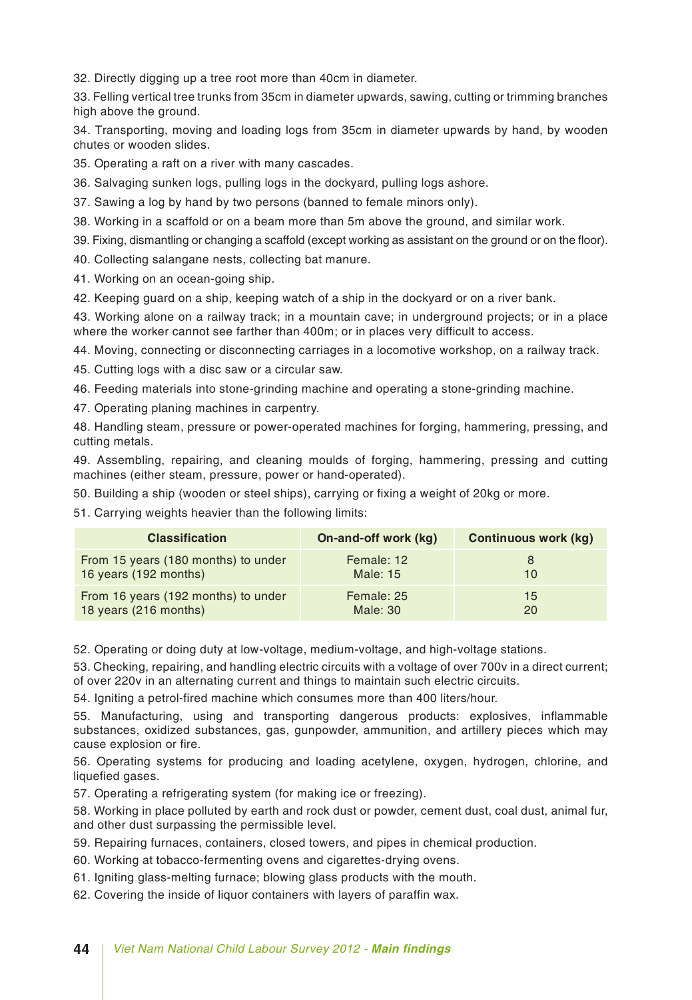32. Directly digging up a tree root more than 40cm in diameter.

33. Felling vertical tree trunks from 35cm in diameter upwards, sawing, cutting or trimming branches high above the ground.

34. Transporting, moving and loading logs from 35cm in diameter upwards by hand, by wooden chutes or wooden slides.

35. Operating a raft on a river with many cascades.

36. Salvaging sunken logs, pulling logs in the dockyard, pulling logs ashore.

37. Sawing a log by hand by two persons (banned to female minors only).

38. Working in a scaffold or on a beam more than 5m above the ground, and similar work.

39. Fixing, dismantling or changing a scaffold (except working as assistant on the ground or on the floor).

40. Collecting salangane nests, collecting bat manure.

41. Working on an ocean-going ship.

42. Keeping guard on a ship, keeping watch of a ship in the dockyard or on a river bank.

43. Working alone on a railway track; in a mountain cave; in underground projects; or in a place where the worker cannot see farther than 400m; or in places very difficult to access.

44. Moving, connecting or disconnecting carriages in a locomotive workshop, on a railway track.

45. Cutting logs with a disc saw or a circular saw.

46. Feeding materials into stone-grinding machine and operating a stone-grinding machine.

47. Operating planing machines in carpentry.

48. Handling steam, pressure or power-operated machines for forging, hammering, pressing, and cutting metals.

49. Assembling, repairing, and cleaning moulds of forging, hammering, pressing and cutting machines (either steam, pressure, power or hand-operated).

50. Building a ship (wooden or steel ships), carrying or fixing a weight of 20kg or more.

51. Carrying weights heavier than the following limits:

| <b>Classification</b>               | On-and-off work (kg) | <b>Continuous work (kg)</b> |
|-------------------------------------|----------------------|-----------------------------|
| From 15 years (180 months) to under | Female: 12           | 8                           |
| 16 years (192 months)               | Male: 15             | 10                          |
| From 16 years (192 months) to under | Female: 25           | 15                          |
| 18 years (216 months)               | Male: $30$           | 20                          |

52. Operating or doing duty at low-voltage, medium-voltage, and high-voltage stations.

53. Checking, repairing, and handling electric circuits with a voltage of over 700v in a direct current; of over 220v in an alternating current and things to maintain such electric circuits.

54. Igniting a petrol-fired machine which consumes more than 400 liters/hour.

55. Manufacturing, using and transporting dangerous products: explosives, inflammable substances, oxidized substances, gas, gunpowder, ammunition, and artillery pieces which may cause explosion or fire.

56. Operating systems for producing and loading acetylene, oxygen, hydrogen, chlorine, and liquefied gases.

57. Operating a refrigerating system (for making ice or freezing).

58. Working in place polluted by earth and rock dust or powder, cement dust, coal dust, animal fur, and other dust surpassing the permissible level.

59. Repairing furnaces, containers, closed towers, and pipes in chemical production.

60. Working at tobacco-fermenting ovens and cigarettes-drying ovens.

61. Igniting glass-melting furnace; blowing glass products with the mouth.

62. Covering the inside of liquor containers with layers of paraffin wax.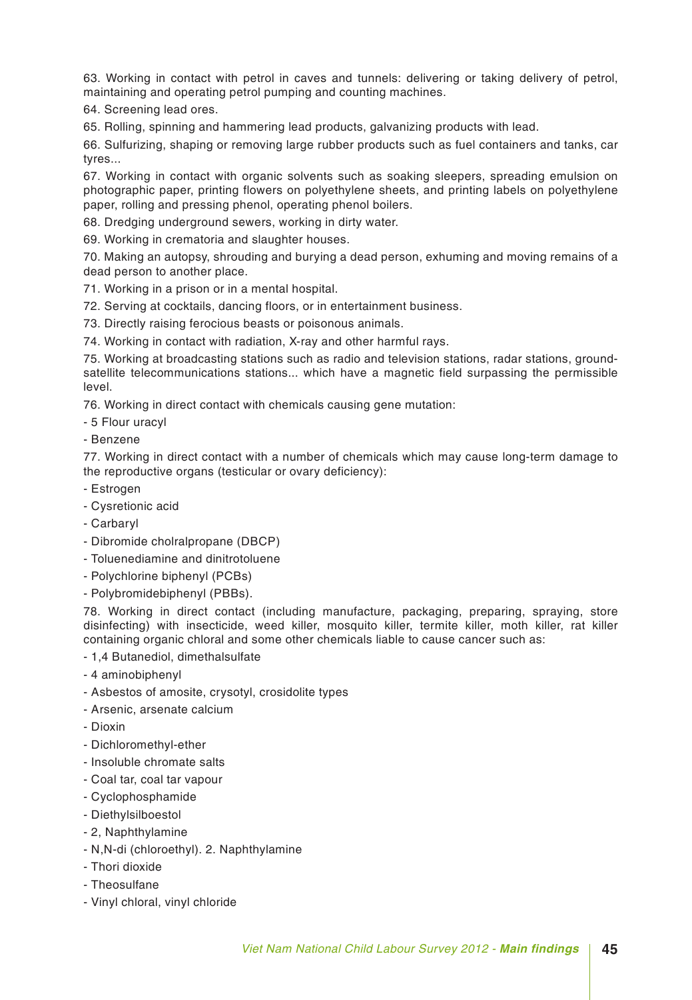63. Working in contact with petrol in caves and tunnels: delivering or taking delivery of petrol, maintaining and operating petrol pumping and counting machines.

64. Screening lead ores.

65. Rolling, spinning and hammering lead products, galvanizing products with lead.

66. Sulfurizing, shaping or removing large rubber products such as fuel containers and tanks, car tyres...

67. Working in contact with organic solvents such as soaking sleepers, spreading emulsion on photographic paper, printing flowers on polyethylene sheets, and printing labels on polyethylene paper, rolling and pressing phenol, operating phenol boilers.

68. Dredging underground sewers, working in dirty water.

69. Working in crematoria and slaughter houses.

70. Making an autopsy, shrouding and burying a dead person, exhuming and moving remains of a dead person to another place.

71. Working in a prison or in a mental hospital.

72. Serving at cocktails, dancing floors, or in entertainment business.

73. Directly raising ferocious beasts or poisonous animals.

74. Working in contact with radiation, X-ray and other harmful rays.

75. Working at broadcasting stations such as radio and television stations, radar stations, groundsatellite telecommunications stations... which have a magnetic field surpassing the permissible level.

76. Working in direct contact with chemicals causing gene mutation:

- 5 Flour uracyl
- Benzene

77. Working in direct contact with a number of chemicals which may cause long-term damage to the reproductive organs (testicular or ovary deficiency):

- Estrogen
- Cysretionic acid
- Carbaryl
- Dibromide cholralpropane (DBCP)
- Toluenediamine and dinitrotoluene
- Polychlorine biphenyl (PCBs)
- Polybromidebiphenyl (PBBs).

78. Working in direct contact (including manufacture, packaging, preparing, spraying, store disinfecting) with insecticide, weed killer, mosquito killer, termite killer, moth killer, rat killer containing organic chloral and some other chemicals liable to cause cancer such as:

- 1,4 Butanediol, dimethalsulfate
- 4 aminobiphenyl
- Asbestos of amosite, crysotyl, crosidolite types
- Arsenic, arsenate calcium
- Dioxin
- Dichloromethyl-ether
- Insoluble chromate salts
- Coal tar, coal tar vapour
- Cyclophosphamide
- Diethylsilboestol
- 2, Naphthylamine
- N,N-di (chloroethyl). 2. Naphthylamine
- Thori dioxide
- Theosulfane
- Vinyl chloral, vinyl chloride